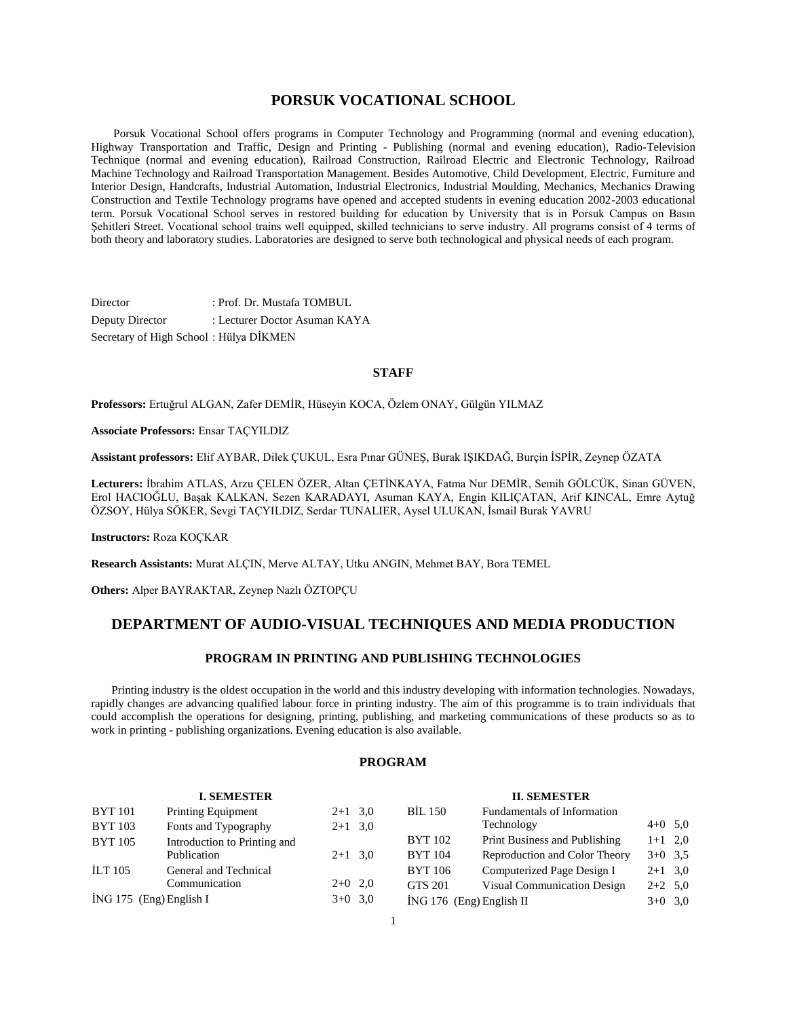# **PORSUK VOCATIONAL SCHOOL**

 Porsuk Vocational School offers programs in Computer Technology and Programming (normal and evening education), Highway Transportation and Traffic, Design and Printing - Publishing (normal and evening education), Radio-Television Technique (normal and evening education), Railroad Construction, Railroad Electric and Electronic Technology, Railroad Machine Technology and Railroad Transportation Management. Besides Automotive, Child Development, Electric, Furniture and Interior Design, Handcrafts, Industrial Automation, Industrial Electronics, Industrial Moulding, Mechanics, Mechanics Drawing Construction and Textile Technology programs have opened and accepted students in evening education 2002-2003 educational term. Porsuk Vocational School serves in restored building for education by University that is in Porsuk Campus on Basın Şehitleri Street. Vocational school trains well equipped, skilled technicians to serve industry. All programs consist of 4 terms of both theory and laboratory studies. Laboratories are designed to serve both technological and physical needs of each program.

Director : Prof. Dr. Mustafa TOMBUL Deputy Director : Lecturer Doctor Asuman KAYA Secretary of High School : Hülya DİKMEN

#### **STAFF**

**Professors:** Ertuğrul ALGAN, Zafer DEMİR, Hüseyin KOCA, Özlem ONAY, Gülgün YILMAZ

**Associate Professors:** Ensar TAÇYILDIZ

**Assistant professors:** Elif AYBAR, Dilek ÇUKUL, Esra Pınar GÜNEŞ, Burak IŞIKDAĞ, Burçin İSPİR, Zeynep ÖZATA

**Lecturers:** İbrahim ATLAS, Arzu ÇELEN ÖZER, Altan ÇETİNKAYA, Fatma Nur DEMİR, Semih GÖLCÜK, Sinan GÜVEN, Erol HACIOĞLU, Başak KALKAN, Sezen KARADAYI, Asuman KAYA, Engin KILIÇATAN, Arif KINCAL, Emre Aytuğ ÖZSOY, Hülya SÖKER, Sevgi TAÇYILDIZ, Serdar TUNALIER, Aysel ULUKAN, İsmail Burak YAVRU

**Instructors:** Roza KOÇKAR

**Research Assistants:** Murat ALÇIN, Merve ALTAY, Utku ANGIN, Mehmet BAY, Bora TEMEL

**Others:** Alper BAYRAKTAR, Zeynep Nazlı ÖZTOPÇU

# **DEPARTMENT OF AUDIO-VISUAL TECHNIQUES AND MEDIA PRODUCTION**

# **PROGRAM IN PRINTING AND PUBLISHING TECHNOLOGIES**

 Printing industry is the oldest occupation in the world and this industry developing with information technologies. Nowadays, rapidly changes are advancing qualified labour force in printing industry. The aim of this programme is to train individuals that could accomplish the operations for designing, printing, publishing, and marketing communications of these products so as to work in printing - publishing organizations. Evening education is also available.

# **PROGRAM**

#### **I. SEMESTER** BYT 101 Printing Equipment 2+1 3,0 BYT 103 Fonts and Typography 2+1 3,0 BYT 105 Introduction to Printing and Publication 2+1 3,0 İLT 105 General and Technical Communication 2+0 2,0  $\text{ING } 175 \text{ (Eng)}$  English I  $3+0 \text{ } 3,0$ **II. SEMESTER** BİL 150 Fundamentals of Information Technology  $4+0$  5,0 BYT 102 Print Business and Publishing 1+1 2,0 BYT 104 Reproduction and Color Theory 3+0 3,5 BYT 106 Computerized Page Design I 2+1 3,0 GTS 201 Visual Communication Design 2+2 5,0  $i$ NG 176 (Eng) English II  $3+0$  3,0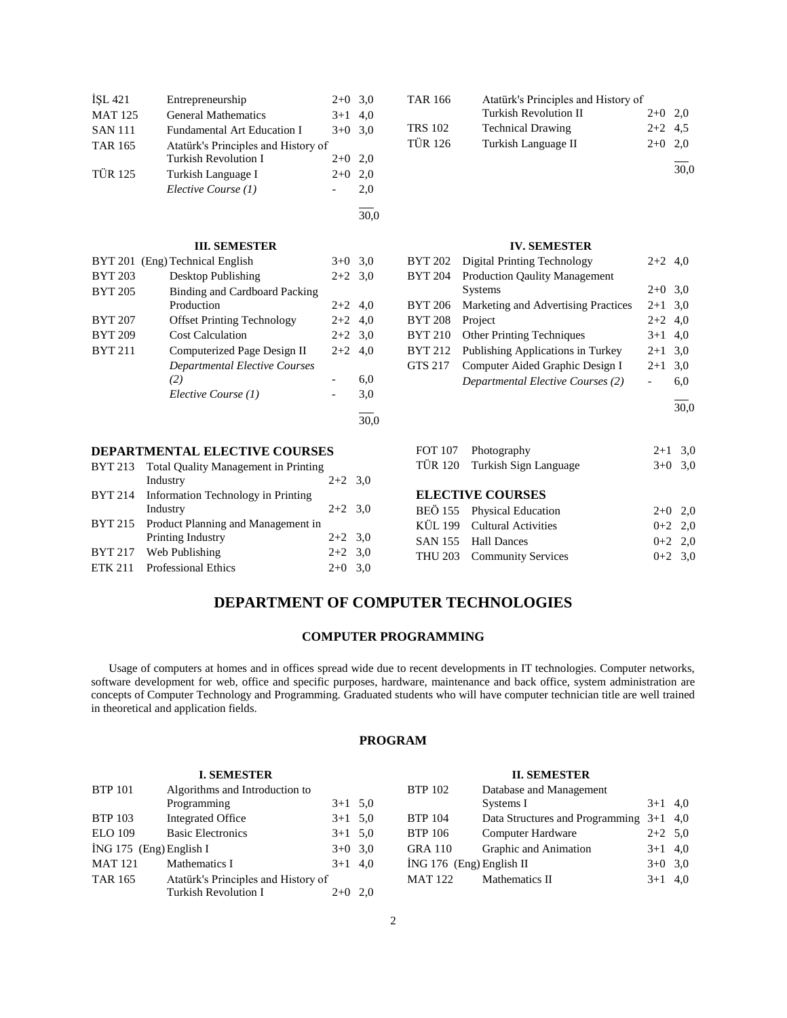| ISL 421        | Entrepreneurship                    | $2+0$ | 3,0 |
|----------------|-------------------------------------|-------|-----|
| <b>MAT 125</b> | <b>General Mathematics</b>          | $3+1$ | 4,0 |
| <b>SAN 111</b> | <b>Fundamental Art Education I</b>  | $3+0$ | 3.0 |
| <b>TAR 165</b> | Atatürk's Principles and History of |       |     |
|                | <b>Turkish Revolution I</b>         | $2+0$ | 2.0 |
| <b>TÜR 125</b> | Turkish Language I                  | $2+0$ | 2.0 |
|                | Elective Course (1)                 |       | 2,0 |
|                |                                     |       |     |

#### **III. SEMESTER**

|                | BYT 201 (Eng) Technical English   | $3+0$     | 3.0 |
|----------------|-----------------------------------|-----------|-----|
| <b>BYT 203</b> | Desktop Publishing                | $2+2$ 3.0 |     |
| <b>BYT 205</b> | Binding and Cardboard Packing     |           |     |
|                | Production                        | $2+2$ 4.0 |     |
| <b>BYT 207</b> | <b>Offset Printing Technology</b> | $2+2$ 4.0 |     |
| <b>BYT 209</b> | <b>Cost Calculation</b>           | $2+2$ 3.0 |     |
| <b>BYT 211</b> | Computerized Page Design II       | $2+2$     | 4.0 |
|                | Departmental Elective Courses     |           |     |
|                | (2)                               |           | 6,0 |
|                | Elective Course (1)               |           | 3,0 |
|                |                                   |           |     |

# **DEPARTMENTAL ELECTIVE COURSES**

| BYT 213 Total Quality Management in Printing |           |  |
|----------------------------------------------|-----------|--|
| Industry                                     | $2+2$ 3.0 |  |
| BYT 214 Information Technology in Printing   |           |  |
| Industry                                     | $2+2$ 3,0 |  |
| BYT 215 Product Planning and Management in   |           |  |
| Printing Industry                            | $2+2$ 3.0 |  |
| BYT 217 Web Publishing                       | $2+2$ 3,0 |  |
| ETK 211 Professional Ethics                  | $2+0$ 3,0 |  |
|                                              |           |  |

| TAR 166        | Atatürk's Principles and History of |           |      |
|----------------|-------------------------------------|-----------|------|
|                | <b>Turkish Revolution II</b>        | $2+0$ 2.0 |      |
| <b>TRS 102</b> | <b>Technical Drawing</b>            | $2+2$ 4.5 |      |
| <b>TÜR 126</b> | Turkish Language II                 | $2+0$ 2.0 |      |
|                |                                     |           | 30.0 |

### **IV. SEMESTER**

| <b>BYT 202</b> | <b>Digital Printing Technology</b>   | $2+2$ 4,0 |     |
|----------------|--------------------------------------|-----------|-----|
| <b>BYT 204</b> | <b>Production Qaulity Management</b> |           |     |
|                | <b>Systems</b>                       | $2+0$ 3.0 |     |
| <b>BYT 206</b> | Marketing and Advertising Practices  | $2+1$ 3,0 |     |
| <b>BYT 208</b> | Project                              | $2+2$ 4.0 |     |
| <b>BYT 210</b> | <b>Other Printing Techniques</b>     | $3+1$ 4,0 |     |
| <b>BYT 212</b> | Publishing Applications in Turkey    | $2 + 1$   | 3,0 |
| <b>GTS 217</b> | Computer Aided Graphic Design I      | $2 + 1$   | 3.0 |
|                | Departmental Elective Courses (2)    |           | 6,0 |
|                |                                      |           |     |

| FOT 107 Photography | $2+1$ 3.0 |  |
|---------------------|-----------|--|

| .                             |           |  |
|-------------------------------|-----------|--|
| TÜR 120 Turkish Sign Language | $3+0$ 3,0 |  |

# **ELECTIVE COURSES**

| BEÖ 155 Physical Education<br>KÜL 199 Cultural Activities<br>SAN 155 Hall Dances<br>THU 203 Community Services | $2+0$ 2.0<br>$0+2$ 2.0<br>$0+2$ 2.0<br>$0+2$ 3.0 |
|----------------------------------------------------------------------------------------------------------------|--------------------------------------------------|

# **DEPARTMENT OF COMPUTER TECHNOLOGIES**

30,0

30,0

# **COMPUTER PROGRAMMING**

 Usage of computers at homes and in offices spread wide due to recent developments in IT technologies. Computer networks, software development for web, office and specific purposes, hardware, maintenance and back office, system administration are concepts of Computer Technology and Programming. Graduated students who will have computer technician title are well trained in theoretical and application fields.

# **PROGRAM**

# **I. SEMESTER** BTP 101 Algorithms and Introduction to Programming  $3+1$  5,0 BTP 103 Integrated Office 3+1 5,0 ELO 109 Basic Electronics 3+1 5,0

| İNG 175 (Eng) English I |                                     | $3+0$ 3.0 |  |
|-------------------------|-------------------------------------|-----------|--|
| MAT 121                 | Mathematics I                       | $3+1$ 4.0 |  |
| TAR 165                 | Atatürk's Principles and History of |           |  |
|                         | Turkish Revolution I                | $2+0$ 2.0 |  |

### **II. SEMESTER**

| <b>BTP 102</b>           | Database and Management                   |           |  |
|--------------------------|-------------------------------------------|-----------|--|
|                          | Systems I                                 | $3+1$ 4,0 |  |
| <b>BTP 104</b>           | Data Structures and Programming $3+1$ 4,0 |           |  |
| <b>BTP 106</b>           | Computer Hardware                         | $2+2$ 5.0 |  |
| <b>GRA 110</b>           | Graphic and Animation                     | $3+1$ 4,0 |  |
| İNG 176 (Eng) English II |                                           | $3+0$ 3.0 |  |
| MAT 122                  | Mathematics II                            | $3+1$ 4.0 |  |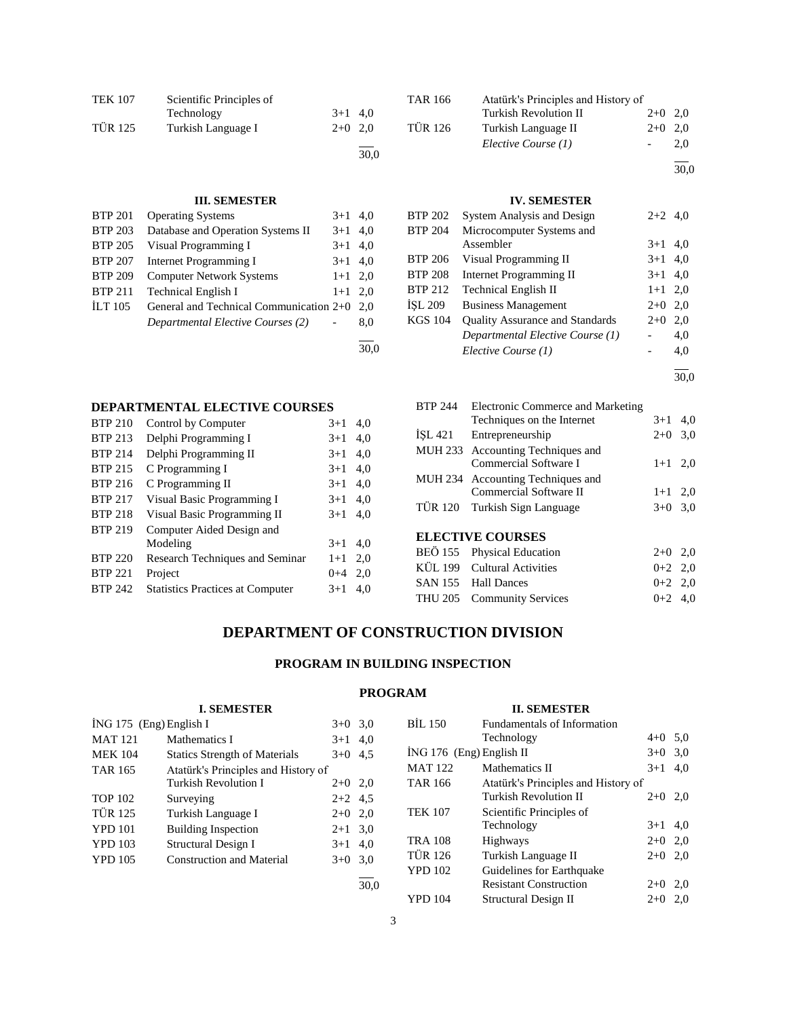| <b>TEK 107</b> | Scientific Principles of |           |      |
|----------------|--------------------------|-----------|------|
|                | Technology               | $3+1$ 4,0 |      |
| <b>TÜR 125</b> | Turkish Language I       | $2+0$ 2.0 |      |
|                |                          |           | 30.0 |

### **III. SEMESTER**

| <b>BTP 201</b> | <b>Operating Systems</b>                | $3+1$     | 4,0 |
|----------------|-----------------------------------------|-----------|-----|
| <b>BTP 203</b> | Database and Operation Systems II       | $3+1$     | 4.0 |
| <b>BTP 205</b> | Visual Programming I                    | $3+1$     | 4.0 |
| <b>BTP 207</b> | Internet Programming I                  | $3+1$ 4,0 |     |
| <b>BTP 209</b> | <b>Computer Network Systems</b>         | $1+1$ 2,0 |     |
| <b>BTP 211</b> | <b>Technical English I</b>              | $1+1$ 2.0 |     |
| ILT $105$      | General and Technical Communication 2+0 |           | 2.0 |
|                | Departmental Elective Courses (2)       |           | 8,0 |
|                |                                         |           |     |

30,0

# **DEPARTMENTAL ELECTIVE COURSES** BTP 210 Control by Computer 3+1 4,0 BTP 213 Delphi Programming I 3+1 4,0<br>BTP 214 Delphi Programming II 3+1 4,0<br>BTP 215 C Programming I 3+1 4,0 BTP 213 Delphi Programming I<br>BTP 214 Delphi Programming II BTP 215 C Programming I BTP 216 C Programming II  $3+1$  4,0 BTP 217 Visual Basic Programming I 3+1 4,0 BTP 218 Visual Basic Programming II 3+1 4,0 BTP 219 Computer Aided Design and Modeling  $3+1$  4,0 BTP 220 Research Techniques and Seminar 1+1 2,0 BTP 221 Project 0+4 2,0 BTP 242 Statistics Practices at Computer 3+1 4,0

| <b>TAR 166</b> | Atatürk's Principles and History of |           |     |
|----------------|-------------------------------------|-----------|-----|
|                | Turkish Revolution II               | $2+0$ 2,0 |     |
| <b>TÜR 126</b> | Turkish Language II                 | $2+0$ 2,0 |     |
|                | Elective Course (1)                 |           | 2.0 |
|                |                                     |           |     |

30,0

#### **IV. SEMESTER**

| <b>BTP 202</b> | System Analysis and Design             | $2+2$ 4,0 |     |
|----------------|----------------------------------------|-----------|-----|
| <b>BTP 204</b> | Microcomputer Systems and              |           |     |
|                | Assembler                              | $3+1$     | 4.0 |
| <b>BTP 206</b> | Visual Programming II                  | $3+1$ 4.0 |     |
| <b>BTP 208</b> | <b>Internet Programming II</b>         | $3+1$     | 4,0 |
| <b>BTP 212</b> | <b>Technical English II</b>            | $1+1$ 2,0 |     |
| ISL 209        | <b>Business Management</b>             | $2+0$     | 2.0 |
| <b>KGS 104</b> | <b>Quality Assurance and Standards</b> | $2+0$     | 2.0 |
|                | Departmental Elective Course (1)       |           | 4,0 |
|                | Elective Course (1)                    |           | 4.0 |
|                |                                        |           |     |

30,0

|         | BTP 244 Electronic Commerce and Marketing                 |           |     |
|---------|-----------------------------------------------------------|-----------|-----|
|         | Techniques on the Internet                                | $3+1$     | 4,0 |
| ISL 421 | Entrepreneurship                                          | $2+0$ 3.0 |     |
|         | MUH 233 Accounting Techniques and                         |           |     |
|         | Commercial Software I                                     | $1+1$ 2.0 |     |
|         | MUH 234 Accounting Techniques and                         |           |     |
|         | Commercial Software II                                    | $1+1$     | 2,0 |
|         | TÜR 120 Turkish Sign Language                             | $3+0$ 3,0 |     |
|         |                                                           |           |     |
|         | <b>ELECTIVE COURSES</b>                                   |           |     |
|         | $\overline{DEO}$ 155 $\overline{D}$ Dhysical $Edu$ cation | 20 P.A    |     |

| BEÖ 155 Physical Education  | $2+0$ 2,0 |  |
|-----------------------------|-----------|--|
| KÜL 199 Cultural Activities | $0+2$ 2.0 |  |
| SAN 155 Hall Dances         | $0+2$ 2.0 |  |
| THU 205 Community Services  | $0+2$ 4.0 |  |

# **DEPARTMENT OF CONSTRUCTION DIVISION**

# **PROGRAM IN BUILDING INSPECTION**

# **PROGRAM**

|                         | <b>I. SEMESTER</b>                   |           |      |                          | <b>II. SEMESTER</b>                 |           |  |
|-------------------------|--------------------------------------|-----------|------|--------------------------|-------------------------------------|-----------|--|
| İNG 175 (Eng) English I |                                      | $3+0$ 3.0 |      | <b>BIL 150</b>           | Fundamentals of Information         |           |  |
| <b>MAT 121</b>          | Mathematics I                        | $3+1$ 4,0 |      |                          | Technology                          | $4+0$ 5,0 |  |
| <b>MEK 104</b>          | <b>Statics Strength of Materials</b> | $3+0$ 4.5 |      | ING 176 (Eng) English II |                                     | $3+0$ 3.0 |  |
| <b>TAR 165</b>          | Atatürk's Principles and History of  |           |      | <b>MAT 122</b>           | Mathematics II                      | $3+1$ 4,0 |  |
|                         | <b>Turkish Revolution I</b>          | $2+0$ 2,0 |      | <b>TAR 166</b>           | Atatürk's Principles and History of |           |  |
| <b>TOP 102</b>          | Surveying                            | $2+2$ 4.5 |      |                          | <b>Turkish Revolution II</b>        | $2+0$ 2,0 |  |
| <b>TÜR 125</b>          | Turkish Language I                   | $2+0$ 2,0 |      | <b>TEK 107</b>           | Scientific Principles of            |           |  |
| <b>YPD 101</b>          | <b>Building Inspection</b>           | $2+1$ 3.0 |      |                          | Technology                          | $3+1$ 4,0 |  |
| <b>YPD 103</b>          | Structural Design I                  | $3+1$ 4,0 |      | <b>TRA 108</b>           | <b>Highways</b>                     | $2+0$ 2,0 |  |
| <b>YPD 105</b>          | Construction and Material            | $3+0$ 3.0 |      | <b>TÜR 126</b>           | Turkish Language II                 | $2+0$ 2,0 |  |
|                         |                                      |           |      | <b>YPD 102</b>           | Guidelines for Earthquake           |           |  |
|                         |                                      |           | 30,0 |                          | <b>Resistant Construction</b>       | $2+0$ 2,0 |  |
|                         |                                      |           |      | <b>YPD 104</b>           | <b>Structural Design II</b>         | $2+0$ 2.0 |  |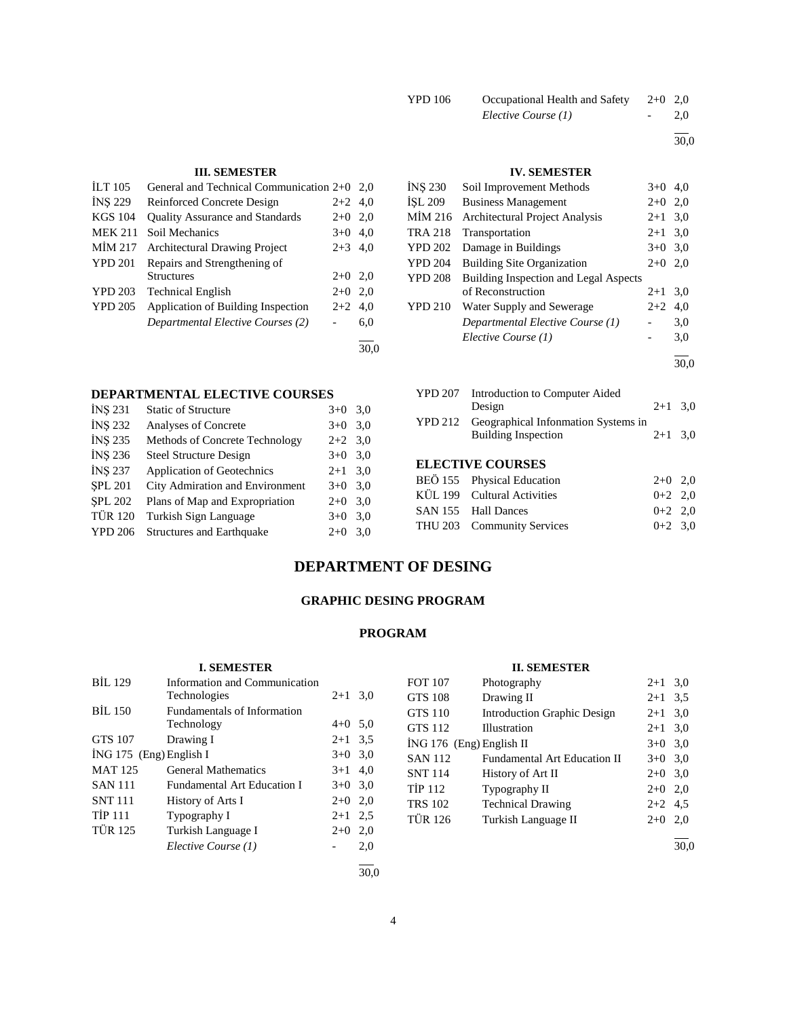| YPD 106 | Occupational Health and Safety | $2+0$ 2,0 |     |
|---------|--------------------------------|-----------|-----|
|         | Elective Course (1)            | -         | 2.0 |

l

30,0

# **III. SEMESTER**

| <b>ILT</b> 105 | General and Technical Communication 2+0 2,0 |           |     |
|----------------|---------------------------------------------|-----------|-----|
| <b>INS 229</b> | Reinforced Concrete Design                  | $2+2$ 4,0 |     |
| <b>KGS 104</b> | <b>Quality Assurance and Standards</b>      | $2+0$ 2,0 |     |
| <b>MEK 211</b> | Soil Mechanics                              | $3+0$ 4,0 |     |
| MIM 217        | <b>Architectural Drawing Project</b>        | $2+3$ 4.0 |     |
| <b>YPD 201</b> | Repairs and Strengthening of                |           |     |
|                | <b>Structures</b>                           | $2+0$ 2,0 |     |
| <b>YPD 203</b> | <b>Technical English</b>                    | $2+0$ 2.0 |     |
| <b>YPD 205</b> | Application of Building Inspection          | $2+2$ 4.0 |     |
|                | Departmental Elective Courses (2)           |           | 6,0 |
|                |                                             |           |     |

30,0

### **DEPARTMENTAL ELECTIVE COURSES**

| INS 231        | <b>Static of Structure</b>       | $3+0$     | 3,0 |
|----------------|----------------------------------|-----------|-----|
| <b>INS 232</b> | Analyses of Concrete             | $3+0$     | 3,0 |
| <b>INS 235</b> | Methods of Concrete Technology   | $2+2$ 3.0 |     |
| <b>INS 236</b> | <b>Steel Structure Design</b>    | $3+0$     | 3,0 |
| <b>INS 237</b> | Application of Geotechnics       | $2+1$ 3.0 |     |
| <b>SPL 201</b> | City Admiration and Environment  | $3+0$     | 3,0 |
| <b>SPL 202</b> | Plans of Map and Expropriation   | $2+0$     | 3,0 |
| <b>TÜR 120</b> | Turkish Sign Language            | $3+0$     | 3,0 |
| <b>YPD 206</b> | <b>Structures and Earthquake</b> | $2+0$     | 3,0 |
|                |                                  |           |     |

# **IV. SEMESTER**

| <b>INS 230</b> | Soil Improvement Methods              | $3+0$     | 4.0 |
|----------------|---------------------------------------|-----------|-----|
| <b>İSL 209</b> | <b>Business Management</b>            | $2+0$ 2,0 |     |
| MIM 216        | <b>Architectural Project Analysis</b> | $2 + 1$   | 3,0 |
| <b>TRA 218</b> | Transportation                        | $2 + 1$   | 3,0 |
| <b>YPD 202</b> | Damage in Buildings                   | $3+0$ 3,0 |     |
| <b>YPD 204</b> | <b>Building Site Organization</b>     | $2+0$ 2,0 |     |
| <b>YPD 208</b> | Building Inspection and Legal Aspects |           |     |
|                | of Reconstruction                     | $2 + 1$   | 3,0 |
| <b>YPD 210</b> | Water Supply and Sewerage             | $2+2$     | 4,0 |
|                | Departmental Elective Course (1)      |           | 3,0 |
|                | Elective Course (1)                   |           | 3,0 |
|                |                                       |           |     |

30,0

| YPD 207 Introduction to Computer Aided      |           |  |
|---------------------------------------------|-----------|--|
| Design                                      | $2+1$ 3.0 |  |
| YPD 212 Geographical Information Systems in |           |  |
| <b>Building Inspection</b>                  | $2+1$ 3.0 |  |
|                                             |           |  |
| <b>ELECTIVE COURSES</b>                     |           |  |
| BEÖ 155 Physical Education                  | $2+0$ 2.0 |  |

| BEO 155 Physical Education  | $2+0$ 2,0 |  |
|-----------------------------|-----------|--|
| KÜL 199 Cultural Activities | $0+2$ 2,0 |  |
| SAN 155 Hall Dances         | $0+2$ 2,0 |  |
| THU 203 Community Services  | $0+2$ 3.0 |  |
|                             |           |  |

# **DEPARTMENT OF DESING**

# **GRAPHIC DESING PROGRAM**

# **PROGRAM**

# **I. SEMESTER**

| <b>BIL 129</b>            | <b>Information and Communication</b> |           |      |
|---------------------------|--------------------------------------|-----------|------|
|                           | Technologies                         | $2 + 1$   | 3,0  |
| <b>BIL 150</b>            | <b>Fundamentals of Information</b>   |           |      |
|                           | Technology                           | $4+0$ 5,0 |      |
| <b>GTS 107</b>            | Drawing I                            | $2+1$ 3.5 |      |
| $ING 175$ (Eng) English I |                                      | $3+0$ 3.0 |      |
| <b>MAT 125</b>            | <b>General Mathematics</b>           | $3+1$ 4,0 |      |
| <b>SAN 111</b>            | <b>Fundamental Art Education I</b>   | $3+0$ 3.0 |      |
| <b>SNT 111</b>            | History of Arts I                    | $2+0$ 2,0 |      |
| <b>TIP 111</b>            | Typography I                         | $2 + 1$   | 2.5  |
| <b>TÜR 125</b>            | Turkish Language I                   | $2+0$     | 2,0  |
|                           | Elective Course (1)                  |           | 2,0  |
|                           |                                      |           | 30.0 |

# **II. SEMESTER**

| <b>FOT 107</b>           | Photography                         | $2+1$     | 3,0 |
|--------------------------|-------------------------------------|-----------|-----|
| <b>GTS 108</b>           | Drawing II                          | $2+1$ 3.5 |     |
| <b>GTS 110</b>           | <b>Introduction Graphic Design</b>  | $2 + 1$   | 3,0 |
| <b>GTS 112</b>           | Illustration                        | $2+1$ 3,0 |     |
| ING 176 (Eng) English II |                                     | $3+0$     | 3,0 |
| <b>SAN 112</b>           | <b>Fundamental Art Education II</b> | $3+0$ 3.0 |     |
| <b>SNT 114</b>           | History of Art II                   | $2+0$     | 3,0 |
| <b>TIP 112</b>           | Typography II                       | $2+0$     | 2,0 |
| <b>TRS 102</b>           | <b>Technical Drawing</b>            | $2+2$ 4.5 |     |
| <b>TÜR 126</b>           | Turkish Language II                 | $2+0$     | 2,0 |
|                          |                                     |           |     |

30,0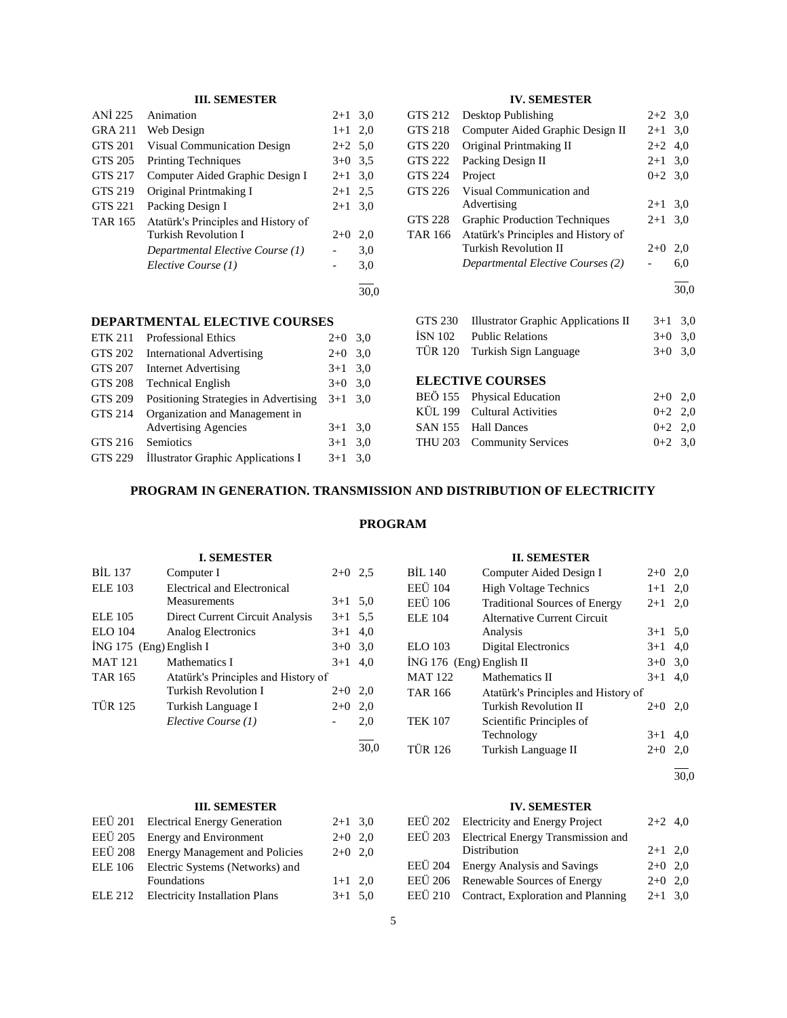# **III. SEMESTER**

| ANI 225        | Animation                           | $2+1$     | 3,0  |
|----------------|-------------------------------------|-----------|------|
| <b>GRA 211</b> | Web Design                          | $1+1$     | 2,0  |
| <b>GTS 201</b> | <b>Visual Communication Design</b>  | $2+2$ 5.0 |      |
| GTS 205        | <b>Printing Techniques</b>          | $3+0$     | 3.5  |
| GTS 217        | Computer Aided Graphic Design I     | $2+1$     | 3,0  |
| GTS 219        | Original Printmaking I              | $2+1$     | 2.5  |
| <b>GTS 221</b> | Packing Design I                    | $2+1$     | 3,0  |
| <b>TAR 165</b> | Atatürk's Principles and History of |           |      |
|                | <b>Turkish Revolution I</b>         | $2+0$     | 2,0  |
|                | Departmental Elective Course (1)    |           | 3,0  |
|                | Elective Course (1)                 |           | 3,0  |
|                |                                     |           | 30.0 |

#### **DEPARTMENTAL ELECTIVE COURSES**

| <b>ETK 211</b> | <b>Professional Ethics</b>            | $2+0$     | 3,0 |
|----------------|---------------------------------------|-----------|-----|
| <b>GTS 202</b> | <b>International Advertising</b>      | $2+0$     | 3,0 |
| <b>GTS 207</b> | <b>Internet Advertising</b>           | $3+1$     | 3,0 |
| <b>GTS 208</b> | <b>Technical English</b>              | $3+0$     | 3,0 |
| <b>GTS 209</b> | Positioning Strategies in Advertising | $3+1$ 3.0 |     |
| <b>GTS 214</b> | Organization and Management in        |           |     |
|                | <b>Advertising Agencies</b>           | $3+1$     | 3,0 |
| GTS 216        | Semiotics                             | $3+1$     | 3,0 |
| GTS 229        | Illustrator Graphic Applications I    | $3+1$     | 3,0 |
|                |                                       |           |     |

# **IV. SEMESTER**

| GTS 212        | Desktop Publishing                   | $2+2$ 3.0 |      |
|----------------|--------------------------------------|-----------|------|
| GTS 218        | Computer Aided Graphic Design II     | $2+1$ 3,0 |      |
| GTS 220        | Original Printmaking II              | $2+2$ 4,0 |      |
| GTS 222        | Packing Design II                    | $2+1$ 3,0 |      |
| GTS 224        | Project                              | $0+2$ 3.0 |      |
| GTS 226        | Visual Communication and             |           |      |
|                | Advertising                          | $2+1$ 3,0 |      |
| <b>GTS 228</b> | <b>Graphic Production Techniques</b> | $2+1$ 3,0 |      |
| <b>TAR 166</b> | Atatürk's Principles and History of  |           |      |
|                | Turkish Revolution II                | $2+0$     | 2,0  |
|                | Departmental Elective Courses (2)    |           | 6,0  |
|                |                                      |           | 30,0 |
| GTS 230        | Illustrator Graphic Applications II  | $3+1$     | 3,0  |

|         | OTS 250 THUSHAOI ORADHIC Applications II | $3+1$ $3.0$ |  |
|---------|------------------------------------------|-------------|--|
| ÍSN 102 | <b>Public Relations</b>                  | $3+0$ 3.0   |  |
|         | TÜR 120 Turkish Sign Language            | $3+0$ 3.0   |  |

# **ELECTIVE COURSES**

| BEÖ 155 Physical Education  | $2+0$ 2,0 |  |
|-----------------------------|-----------|--|
| KÜL 199 Cultural Activities | $0+2$ 2.0 |  |
| SAN 155 Hall Dances         | $0+2$ 2.0 |  |
| THU 203 Community Services  | $0+2$ 3.0 |  |

# **PROGRAM IN GENERATION. TRANSMISSION AND DISTRIBUTION OF ELECTRICITY**

# **PROGRAM**

#### **I. SEMESTER** BİL 137 Computer I 2+0 2,5 ELE 103 Electrical and Electronical Measurements 3+1 5,0 ELE 105 Direct Current Circuit Analysis 3+1 5,5 ELO 104 Analog Electronics 3+1 4,0  $i$ NG 175 (Eng) English I  $3+0$  3,0 MAT 121 Mathematics I  $3+1$  4,0 TAR 165 Atatürk's Principles and History of Turkish Revolution I 2+0 2,0 TÜR 125 Turkish Language I 2+0 2,0 *Elective Course (1)* - 2,0 l 30,0 **II. SEMESTER** BİL 140 Computer Aided Design I  $2+0$  2,0 EEÜ 104 High Voltage Technics 1+1 2,0 EEÜ 106 Traditional Sources of Energy 2+1 2,0 ELE 104 Alternative Current Circuit Analysis  $3+1$  5,0 ELO 103 Digital Electronics 3+1 4,0 İNG 176 (Eng) English II 3+0 3,0 MAT 122 Mathematics II  $3+1$  4,0 TAR 166 Atatürk's Principles and History of Turkish Revolution II 2+0 2,0 TEK 107 Scientific Principles of Technology 3+1 4,0 TÜR 126 Turkish Language II 2+0 2,0

 $\overline{a}$ 30,0

# **IV. SEMESTER**

| EEÜ 203 Electrical Energy Transmission and              | $2+2$ 4,0 |
|---------------------------------------------------------|-----------|
|                                                         |           |
| Distribution<br>$2+1$ 2,0                               |           |
| EEÜ 204 Energy Analysis and Savings<br>$2+0$ 2.0        |           |
| EEÜ 206 Renewable Sources of Energy<br>$2+0$ 2.0        |           |
| EEÜ 210 Contract, Exploration and Planning<br>$2+1$ 3.0 |           |

|  | III. SEMESTER |  |
|--|---------------|--|
|--|---------------|--|

| EEÜ 201 Electrical Energy Generation    | $2+1$ 3,0 |  |
|-----------------------------------------|-----------|--|
| EEÜ 205 Energy and Environment          | $2+0$ 2,0 |  |
| EEÜ 208 Energy Management and Policies  | $2+0$ 2.0 |  |
| ELE 106 Electric Systems (Networks) and |           |  |
| Foundations                             | $1+1$ 2.0 |  |
| ELE 212 Electricity Installation Plans  | $3+1$ 5,0 |  |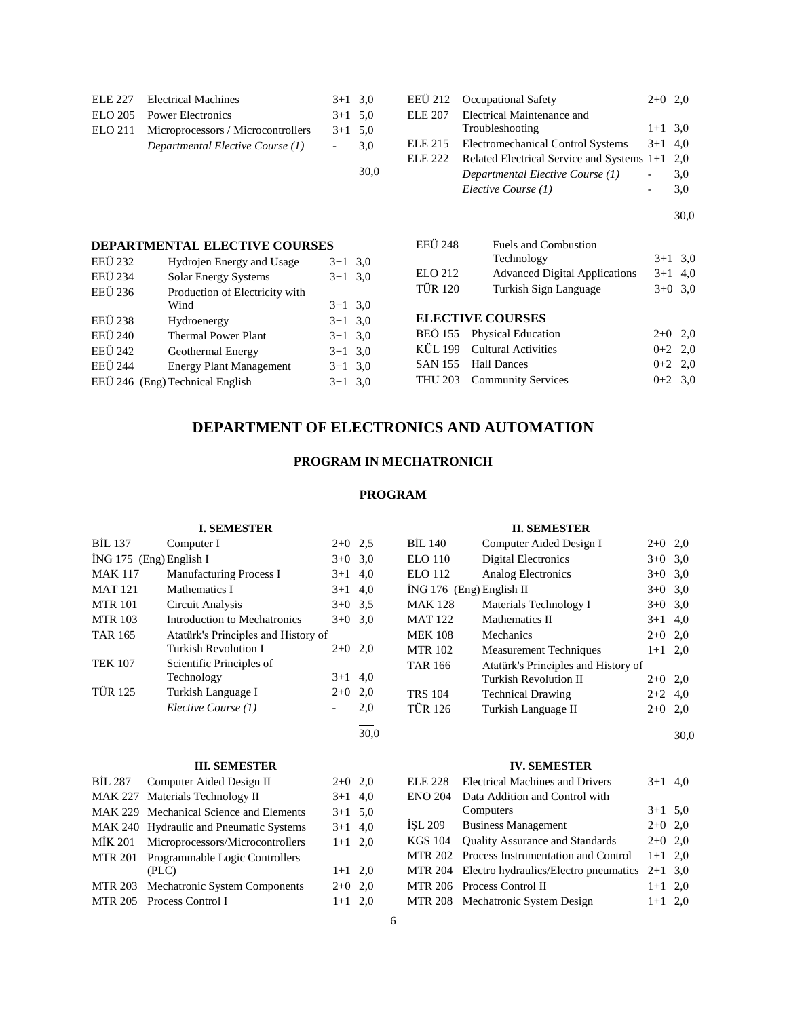| ELE 227 Electrical Machines                | $3+1$ 3.0       |     |
|--------------------------------------------|-----------------|-----|
| ELO 205 Power Electronics                  | $3+1$ 5.0       |     |
| ELO 211 Microprocessors / Microcontrollers | $3+1$ 5.0       |     |
| Departmental Elective Course (1)           | $\sim$ 10 $\pm$ | 3.0 |
|                                            |                 |     |

| EEÜ 212        | <b>Occupational Safety</b>                     | $2+0$ 2,0 |     |
|----------------|------------------------------------------------|-----------|-----|
| <b>ELE 207</b> | Electrical Maintenance and                     |           |     |
|                | Troubleshooting                                | $1+1$ 3,0 |     |
| ELE 215        | Electromechanical Control Systems              | $3+1$ 4.0 |     |
| ELE 222        | Related Electrical Service and Systems 1+1 2,0 |           |     |
|                | Departmental Elective Course (1)               |           | 3,0 |
|                | Elective Course (1)                            |           | 3,0 |
|                |                                                |           |     |

|                | DEPARTMENTAL ELECTIVE COURSES   |           |     |
|----------------|---------------------------------|-----------|-----|
| <b>EEÜ 232</b> | Hydrojen Energy and Usage       | $3+1$     | 3,0 |
| <b>EEÜ 234</b> | Solar Energy Systems            | $3+1$ 3,0 |     |
| <b>EEÜ 236</b> | Production of Electricity with  |           |     |
|                | Wind                            | $3+1$ 3,0 |     |
| <b>EEÜ 238</b> | Hydroenergy                     | $3+1$ 3,0 |     |
| <b>EEÜ 240</b> | <b>Thermal Power Plant</b>      | $3+1$ 3,0 |     |
| <b>EEÜ</b> 242 | Geothermal Energy               | $3+1$ 3,0 |     |
| <b>EEÜ 244</b> | <b>Energy Plant Management</b>  | $3+1$ 3,0 |     |
|                | EEÜ 246 (Eng) Technical English | $3+1$ 3,0 |     |
|                |                                 |           |     |

| <b>EEÜ 248</b>          | <b>Fuels and Combustion</b>                   |                                         |               |
|-------------------------|-----------------------------------------------|-----------------------------------------|---------------|
|                         | Technology                                    | $3+1$ 3.0                               |               |
| ELO 212                 | <b>Advanced Digital Applications</b>          | $3+1$ 4,0                               |               |
| <b>TÜR 120</b>          | Turkish Sign Language                         | $3+0$ 3,0                               |               |
| <b>ELECTIVE COURSES</b> | $D P \ddot{O} 155 \quad D1 \quad D1 \quad D2$ | $\mathbf{\Omega} \cdot \mathbf{\Omega}$ | $\sim$ $\sim$ |

| BEÖ 155 Physical Education  | $2+0$ 2.0 |  |
|-----------------------------|-----------|--|
| KUL 199 Cultural Activities | $0+2$ 2,0 |  |
| SAN 155 Hall Dances         | $0+2$ 2.0 |  |
| THU 203 Community Services  | $0+2$ 3.0 |  |

# **DEPARTMENT OF ELECTRONICS AND AUTOMATION**

30,0

# **PROGRAM IN MECHATRONICH**

# **PROGRAM**

|                | <b>I. SEMESTER</b>                      |                          |      |                | <b>II. SEMESTER</b>                    |           |      |
|----------------|-----------------------------------------|--------------------------|------|----------------|----------------------------------------|-----------|------|
| BIL 137        | Computer I                              | $2+0$ 2.5                |      | BIL 140        | Computer Aided Design I                | $2+0$ 2,0 |      |
|                | İNG 175 (Eng) English I                 | $3+0$                    | 3,0  | <b>ELO 110</b> | <b>Digital Electronics</b>             | $3+0$ 3,0 |      |
| <b>MAK 117</b> | Manufacturing Process I                 | $3 + 1$                  | 4,0  | <b>ELO</b> 112 | Analog Electronics                     | $3+0$     | 3,0  |
| <b>MAT 121</b> | Mathematics I                           | $3+1$                    | 4.0  |                | $ING 176$ (Eng) English II             | $3+0$     | 3,0  |
| <b>MTR 101</b> | Circuit Analysis                        | $3+0$ 3.5                |      | <b>MAK 128</b> | Materials Technology I                 | $3+0$     | 3,0  |
| <b>MTR 103</b> | Introduction to Mechatronics            | $3+0$                    | 3,0  | <b>MAT 122</b> | Mathematics II                         | $3+1$     | 4,0  |
| <b>TAR 165</b> | Atatürk's Principles and History of     |                          |      | <b>MEK 108</b> | Mechanics                              | $2+0$ 2,0 |      |
|                | <b>Turkish Revolution I</b>             | $2+0$ 2,0                |      | <b>MTR 102</b> | <b>Measurement Techniques</b>          | $1+1$ 2,0 |      |
| <b>TEK 107</b> | Scientific Principles of                |                          |      | <b>TAR 166</b> | Atatürk's Principles and History of    |           |      |
|                | Technology                              | $3+1$                    | 4.0  |                | <b>Turkish Revolution II</b>           | $2+0$ 2,0 |      |
| <b>TÜR 125</b> | Turkish Language I                      | $2+0$                    | 2,0  | <b>TRS 104</b> | <b>Technical Drawing</b>               | $2+2$     | 4,0  |
|                | Elective Course (1)                     | $\overline{\phantom{a}}$ | 2,0  | <b>TÜR 126</b> | Turkish Language II                    | $2+0$     | 2,0  |
|                |                                         |                          |      |                |                                        |           |      |
|                |                                         |                          | 30,0 |                |                                        |           | 30,0 |
|                | <b>III. SEMESTER</b>                    |                          |      |                | <b>IV. SEMESTER</b>                    |           |      |
| <b>BIL 287</b> | Computer Aided Design II                | $2+0$ 2,0                |      | ELE 228        | <b>Electrical Machines and Drivers</b> | $3+1$ 4,0 |      |
| <b>MAK 227</b> | Materials Technology II                 | $3+1$                    | 4,0  | <b>ENO 204</b> | Data Addition and Control with         |           |      |
| <b>MAK 229</b> | Mechanical Science and Elements         | $3 + 1$                  | 5,0  |                | Computers                              | $3+1$ 5.0 |      |
|                | MAK 240 Hydraulic and Pneumatic Systems | $3+1$                    | 4,0  | ISL 209        | <b>Business Management</b>             | $2+0$ 2,0 |      |
| <b>MIK 201</b> | Microprocessors/Microcontrollers        | $1+1$ 2,0                |      | <b>KGS 104</b> | <b>Quality Assurance and Standards</b> | $2+0$ 2,0 |      |
| <b>MTR 201</b> | Programmable Logic Controllers          |                          |      | <b>MTR 202</b> | Process Instrumentation and Control    | $1+1$ 2,0 |      |
|                | (PLC)                                   | $1+1$ 2,0                |      | <b>MTR 204</b> | Electro hydraulics/Electro pneumatics  | $2+1$ 3,0 |      |
| <b>MTR 203</b> | Mechatronic System Components           | $2+0$                    | 2,0  | <b>MTR 206</b> | Process Control II                     | $1+1$ 2,0 |      |
| <b>MTR 205</b> | Process Control I                       | $1 + 1$                  | 2,0  | <b>MTR 208</b> | Mechatronic System Design              | $1+1$ 2,0 |      |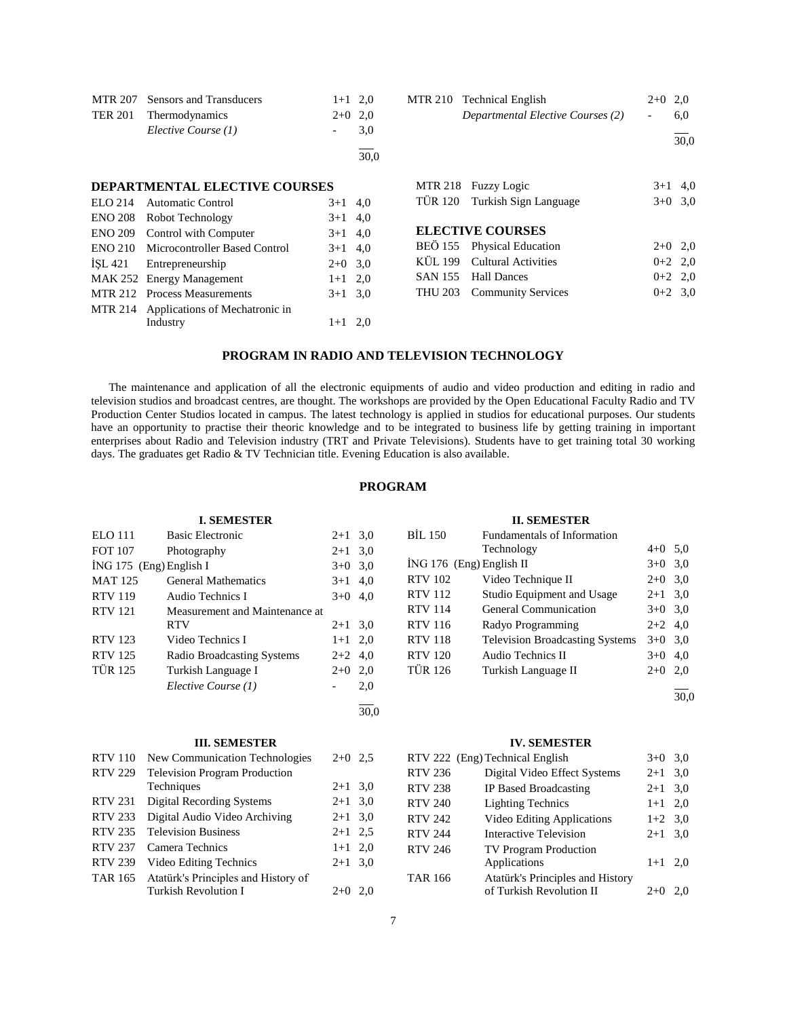| MTR 207 Sensors and Transducers | $1+1$ 2.0 |      |
|---------------------------------|-----------|------|
| TER 201 Thermodynamics          | $2+0$ 2,0 |      |
| Elective Course (1)             |           | 3.0  |
|                                 |           | 30.0 |

#### **DEPARTMENTAL ELECTIVE COURSES**

|                | ELO 214 Automatic Control                    | $3+1$ 4,0 |  |
|----------------|----------------------------------------------|-----------|--|
|                | ENO 208 Robot Technology                     | $3+1$ 4,0 |  |
| <b>ENO 209</b> | Control with Computer                        | $3+1$ 4,0 |  |
|                | <b>ENO 210</b> Microcontroller Based Control | $3+1$ 4,0 |  |
|                | ISL 421 Entrepreneurship                     | $2+0$ 3,0 |  |
|                | MAK 252 Energy Management                    | $1+1$ 2,0 |  |
|                | MTR 212 Process Measurements                 | $3+1$ 3.0 |  |
|                | MTR 214 Applications of Mechatronic in       |           |  |
|                | Industry                                     | $1+1$ 2,0 |  |
|                |                                              |           |  |

| MTR 210 Technical English<br>Departmental Elective Courses (2) | $2+0$ 2.0<br>$\sim$ $-$ | 6.0  |
|----------------------------------------------------------------|-------------------------|------|
|                                                                |                         | 30.0 |

| MTR 218 Fuzzy Logic           | $3+1$ 4,0 |  |
|-------------------------------|-----------|--|
| TÜR 120 Turkish Sign Language | $3+0$ 3,0 |  |
|                               |           |  |
| <b>ELECTIVE COURSES</b>       |           |  |
| BEÖ 155 Physical Education    | $2+0$ 2.0 |  |
| KÜL 199 Cultural Activities   | $0+2$ 2,0 |  |
| SAN 155 Hall Dances           | $0+2$ 2.0 |  |
| THU 203 Community Services    | $0+2$ 3.0 |  |
|                               |           |  |

# **PROGRAM IN RADIO AND TELEVISION TECHNOLOGY**

 The maintenance and application of all the electronic equipments of audio and video production and editing in radio and television studios and broadcast centres, are thought. The workshops are provided by the Open Educational Faculty Radio and TV Production Center Studios located in campus. The latest technology is applied in studios for educational purposes. Our students have an opportunity to practise their theoric knowledge and to be integrated to business life by getting training in important enterprises about Radio and Television industry (TRT and Private Televisions). Students have to get training total 30 working days. The graduates get Radio & TV Technician title. Evening Education is also available.

### **PROGRAM**

|                | <b>I. SEMESTER</b>                   |           |      |                | <b>II. SEMESTER</b>                    |           |      |
|----------------|--------------------------------------|-----------|------|----------------|----------------------------------------|-----------|------|
| ELO 111        | <b>Basic Electronic</b>              | $2+1$ 3,0 |      | <b>BIL 150</b> | Fundamentals of Information            |           |      |
| <b>FOT 107</b> | Photography                          | $2 + 1$   | 3,0  |                | Technology                             | $4+0$ 5.0 |      |
|                | İNG 175 (Eng) English I              | $3+0$ 3.0 |      |                | İNG 176 (Eng) English II               | $3+0$ 3,0 |      |
| <b>MAT 125</b> | <b>General Mathematics</b>           | $3+1$     | 4.0  | <b>RTV 102</b> | Video Technique II                     | $2+0$ 3,0 |      |
| <b>RTV 119</b> | Audio Technics I                     | $3+0$     | 4,0  | <b>RTV 112</b> | Studio Equipment and Usage             | $2+1$ 3,0 |      |
| <b>RTV</b> 121 | Measurement and Maintenance at       |           |      | <b>RTV 114</b> | <b>General Communication</b>           | $3+0$ 3.0 |      |
|                | <b>RTV</b>                           | $2 + 1$   | 3,0  | <b>RTV 116</b> | Radyo Programming                      | $2+2$ 4,0 |      |
| <b>RTV 123</b> | Video Technics I                     | $1+1$     | 2,0  | <b>RTV 118</b> | <b>Television Broadcasting Systems</b> | $3+0$ 3.0 |      |
| <b>RTV 125</b> | <b>Radio Broadcasting Systems</b>    | $2+2$     | 4,0  | <b>RTV 120</b> | <b>Audio Technics II</b>               | $3+0$ 4,0 |      |
| <b>TÜR 125</b> | Turkish Language I                   | $2+0$     | 2,0  | <b>TÜR 126</b> | Turkish Language II                    | $2+0$     | 2,0  |
|                | Elective Course (1)                  |           | 2,0  |                |                                        |           |      |
|                |                                      |           |      |                |                                        |           | 30,0 |
|                |                                      |           | 30,0 |                |                                        |           |      |
|                | <b>III. SEMESTER</b>                 |           |      |                | <b>IV. SEMESTER</b>                    |           |      |
| <b>RTV</b> 110 | New Communication Technologies       | $2+0$ 2.5 |      |                | RTV 222 (Eng) Technical English        | $3+0$ 3,0 |      |
| <b>RTV 229</b> | <b>Television Program Production</b> |           |      | <b>RTV 236</b> | Digital Video Effect Systems           | $2+1$ 3,0 |      |
|                | Techniques                           | $2+1$ 3.0 |      | <b>RTV 238</b> | IP Based Broadcasting                  | $2 + 1$   | 3,0  |
| <b>RTV 231</b> | <b>Digital Recording Systems</b>     | $2+1$ 3,0 |      | <b>RTV 240</b> | <b>Lighting Technics</b>               | $1+1$ 2,0 |      |
| <b>RTV 233</b> | Digital Audio Video Archiving        | $2+1$ 3,0 |      | <b>RTV 242</b> | Video Editing Applications             | $1+2$ 3,0 |      |
| <b>RTV 235</b> | <b>Television Business</b>           | $2+1$ 2,5 |      | <b>RTV 244</b> | <b>Interactive Television</b>          | $2+1$ 3,0 |      |
| <b>RTV 237</b> | Camera Technics                      | $1+1$ 2,0 |      | <b>RTV 246</b> | <b>TV Program Production</b>           |           |      |
| <b>RTV 239</b> | Video Editing Technics               | $2+1$ 3,0 |      |                | Applications                           | $1+1$ 2,0 |      |
| <b>TAR 165</b> | Atatürk's Principles and History of  |           |      | <b>TAR 166</b> | Atatürk's Principles and History       |           |      |
|                | <b>Turkish Revolution I</b>          | $2+0$ 2.0 |      |                | of Turkish Revolution II               | $2+0$ 2.0 |      |

7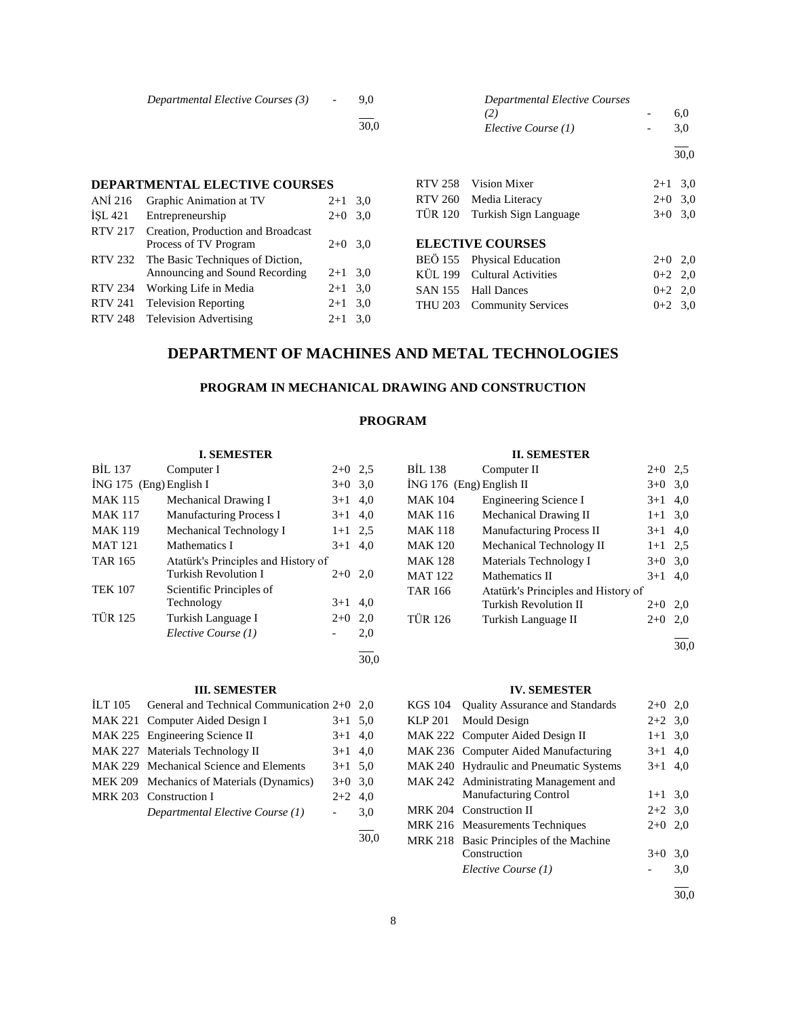|         | Departmental Elective Courses (3)    | $\overline{\phantom{0}}$ | 9.0<br>30.0 |         | <b>Departmental Elective Courses</b><br>(2.<br>Elective Course (1) | 6,0<br>3,0 |
|---------|--------------------------------------|--------------------------|-------------|---------|--------------------------------------------------------------------|------------|
|         |                                      |                          |             |         |                                                                    | 30,0       |
|         | <b>DEPARTMENTAL ELECTIVE COURSES</b> |                          |             | RTV 258 | Vision Mixer                                                       | $2+1$ 3.0  |
| ANI 216 | Graphic Animation at TV              | $2+1$ 3.0                |             | RTV 260 | Media Literacy                                                     | $2+0$ 3,0  |
| ISL 421 | Entrepreneurship                     | $2+0$ 3.0                |             | TUR 120 | Turkish Sign Language                                              | $3+0$ 3.0  |

| ISL <sub>421</sub> | Entrepreneurship                         | $2+0$ 3.0 |  |
|--------------------|------------------------------------------|-----------|--|
| RTV 217            | Creation, Production and Broadcast       |           |  |
|                    | Process of TV Program                    | $2+0$ 3.0 |  |
|                    | RTV 232 The Basic Techniques of Diction, |           |  |
|                    | Announcing and Sound Recording           | $2+1$ 3.0 |  |
| <b>RTV 234</b>     | Working Life in Media                    | $2+1$ 3.0 |  |
| <b>RTV 241</b>     | <b>Television Reporting</b>              | $2+1$ 3.0 |  |
|                    | RTV 248 Television Advertising           | $2+1$ 3.0 |  |
|                    |                                          |           |  |

|  |  | <b>ELECTIVE COURSES</b> |
|--|--|-------------------------|
|  |  |                         |

| BEÖ 155 Physical Education  | $2+0$ 2,0 |  |
|-----------------------------|-----------|--|
| KÜL 199 Cultural Activities | $0+2$ 2.0 |  |
| SAN 155 Hall Dances         | $0+2$ 2.0 |  |
| THU 203 Community Services  | $0+2$ 3.0 |  |

# **DEPARTMENT OF MACHINES AND METAL TECHNOLOGIES**

# **PROGRAM IN MECHANICAL DRAWING AND CONSTRUCTION**

# **PROGRAM**

30,0

30,0

### **I. SEMESTER**

| <b>BIL 137</b>          | Computer I                          | $2+0$   | 2.5 |
|-------------------------|-------------------------------------|---------|-----|
| İNG 175 (Eng) English I |                                     | $3+0$   | 3,0 |
| <b>MAK 115</b>          | Mechanical Drawing I                | $3+1$   | 4,0 |
| <b>MAK 117</b>          | <b>Manufacturing Process I</b>      | $3+1$   | 4,0 |
| <b>MAK 119</b>          | Mechanical Technology I             | $1 + 1$ | 2.5 |
| <b>MAT 121</b>          | Mathematics I                       | $3+1$   | 4.0 |
| <b>TAR 165</b>          | Atatürk's Principles and History of |         |     |
|                         | Turkish Revolution I                | $2+0$   | 2,0 |
| <b>TEK 107</b>          | Scientific Principles of            |         |     |
|                         | Technology                          | $3+1$   | 4.0 |
| <b>TÜR 125</b>          | Turkish Language I                  | $2+0$   | 2,0 |
|                         | Elective Course (1)                 |         | 2,0 |
|                         |                                     |         |     |

#### **III. SEMESTER**

| ILT 105 General and Technical Communication $2+0$ 2.0 |           |     |
|-------------------------------------------------------|-----------|-----|
| MAK 221 Computer Aided Design I                       | $3+1$ 5.0 |     |
| MAK 225 Engineering Science II                        | $3+1$ 4,0 |     |
| MAK 227 Materials Technology II                       | $3+1$ 4,0 |     |
| MAK 229 Mechanical Science and Elements               | $3+1$ 5.0 |     |
| MEK 209 Mechanics of Materials (Dynamics)             | $3+0$ 3.0 |     |
| MRK 203 Construction I                                | $2+2$ 4.0 |     |
| Departmental Elective Course (1)                      |           | 3,0 |
|                                                       |           |     |

# **II. SEMESTER**

| BİL 138                    | Computer II                         | $2+0$     | 2,5 |
|----------------------------|-------------------------------------|-----------|-----|
| $ING 176$ (Eng) English II |                                     | $3+0$     | 3,0 |
| <b>MAK 104</b>             | <b>Engineering Science I</b>        | $3+1$     | 4,0 |
| <b>MAK 116</b>             | Mechanical Drawing II               | $1+1$ 3,0 |     |
| <b>MAK 118</b>             | Manufacturing Process II            | $3+1$     | 4,0 |
| <b>MAK 120</b>             | Mechanical Technology II            | $1 + 1$   | 2.5 |
| <b>MAK 128</b>             | Materials Technology I              | $3+0$     | 3,0 |
| <b>MAT 122</b>             | Mathematics II                      | $3+1$     | 4.0 |
| <b>TAR 166</b>             | Atatürk's Principles and History of |           |     |
|                            | Turkish Revolution II               | $2+0$     | 2.0 |
| <b>TÜR 126</b>             | Turkish Language II                 | $2+0$     | 2,0 |
|                            |                                     |           |     |

30,0

#### **IV. SEMESTER**

| KGS 104 | <b>Ouality Assurance and Standards</b>  | $2+0$ 2,0 |      |
|---------|-----------------------------------------|-----------|------|
| KLP 201 | Mould Design                            | $2+2$ 3.0 |      |
|         | MAK 222 Computer Aided Design II        | $1 + 1$   | 3,0  |
|         | MAK 236 Computer Aided Manufacturing    | $3+1$ 4.0 |      |
|         | MAK 240 Hydraulic and Pneumatic Systems | $3+1$     | 4.0  |
|         | MAK 242 Administrating Management and   |           |      |
|         | <b>Manufacturing Control</b>            | $1+1$ 3,0 |      |
|         | MRK 204 Construction II                 | $2+2$ 3.0 |      |
|         | MRK 216 Measurements Techniques         | $2+0$ 2,0 |      |
|         | MRK 218 Basic Principles of the Machine |           |      |
|         | Construction                            | $3+0$     | 3,0  |
|         | Elective Course (1)                     |           | 3,0  |
|         |                                         |           | 30.0 |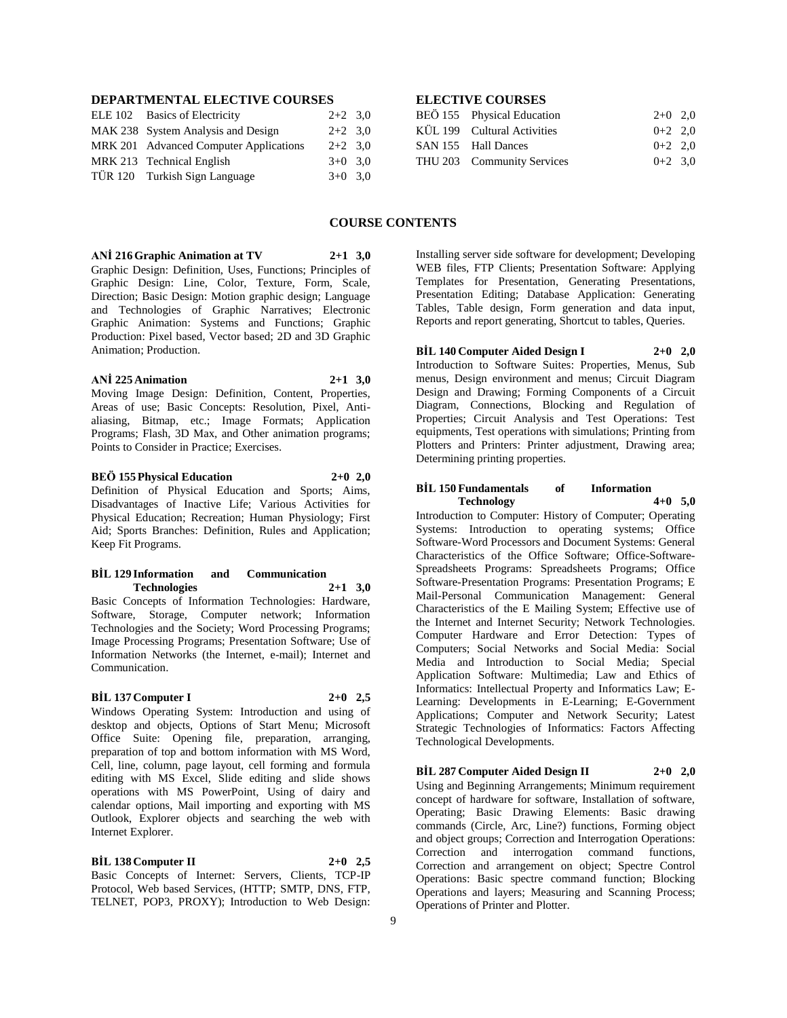# **DEPARTMENTAL ELECTIVE COURSES**

| ELE 102 Basics of Electricity          | $2+2$ 3.0 |  |
|----------------------------------------|-----------|--|
| MAK 238 System Analysis and Design     | $2+2$ 3.0 |  |
| MRK 201 Advanced Computer Applications | $2+2$ 3.0 |  |
| MRK 213 Technical English              | $3+0$ 3.0 |  |
| TÜR 120 Turkish Sign Language          | $3+0$ 3.0 |  |
|                                        |           |  |

# **ELECTIVE COURSES**

| BEÖ 155 Physical Education  | $2+0$ 2,0 |  |
|-----------------------------|-----------|--|
| KÜL 199 Cultural Activities | $0+2$ 2,0 |  |
| SAN 155 Hall Dances         | $0+2$ 2.0 |  |
| THU 203 Community Services  | $0+2$ 3.0 |  |

#### **COURSE CONTENTS**

**ANİ 216 Graphic Animation at TV 2+1 3,0**

Graphic Design: Definition, Uses, Functions; Principles of Graphic Design: Line, Color, Texture, Form, Scale, Direction; Basic Design: Motion graphic design; Language and Technologies of Graphic Narratives; Electronic Graphic Animation: Systems and Functions; Graphic Production: Pixel based, Vector based; 2D and 3D Graphic Animation; Production.

#### **ANİ 225 Animation 2+1 3,0**

Moving Image Design: Definition, Content, Properties, Areas of use; Basic Concepts: Resolution, Pixel, Antialiasing, Bitmap, etc.; Image Formats; Application Programs; Flash, 3D Max, and Other animation programs; Points to Consider in Practice; Exercises.

#### **BEÖ 155 Physical Education 2+0 2,0**

Definition of Physical Education and Sports; Aims, Disadvantages of Inactive Life; Various Activities for Physical Education; Recreation; Human Physiology; First Aid; Sports Branches: Definition, Rules and Application; Keep Fit Programs.

#### **BİL 129 Information and Communication Technologies 2+1 3,0**

Basic Concepts of Information Technologies: Hardware, Software, Storage, Computer network; Information Technologies and the Society; Word Processing Programs; Image Processing Programs; Presentation Software; Use of Information Networks (the Internet, e-mail); Internet and Communication.

# **BİL 137 Computer I 2+0 2,5**

Windows Operating System: Introduction and using of desktop and objects, Options of Start Menu; Microsoft Office Suite: Opening file, preparation, arranging, preparation of top and bottom information with MS Word, Cell, line, column, page layout, cell forming and formula editing with MS Excel, Slide editing and slide shows operations with MS PowerPoint, Using of dairy and calendar options, Mail importing and exporting with MS Outlook, Explorer objects and searching the web with Internet Explorer.

**BİL 138 Computer II 2+0 2,5** Basic Concepts of Internet: Servers, Clients, TCP-IP Protocol, Web based Services, (HTTP; SMTP, DNS, FTP, TELNET, POP3, PROXY); Introduction to Web Design:

Installing server side software for development; Developing WEB files, FTP Clients; Presentation Software: Applying Templates for Presentation, Generating Presentations, Presentation Editing; Database Application: Generating Tables, Table design, Form generation and data input, Reports and report generating, Shortcut to tables, Queries.

**BİL 140 Computer Aided Design I 2+0 2,0** Introduction to Software Suites: Properties, Menus, Sub menus, Design environment and menus; Circuit Diagram Design and Drawing; Forming Components of a Circuit Diagram, Connections, Blocking and Regulation of Properties; Circuit Analysis and Test Operations: Test equipments, Test operations with simulations; Printing from Plotters and Printers: Printer adjustment, Drawing area; Determining printing properties.

#### **BİL 150 Fundamentals of Information Technology 4+0 5,0**

Introduction to Computer: History of Computer; Operating Systems: Introduction to operating systems; Office Software-Word Processors and Document Systems: General Characteristics of the Office Software; Office-Software-Spreadsheets Programs: Spreadsheets Programs; Office Software-Presentation Programs: Presentation Programs; E Mail-Personal Communication Management: General Characteristics of the E Mailing System; Effective use of the Internet and Internet Security; Network Technologies. Computer Hardware and Error Detection: Types of Computers; Social Networks and Social Media: Social Media and Introduction to Social Media; Special Application Software: Multimedia; Law and Ethics of Informatics: Intellectual Property and Informatics Law; E-Learning: Developments in E-Learning; E-Government Applications; Computer and Network Security; Latest Strategic Technologies of Informatics: Factors Affecting Technological Developments.

**BİL 287 Computer Aided Design II 2+0 2,0**

Using and Beginning Arrangements; Minimum requirement concept of hardware for software, Installation of software, Operating; Basic Drawing Elements: Basic drawing commands (Circle, Arc, Line?) functions, Forming object and object groups; Correction and Interrogation Operations: Correction and interrogation command functions, Correction and arrangement on object; Spectre Control Operations: Basic spectre command function; Blocking Operations and layers; Measuring and Scanning Process; Operations of Printer and Plotter.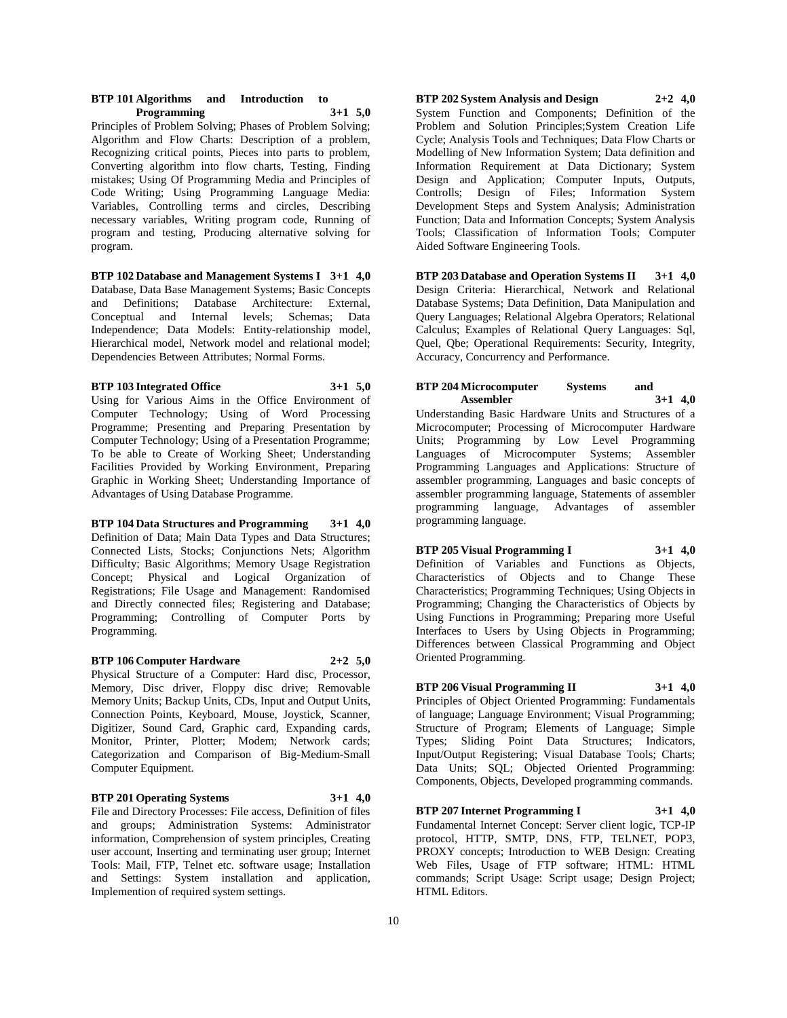#### **BTP 101 Algorithms and Introduction to Programming 3+1 5,0**

Principles of Problem Solving; Phases of Problem Solving; Algorithm and Flow Charts: Description of a problem, Recognizing critical points, Pieces into parts to problem, Converting algorithm into flow charts, Testing, Finding mistakes; Using Of Programming Media and Principles of Code Writing; Using Programming Language Media: Variables, Controlling terms and circles, Describing necessary variables, Writing program code, Running of program and testing, Producing alternative solving for program.

#### **BTP 102 Database and Management Systems I 3+1 4,0**

Database, Data Base Management Systems; Basic Concepts and Definitions; Database Architecture: External, Conceptual and Internal levels; Schemas; Data Independence; Data Models: Entity-relationship model, Hierarchical model, Network model and relational model; Dependencies Between Attributes; Normal Forms.

#### **BTP 103 Integrated Office 3+1 5,0**

Using for Various Aims in the Office Environment of Computer Technology; Using of Word Processing Programme; Presenting and Preparing Presentation by Computer Technology; Using of a Presentation Programme; To be able to Create of Working Sheet; Understanding Facilities Provided by Working Environment, Preparing Graphic in Working Sheet; Understanding Importance of Advantages of Using Database Programme.

#### **BTP 104 Data Structures and Programming 3+1 4,0** Definition of Data; Main Data Types and Data Structures; Connected Lists, Stocks; Conjunctions Nets; Algorithm Difficulty; Basic Algorithms; Memory Usage Registration Concept; Physical and Logical Organization of Registrations; File Usage and Management: Randomised and Directly connected files; Registering and Database; Programming; Controlling of Computer Ports by Programming.

#### **BTP 106 Computer Hardware 2+2 5,0**

Physical Structure of a Computer: Hard disc, Processor, Memory, Disc driver, Floppy disc drive; Removable Memory Units; Backup Units, CDs, Input and Output Units, Connection Points, Keyboard, Mouse, Joystick, Scanner, Digitizer, Sound Card, Graphic card, Expanding cards, Monitor, Printer, Plotter; Modem; Network cards; Categorization and Comparison of Big-Medium-Small Computer Equipment.

# **BTP 201 Operating Systems 3+1 4,0**

File and Directory Processes: File access, Definition of files and groups; Administration Systems: Administrator information, Comprehension of system principles, Creating user account, Inserting and terminating user group; Internet Tools: Mail, FTP, Telnet etc. software usage; Installation and Settings: System installation and application, Implemention of required system settings.

#### **BTP 202 System Analysis and Design 2+2 4,0** System Function and Components; Definition of the Problem and Solution Principles;System Creation Life Cycle; Analysis Tools and Techniques; Data Flow Charts or Modelling of New Information System; Data definition and Information Requirement at Data Dictionary; System Design and Application; Computer Inputs, Outputs, Controlls; Design of Files; Information System Development Steps and System Analysis; Administration Function; Data and Information Concepts; System Analysis Tools; Classification of Information Tools; Computer Aided Software Engineering Tools.

**BTP 203 Database and Operation Systems II 3+1 4,0** Design Criteria: Hierarchical, Network and Relational Database Systems; Data Definition, Data Manipulation and Query Languages; Relational Algebra Operators; Relational Calculus; Examples of Relational Query Languages: Sql, Quel, Qbe; Operational Requirements: Security, Integrity, Accuracy, Concurrency and Performance.

#### **BTP 204 Microcomputer Systems and Assembler 3+1 4,0**

Understanding Basic Hardware Units and Structures of a Microcomputer; Processing of Microcomputer Hardware Units; Programming by Low Level Programming Languages of Microcomputer Systems; Assembler Programming Languages and Applications: Structure of assembler programming, Languages and basic concepts of assembler programming language, Statements of assembler programming language, Advantages of assembler programming language.

**BTP 205 Visual Programming I 3+1 4,0** Definition of Variables and Functions as Objects, Characteristics of Objects and to Change These Characteristics; Programming Techniques; Using Objects in Programming; Changing the Characteristics of Objects by Using Functions in Programming; Preparing more Useful Interfaces to Users by Using Objects in Programming; Differences between Classical Programming and Object Oriented Programming.

# **BTP 206 Visual Programming II 3+1 4,0**

Principles of Object Oriented Programming: Fundamentals of language; Language Environment; Visual Programming; Structure of Program; Elements of Language; Simple Types; Sliding Point Data Structures; Indicators, Input/Output Registering; Visual Database Tools; Charts; Data Units; SQL; Objected Oriented Programming: Components, Objects, Developed programming commands.

**BTP 207 Internet Programming I 3+1 4,0** Fundamental Internet Concept: Server client logic, TCP-IP protocol, HTTP, SMTP, DNS, FTP, TELNET, POP3, PROXY concepts; Introduction to WEB Design: Creating Web Files, Usage of FTP software; HTML: HTML commands; Script Usage: Script usage; Design Project; HTML Editors.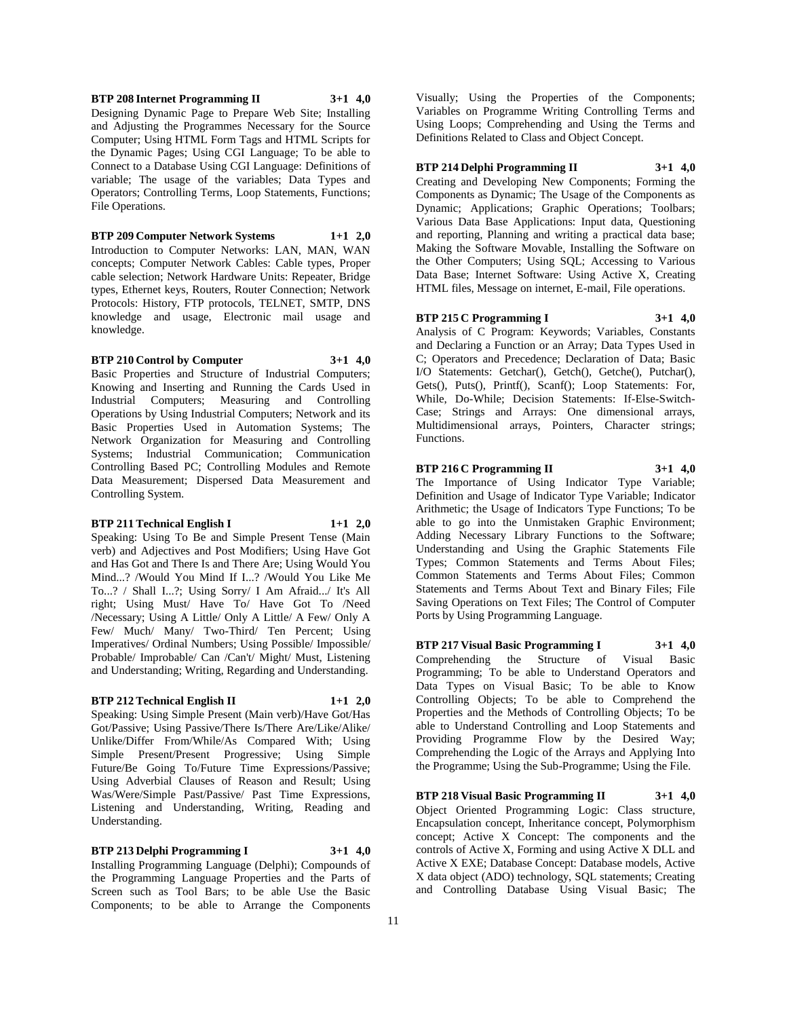**BTP 208 Internet Programming II 3+1 4,0** Designing Dynamic Page to Prepare Web Site; Installing and Adjusting the Programmes Necessary for the Source Computer; Using HTML Form Tags and HTML Scripts for the Dynamic Pages; Using CGI Language; To be able to Connect to a Database Using CGI Language: Definitions of variable; The usage of the variables; Data Types and Operators; Controlling Terms, Loop Statements, Functions; File Operations.

**BTP 209 Computer Network Systems 1+1 2,0** Introduction to Computer Networks: LAN, MAN, WAN concepts; Computer Network Cables: Cable types, Proper cable selection; Network Hardware Units: Repeater, Bridge types, Ethernet keys, Routers, Router Connection; Network Protocols: History, FTP protocols, TELNET, SMTP, DNS knowledge and usage, Electronic mail usage and knowledge.

**BTP 210 Control by Computer 3+1 4,0**

Basic Properties and Structure of Industrial Computers; Knowing and Inserting and Running the Cards Used in Industrial Computers; Measuring and Controlling Operations by Using Industrial Computers; Network and its Basic Properties Used in Automation Systems; The Network Organization for Measuring and Controlling Systems; Industrial Communication; Communication Controlling Based PC; Controlling Modules and Remote Data Measurement; Dispersed Data Measurement and Controlling System.

#### **BTP 211 Technical English I 1+1 2,0**

Speaking: Using To Be and Simple Present Tense (Main verb) and Adjectives and Post Modifiers; Using Have Got and Has Got and There Is and There Are; Using Would You Mind...? /Would You Mind If I...? /Would You Like Me To...? / Shall I...?; Using Sorry/ I Am Afraid.../ It's All right; Using Must/ Have To/ Have Got To /Need /Necessary; Using A Little/ Only A Little/ A Few/ Only A Few/ Much/ Many/ Two-Third/ Ten Percent; Using Imperatives/ Ordinal Numbers; Using Possible/ Impossible/ Probable/ Improbable/ Can /Can't/ Might/ Must, Listening and Understanding; Writing, Regarding and Understanding.

#### **BTP 212 Technical English II 1+1 2,0**

Speaking: Using Simple Present (Main verb)/Have Got/Has Got/Passive; Using Passive/There Is/There Are/Like/Alike/ Unlike/Differ From/While/As Compared With; Using Simple Present/Present Progressive; Using Simple Future/Be Going To/Future Time Expressions/Passive; Using Adverbial Clauses of Reason and Result; Using Was/Were/Simple Past/Passive/ Past Time Expressions, Listening and Understanding, Writing, Reading and Understanding.

#### **BTP 213 Delphi Programming I 3+1 4,0**

Installing Programming Language (Delphi); Compounds of the Programming Language Properties and the Parts of Screen such as Tool Bars; to be able Use the Basic Components; to be able to Arrange the Components

Visually; Using the Properties of the Components; Variables on Programme Writing Controlling Terms and Using Loops; Comprehending and Using the Terms and Definitions Related to Class and Object Concept.

#### **BTP 214 Delphi Programming II 3+1 4,0**

Creating and Developing New Components; Forming the Components as Dynamic; The Usage of the Components as Dynamic; Applications; Graphic Operations; Toolbars; Various Data Base Applications: Input data, Questioning and reporting, Planning and writing a practical data base; Making the Software Movable, Installing the Software on the Other Computers; Using SQL; Accessing to Various Data Base; Internet Software: Using Active X, Creating HTML files, Message on internet, E-mail, File operations.

**BTP 215 C Programming I 3+1 4,0** Analysis of C Program: Keywords; Variables, Constants and Declaring a Function or an Array; Data Types Used in C; Operators and Precedence; Declaration of Data; Basic I/O Statements: Getchar(), Getch(), Getche(), Putchar(), Gets(), Puts(), Printf(), Scanf(); Loop Statements: For, While, Do-While; Decision Statements: If-Else-Switch-Case; Strings and Arrays: One dimensional arrays, Multidimensional arrays, Pointers, Character strings; Functions.

**BTP 216 C Programming II 3+1 4,0** The Importance of Using Indicator Type Variable; Definition and Usage of Indicator Type Variable; Indicator Arithmetic; the Usage of Indicators Type Functions; To be able to go into the Unmistaken Graphic Environment; Adding Necessary Library Functions to the Software; Understanding and Using the Graphic Statements File Types; Common Statements and Terms About Files; Common Statements and Terms About Files; Common Statements and Terms About Text and Binary Files; File Saving Operations on Text Files; The Control of Computer Ports by Using Programming Language.

**BTP 217 Visual Basic Programming I 3+1 4,0** Comprehending the Structure of Visual Basic Programming; To be able to Understand Operators and Data Types on Visual Basic; To be able to Know Controlling Objects; To be able to Comprehend the Properties and the Methods of Controlling Objects; To be able to Understand Controlling and Loop Statements and Providing Programme Flow by the Desired Way; Comprehending the Logic of the Arrays and Applying Into the Programme; Using the Sub-Programme; Using the File.

**BTP 218 Visual Basic Programming II 3+1 4,0** Object Oriented Programming Logic: Class structure, Encapsulation concept, Inheritance concept, Polymorphism concept; Active X Concept: The components and the controls of Active X, Forming and using Active X DLL and Active X EXE; Database Concept: Database models, Active X data object (ADO) technology, SQL statements; Creating and Controlling Database Using Visual Basic; The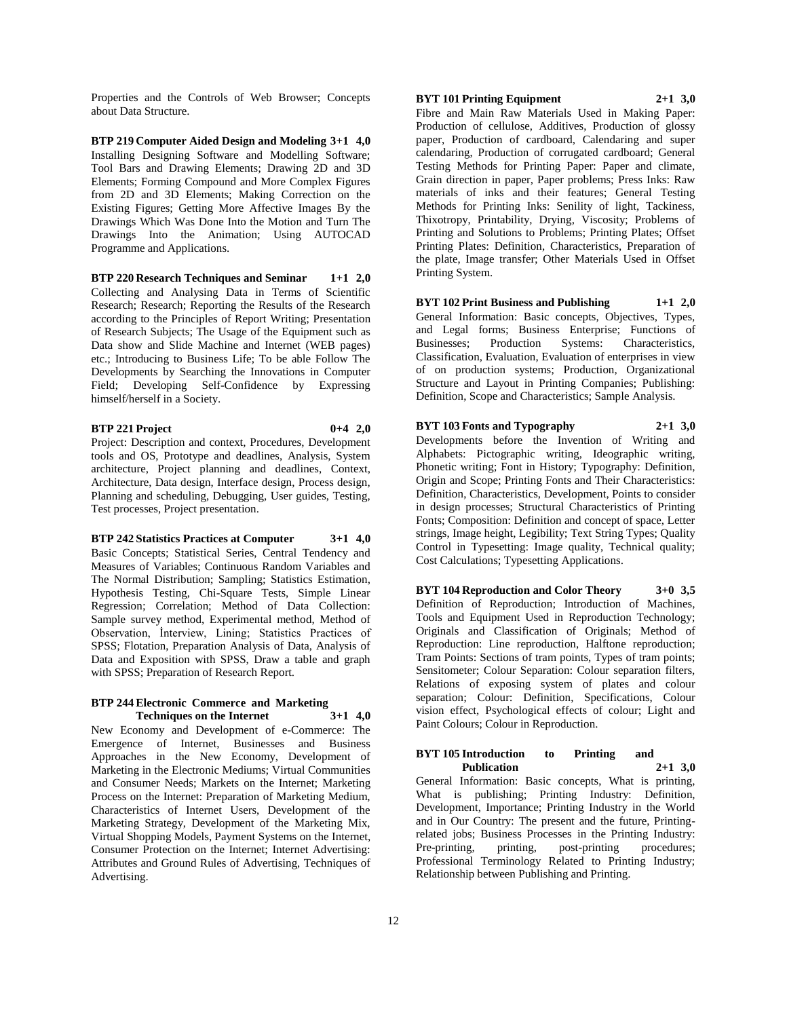Properties and the Controls of Web Browser; Concepts about Data Structure.

**BTP 219 Computer Aided Design and Modeling 3+1 4,0** Installing Designing Software and Modelling Software; Tool Bars and Drawing Elements; Drawing 2D and 3D Elements; Forming Compound and More Complex Figures from 2D and 3D Elements; Making Correction on the Existing Figures; Getting More Affective Images By the Drawings Which Was Done Into the Motion and Turn The Drawings Into the Animation; Using AUTOCAD Programme and Applications.

**BTP 220 Research Techniques and Seminar 1+1 2,0** Collecting and Analysing Data in Terms of Scientific Research; Research; Reporting the Results of the Research according to the Principles of Report Writing; Presentation of Research Subjects; The Usage of the Equipment such as Data show and Slide Machine and Internet (WEB pages) etc.; Introducing to Business Life; To be able Follow The Developments by Searching the Innovations in Computer Field; Developing Self-Confidence by Expressing himself/herself in a Society.

#### **BTP 221 Project 0+4 2,0**

Project: Description and context, Procedures, Development tools and OS, Prototype and deadlines, Analysis, System architecture, Project planning and deadlines, Context, Architecture, Data design, Interface design, Process design, Planning and scheduling, Debugging, User guides, Testing, Test processes, Project presentation.

#### **BTP 242 Statistics Practices at Computer 3+1 4,0**

Basic Concepts; Statistical Series, Central Tendency and Measures of Variables; Continuous Random Variables and The Normal Distribution; Sampling; Statistics Estimation, Hypothesis Testing, Chi-Square Tests, Simple Linear Regression; Correlation; Method of Data Collection: Sample survey method, Experimental method, Method of Observation, İnterview, Lining; Statistics Practices of SPSS; Flotation, Preparation Analysis of Data, Analysis of Data and Exposition with SPSS, Draw a table and graph with SPSS; Preparation of Research Report.

#### **BTP 244 Electronic Commerce and Marketing Techniques on the Internet 3+1 4,0**

New Economy and Development of e-Commerce: The Emergence of Internet, Businesses and Business Approaches in the New Economy, Development of Marketing in the Electronic Mediums; Virtual Communities and Consumer Needs; Markets on the Internet; Marketing Process on the Internet: Preparation of Marketing Medium, Characteristics of Internet Users, Development of the Marketing Strategy, Development of the Marketing Mix, Virtual Shopping Models, Payment Systems on the Internet, Consumer Protection on the Internet; Internet Advertising: Attributes and Ground Rules of Advertising, Techniques of Advertising.

# **BYT 101 Printing Equipment 2+1 3,0**

Fibre and Main Raw Materials Used in Making Paper: Production of cellulose, Additives, Production of glossy paper, Production of cardboard, Calendaring and super calendaring, Production of corrugated cardboard; General Testing Methods for Printing Paper: Paper and climate, Grain direction in paper, Paper problems; Press Inks: Raw materials of inks and their features; General Testing Methods for Printing Inks: Senility of light, Tackiness, Thixotropy, Printability, Drying, Viscosity; Problems of Printing and Solutions to Problems; Printing Plates; Offset Printing Plates: Definition, Characteristics, Preparation of the plate, Image transfer; Other Materials Used in Offset Printing System.

**BYT 102 Print Business and Publishing 1+1 2,0** General Information: Basic concepts, Objectives, Types, and Legal forms; Business Enterprise; Functions of Businesses; Production Systems: Characteristics, Classification, Evaluation, Evaluation of enterprises in view of on production systems; Production, Organizational Structure and Layout in Printing Companies; Publishing: Definition, Scope and Characteristics; Sample Analysis.

**BYT 103 Fonts and Typography 2+1 3,0** Developments before the Invention of Writing and Alphabets: Pictographic writing, Ideographic writing, Phonetic writing; Font in History; Typography: Definition, Origin and Scope; Printing Fonts and Their Characteristics: Definition, Characteristics, Development, Points to consider in design processes; Structural Characteristics of Printing Fonts; Composition: Definition and concept of space, Letter strings, Image height, Legibility; Text String Types; Quality Control in Typesetting: Image quality, Technical quality; Cost Calculations; Typesetting Applications.

**BYT 104 Reproduction and Color Theory 3+0 3,5** Definition of Reproduction; Introduction of Machines, Tools and Equipment Used in Reproduction Technology; Originals and Classification of Originals; Method of Reproduction: Line reproduction, Halftone reproduction; Tram Points: Sections of tram points, Types of tram points; Sensitometer; Colour Separation: Colour separation filters, Relations of exposing system of plates and colour separation; Colour: Definition, Specifications, Colour vision effect, Psychological effects of colour; Light and Paint Colours; Colour in Reproduction.

#### **BYT 105 Introduction to Printing and Publication 2+1 3,0**

General Information: Basic concepts, What is printing, What is publishing; Printing Industry: Definition, Development, Importance; Printing Industry in the World and in Our Country: The present and the future, Printingrelated jobs; Business Processes in the Printing Industry: Pre-printing, printing, post-printing procedures; Professional Terminology Related to Printing Industry; Relationship between Publishing and Printing.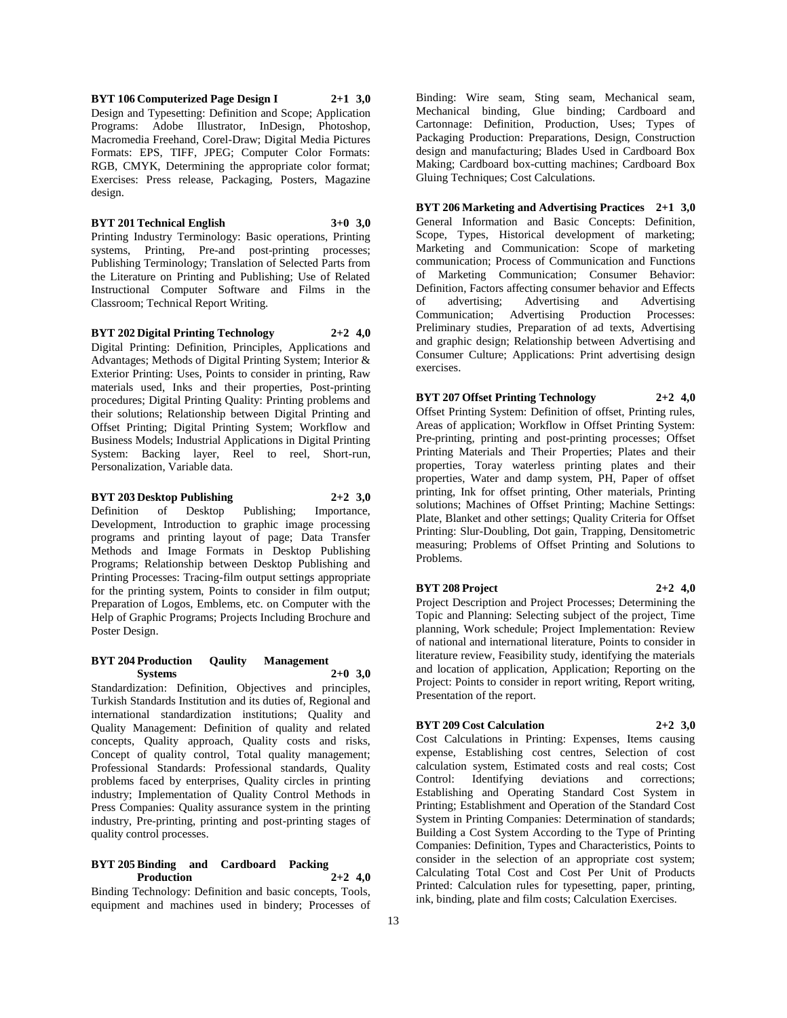**BYT 106 Computerized Page Design I 2+1 3,0** Design and Typesetting: Definition and Scope; Application Programs: Adobe Illustrator, InDesign, Photoshop, Macromedia Freehand, Corel-Draw; Digital Media Pictures Formats: EPS, TIFF, JPEG; Computer Color Formats: RGB, CMYK, Determining the appropriate color format; Exercises: Press release, Packaging, Posters, Magazine design.

#### **BYT 201 Technical English 3+0 3,0**

Printing Industry Terminology: Basic operations, Printing systems, Printing, Pre-and post-printing processes; Publishing Terminology; Translation of Selected Parts from the Literature on Printing and Publishing; Use of Related Instructional Computer Software and Films in the Classroom; Technical Report Writing.

**BYT 202 Digital Printing Technology 2+2 4,0**

Digital Printing: Definition, Principles, Applications and Advantages; Methods of Digital Printing System; Interior & Exterior Printing: Uses, Points to consider in printing, Raw materials used, Inks and their properties, Post-printing procedures; Digital Printing Quality: Printing problems and their solutions; Relationship between Digital Printing and Offset Printing; Digital Printing System; Workflow and Business Models; Industrial Applications in Digital Printing System: Backing layer, Reel to reel, Short-run, Personalization, Variable data.

#### **BYT 203 Desktop Publishing 2+2 3,0**

Definition of Desktop Publishing; Importance, Development, Introduction to graphic image processing programs and printing layout of page; Data Transfer Methods and Image Formats in Desktop Publishing Programs; Relationship between Desktop Publishing and Printing Processes: Tracing-film output settings appropriate for the printing system, Points to consider in film output; Preparation of Logos, Emblems, etc. on Computer with the Help of Graphic Programs; Projects Including Brochure and Poster Design.

#### **BYT 204 Production Qaulity Management Systems 2+0 3,0**

Standardization: Definition, Objectives and principles, Turkish Standards Institution and its duties of, Regional and international standardization institutions; Quality and Quality Management: Definition of quality and related concepts, Quality approach, Quality costs and risks, Concept of quality control, Total quality management; Professional Standards: Professional standards, Quality problems faced by enterprises, Quality circles in printing industry; Implementation of Quality Control Methods in Press Companies: Quality assurance system in the printing industry, Pre-printing, printing and post-printing stages of quality control processes.

#### **BYT 205 Binding and Cardboard Packing Production 2+2 4,0**

Binding Technology: Definition and basic concepts, Tools, equipment and machines used in bindery; Processes of

Binding: Wire seam, Sting seam, Mechanical seam, Mechanical binding, Glue binding; Cardboard and Cartonnage: Definition, Production, Uses; Types of Packaging Production: Preparations, Design, Construction design and manufacturing; Blades Used in Cardboard Box Making; Cardboard box-cutting machines; Cardboard Box Gluing Techniques; Cost Calculations.

**BYT 206 Marketing and Advertising Practices 2+1 3,0** General Information and Basic Concepts: Definition, Scope, Types, Historical development of marketing; Marketing and Communication: Scope of marketing communication; Process of Communication and Functions of Marketing Communication; Consumer Behavior: Definition, Factors affecting consumer behavior and Effects of advertising; Advertising and Advertising Communication; Advertising Production Processes: Preliminary studies, Preparation of ad texts, Advertising and graphic design; Relationship between Advertising and Consumer Culture; Applications: Print advertising design exercises.

**BYT 207 Offset Printing Technology 2+2 4,0** Offset Printing System: Definition of offset, Printing rules, Areas of application; Workflow in Offset Printing System: Pre-printing, printing and post-printing processes; Offset Printing Materials and Their Properties; Plates and their properties, Toray waterless printing plates and their properties, Water and damp system, PH, Paper of offset printing, Ink for offset printing, Other materials, Printing solutions; Machines of Offset Printing; Machine Settings: Plate, Blanket and other settings; Quality Criteria for Offset Printing: Slur-Doubling, Dot gain, Trapping, Densitometric measuring; Problems of Offset Printing and Solutions to Problems.

#### **BYT 208 Project 2+2 4,0**

Project Description and Project Processes; Determining the Topic and Planning: Selecting subject of the project, Time planning, Work schedule; Project Implementation: Review of national and international literature, Points to consider in literature review, Feasibility study, identifying the materials and location of application, Application; Reporting on the Project: Points to consider in report writing, Report writing, Presentation of the report.

#### **BYT 209 Cost Calculation 2+2 3,0**

Cost Calculations in Printing: Expenses, Items causing expense, Establishing cost centres, Selection of cost calculation system, Estimated costs and real costs; Cost Control: Identifying deviations and corrections; Establishing and Operating Standard Cost System in Printing; Establishment and Operation of the Standard Cost System in Printing Companies: Determination of standards; Building a Cost System According to the Type of Printing Companies: Definition, Types and Characteristics, Points to consider in the selection of an appropriate cost system; Calculating Total Cost and Cost Per Unit of Products Printed: Calculation rules for typesetting, paper, printing, ink, binding, plate and film costs; Calculation Exercises.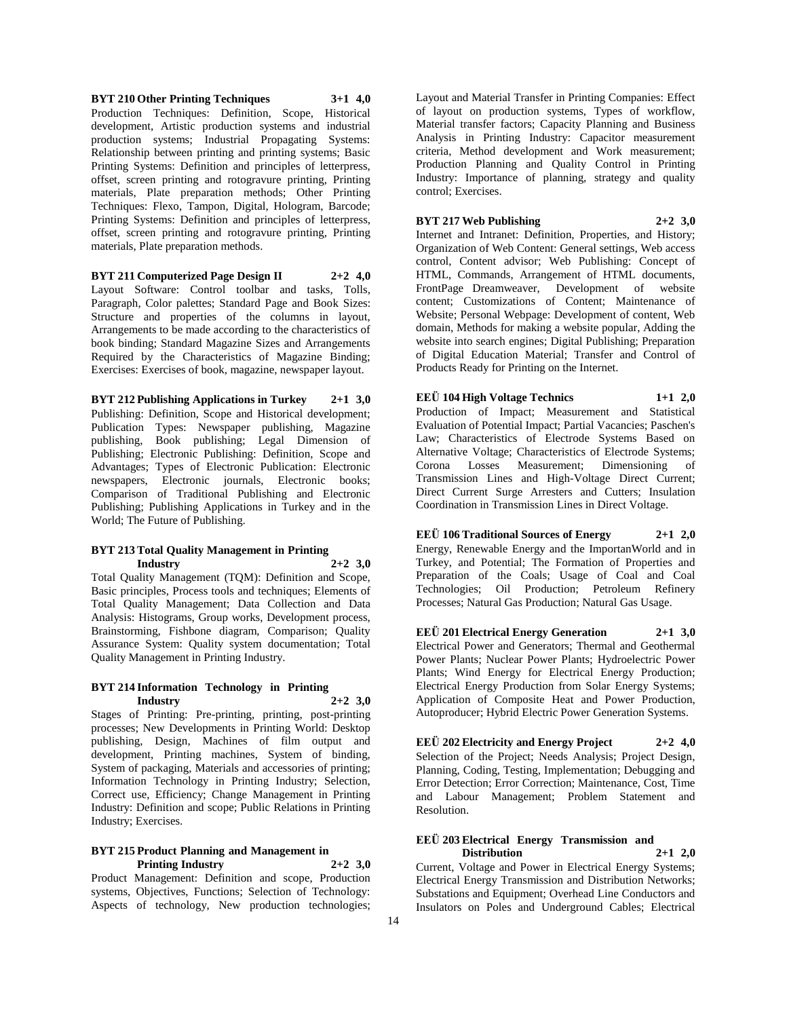**BYT 210 Other Printing Techniques 3+1 4,0** Production Techniques: Definition, Scope, Historical development, Artistic production systems and industrial production systems; Industrial Propagating Systems: Relationship between printing and printing systems; Basic Printing Systems: Definition and principles of letterpress, offset, screen printing and rotogravure printing, Printing materials, Plate preparation methods; Other Printing Techniques: Flexo, Tampon, Digital, Hologram, Barcode; Printing Systems: Definition and principles of letterpress, offset, screen printing and rotogravure printing, Printing materials, Plate preparation methods.

**BYT 211 Computerized Page Design II 2+2 4,0** Layout Software: Control toolbar and tasks, Tolls, Paragraph, Color palettes; Standard Page and Book Sizes: Structure and properties of the columns in layout, Arrangements to be made according to the characteristics of book binding; Standard Magazine Sizes and Arrangements Required by the Characteristics of Magazine Binding;

Exercises: Exercises of book, magazine, newspaper layout.

**BYT 212 Publishing Applications in Turkey 2+1 3,0** Publishing: Definition, Scope and Historical development; Publication Types: Newspaper publishing, Magazine publishing, Book publishing; Legal Dimension of Publishing; Electronic Publishing: Definition, Scope and Advantages; Types of Electronic Publication: Electronic newspapers, Electronic journals, Electronic books; Comparison of Traditional Publishing and Electronic Publishing; Publishing Applications in Turkey and in the World; The Future of Publishing.

#### **BYT 213 Total Quality Management in Printing Industry 2+2 3,0**

Total Quality Management (TQM): Definition and Scope, Basic principles, Process tools and techniques; Elements of Total Quality Management; Data Collection and Data Analysis: Histograms, Group works, Development process, Brainstorming, Fishbone diagram, Comparison; Quality Assurance System: Quality system documentation; Total Quality Management in Printing Industry.

#### **BYT 214 Information Technology in Printing Industry 2+2 3,0**

Stages of Printing: Pre-printing, printing, post-printing processes; New Developments in Printing World: Desktop publishing, Design, Machines of film output and development, Printing machines, System of binding, System of packaging, Materials and accessories of printing; Information Technology in Printing Industry; Selection, Correct use, Efficiency; Change Management in Printing Industry: Definition and scope; Public Relations in Printing Industry; Exercises.

### **BYT 215 Product Planning and Management in Printing Industry 2+2 3,0**

Product Management: Definition and scope, Production systems, Objectives, Functions; Selection of Technology: Aspects of technology, New production technologies; Layout and Material Transfer in Printing Companies: Effect of layout on production systems, Types of workflow, Material transfer factors; Capacity Planning and Business Analysis in Printing Industry: Capacitor measurement criteria, Method development and Work measurement; Production Planning and Quality Control in Printing Industry: Importance of planning, strategy and quality control; Exercises.

### **BYT 217 Web Publishing 2+2 3,0**

Internet and Intranet: Definition, Properties, and History; Organization of Web Content: General settings, Web access control, Content advisor; Web Publishing: Concept of HTML, Commands, Arrangement of HTML documents, FrontPage Dreamweaver, Development of website content; Customizations of Content; Maintenance of Website; Personal Webpage: Development of content, Web domain, Methods for making a website popular, Adding the website into search engines; Digital Publishing; Preparation of Digital Education Material; Transfer and Control of Products Ready for Printing on the Internet.

**EEÜ 104 High Voltage Technics 1+1 2,0** Production of Impact; Measurement and Statistical Evaluation of Potential Impact; Partial Vacancies; Paschen's Law; Characteristics of Electrode Systems Based on Alternative Voltage; Characteristics of Electrode Systems;<br>
Corona Losses Measurement: Dimensioning of Measurement; Dimensioning of Transmission Lines and High-Voltage Direct Current; Direct Current Surge Arresters and Cutters; Insulation Coordination in Transmission Lines in Direct Voltage.

**EEÜ 106 Traditional Sources of Energy 2+1 2,0** Energy, Renewable Energy and the ImportanWorld and in Turkey, and Potential; The Formation of Properties and Preparation of the Coals; Usage of Coal and Coal Technologies; Oil Production; Petroleum Refinery Processes; Natural Gas Production; Natural Gas Usage.

**EEÜ 201 Electrical Energy Generation 2+1 3,0** Electrical Power and Generators; Thermal and Geothermal Power Plants; Nuclear Power Plants; Hydroelectric Power Plants; Wind Energy for Electrical Energy Production; Electrical Energy Production from Solar Energy Systems; Application of Composite Heat and Power Production, Autoproducer; Hybrid Electric Power Generation Systems.

**EEÜ 202 Electricity and Energy Project 2+2 4,0** Selection of the Project; Needs Analysis; Project Design, Planning, Coding, Testing, Implementation; Debugging and Error Detection; Error Correction; Maintenance, Cost, Time and Labour Management; Problem Statement and Resolution.

#### **EEÜ 203 Electrical Energy Transmission and Distribution 2+1 2,0**

Current, Voltage and Power in Electrical Energy Systems; Electrical Energy Transmission and Distribution Networks; Substations and Equipment; Overhead Line Conductors and Insulators on Poles and Underground Cables; Electrical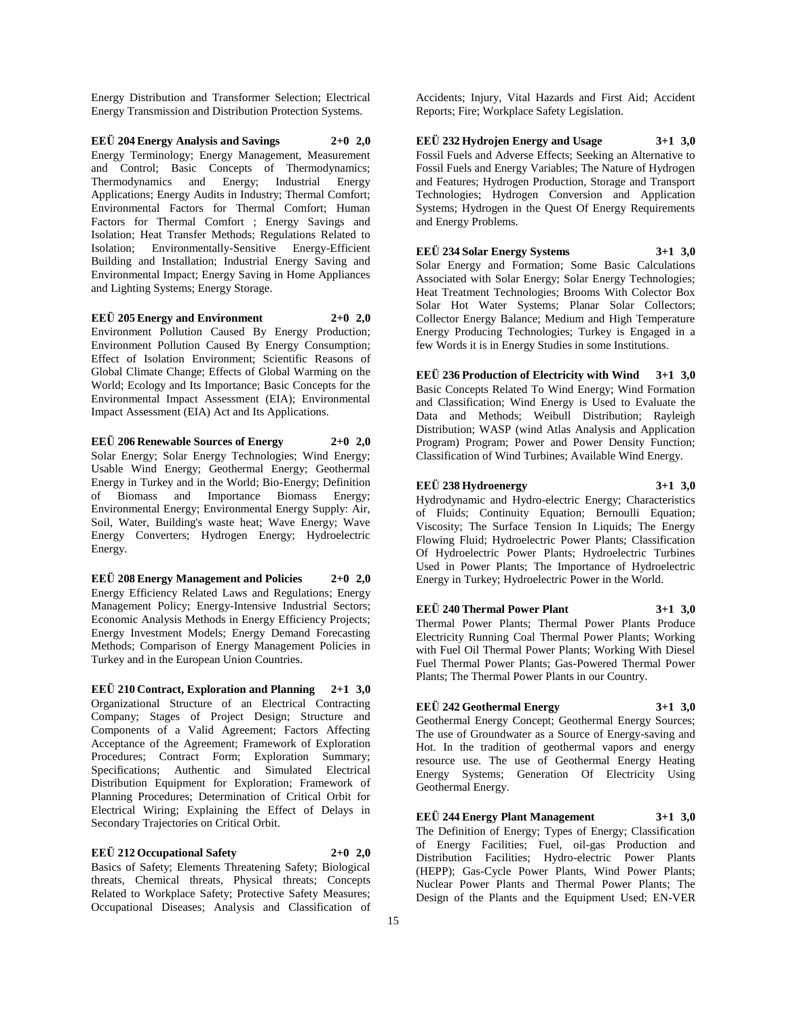Energy Distribution and Transformer Selection; Electrical Energy Transmission and Distribution Protection Systems.

**EEÜ 204 Energy Analysis and Savings 2+0 2,0** Energy Terminology; Energy Management, Measurement and Control; Basic Concepts of Thermodynamics; Thermodynamics and Energy; Industrial Energy Applications; Energy Audits in Industry; Thermal Comfort; Environmental Factors for Thermal Comfort; Human Factors for Thermal Comfort ; Energy Savings and Isolation; Heat Transfer Methods; Regulations Related to Isolation; Environmentally-Sensitive Energy-Efficient Building and Installation; Industrial Energy Saving and Environmental Impact; Energy Saving in Home Appliances and Lighting Systems; Energy Storage.

**EEÜ 205 Energy and Environment 2+0 2,0** Environment Pollution Caused By Energy Production; Environment Pollution Caused By Energy Consumption; Effect of Isolation Environment; Scientific Reasons of Global Climate Change; Effects of Global Warming on the World; Ecology and Its Importance; Basic Concepts for the Environmental Impact Assessment (EIA); Environmental Impact Assessment (EIA) Act and Its Applications.

**EEÜ 206 Renewable Sources of Energy 2+0 2,0** Solar Energy; Solar Energy Technologies; Wind Energy; Usable Wind Energy; Geothermal Energy; Geothermal Energy in Turkey and in the World; Bio-Energy; Definition of Biomass and Importance Biomass Energy; Environmental Energy; Environmental Energy Supply: Air, Soil, Water, Building's waste heat; Wave Energy; Wave Energy Converters; Hydrogen Energy; Hydroelectric Energy.

**EEÜ 208 Energy Management and Policies 2+0 2,0** Energy Efficiency Related Laws and Regulations; Energy Management Policy; Energy-Intensive Industrial Sectors; Economic Analysis Methods in Energy Efficiency Projects; Energy Investment Models; Energy Demand Forecasting Methods; Comparison of Energy Management Policies in Turkey and in the European Union Countries.

**EEÜ 210 Contract, Exploration and Planning 2+1 3,0** Organizational Structure of an Electrical Contracting Company; Stages of Project Design; Structure and Components of a Valid Agreement; Factors Affecting Acceptance of the Agreement; Framework of Exploration Procedures; Contract Form; Exploration Summary; Specifications; Authentic and Simulated Electrical Distribution Equipment for Exploration; Framework of Planning Procedures; Determination of Critical Orbit for Electrical Wiring; Explaining the Effect of Delays in Secondary Trajectories on Critical Orbit.

#### **EEÜ 212 Occupational Safety 2+0 2,0**

Basics of Safety; Elements Threatening Safety; Biological threats, Chemical threats, Physical threats; Concepts Related to Workplace Safety; Protective Safety Measures; Occupational Diseases; Analysis and Classification of

Accidents; Injury, Vital Hazards and First Aid; Accident Reports; Fire; Workplace Safety Legislation.

**EEÜ 232 Hydrojen Energy and Usage 3+1 3,0** Fossil Fuels and Adverse Effects; Seeking an Alternative to Fossil Fuels and Energy Variables; The Nature of Hydrogen and Features; Hydrogen Production, Storage and Transport Technologies; Hydrogen Conversion and Application Systems; Hydrogen in the Quest Of Energy Requirements and Energy Problems.

**EEÜ 234 Solar Energy Systems 3+1 3,0** Solar Energy and Formation; Some Basic Calculations Associated with Solar Energy; Solar Energy Technologies; Heat Treatment Technologies; Brooms With Colector Box Solar Hot Water Systems; Planar Solar Collectors; Collector Energy Balance; Medium and High Temperature Energy Producing Technologies; Turkey is Engaged in a few Words it is in Energy Studies in some Institutions.

**EEÜ 236 Production of Electricity with Wind 3+1 3,0** Basic Concepts Related To Wind Energy; Wind Formation and Classification; Wind Energy is Used to Evaluate the Data and Methods; Weibull Distribution; Rayleigh Distribution; WASP (wind Atlas Analysis and Application Program) Program; Power and Power Density Function; Classification of Wind Turbines; Available Wind Energy.

**EEÜ 238 Hydroenergy 3+1 3,0** Hydrodynamic and Hydro-electric Energy; Characteristics of Fluids; Continuity Equation; Bernoulli Equation; Viscosity; The Surface Tension In Liquids; The Energy Flowing Fluid; Hydroelectric Power Plants; Classification Of Hydroelectric Power Plants; Hydroelectric Turbines Used in Power Plants; The Importance of Hydroelectric Energy in Turkey; Hydroelectric Power in the World.

**EEÜ 240 Thermal Power Plant 3+1 3,0** Thermal Power Plants; Thermal Power Plants Produce Electricity Running Coal Thermal Power Plants; Working with Fuel Oil Thermal Power Plants; Working With Diesel Fuel Thermal Power Plants; Gas-Powered Thermal Power Plants; The Thermal Power Plants in our Country.

# **EEÜ 242 Geothermal Energy 3+1 3,0**

Geothermal Energy Concept; Geothermal Energy Sources; The use of Groundwater as a Source of Energy-saving and Hot. In the tradition of geothermal vapors and energy resource use. The use of Geothermal Energy Heating Energy Systems; Generation Of Electricity Using Geothermal Energy.

**EEÜ 244 Energy Plant Management 3+1 3,0** The Definition of Energy; Types of Energy; Classification of Energy Facilities; Fuel, oil-gas Production and Distribution Facilities; Hydro-electric Power Plants (HEPP); Gas-Cycle Power Plants, Wind Power Plants; Nuclear Power Plants and Thermal Power Plants; The Design of the Plants and the Equipment Used; EN-VER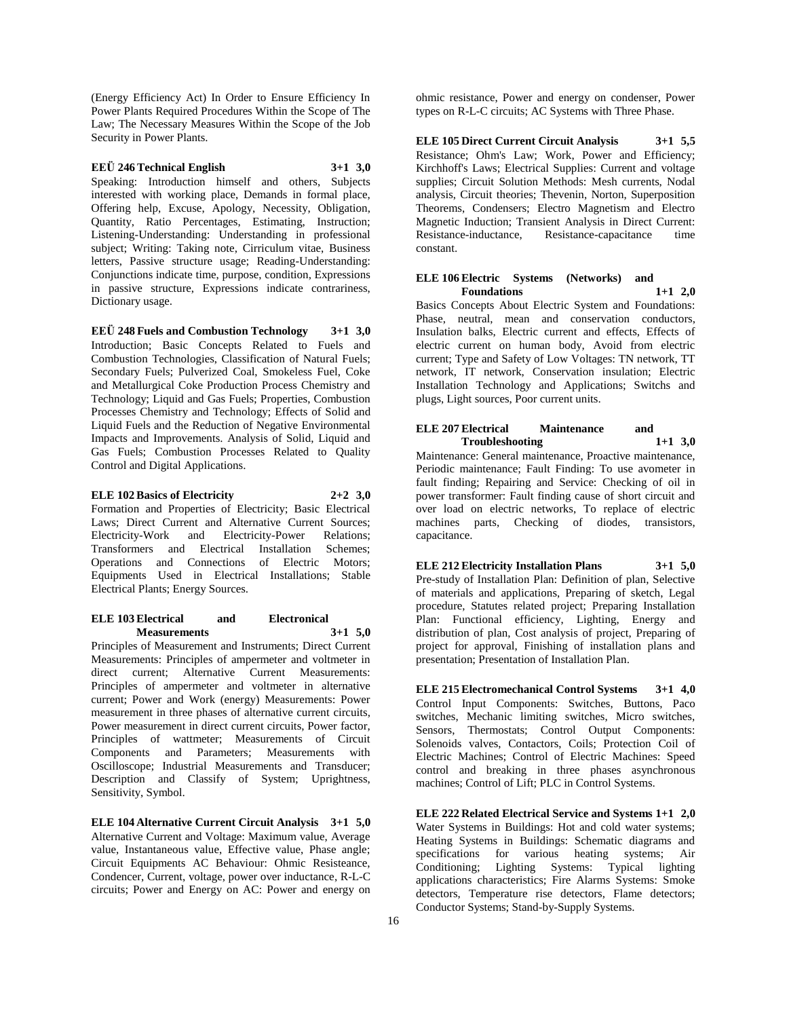(Energy Efficiency Act) In Order to Ensure Efficiency In Power Plants Required Procedures Within the Scope of The Law; The Necessary Measures Within the Scope of the Job Security in Power Plants.

# **EEÜ 246 Technical English 3+1 3,0**

Speaking: Introduction himself and others, Subjects interested with working place, Demands in formal place, Offering help, Excuse, Apology, Necessity, Obligation, Quantity, Ratio Percentages, Estimating, Instruction; Listening-Understanding: Understanding in professional subject; Writing: Taking note, Cirriculum vitae, Business letters, Passive structure usage; Reading-Understanding: Conjunctions indicate time, purpose, condition, Expressions in passive structure, Expressions indicate contrariness, Dictionary usage.

**EEÜ 248 Fuels and Combustion Technology 3+1 3,0** Introduction; Basic Concepts Related to Fuels and Combustion Technologies, Classification of Natural Fuels; Secondary Fuels; Pulverized Coal, Smokeless Fuel, Coke and Metallurgical Coke Production Process Chemistry and Technology; Liquid and Gas Fuels; Properties, Combustion Processes Chemistry and Technology; Effects of Solid and Liquid Fuels and the Reduction of Negative Environmental Impacts and Improvements. Analysis of Solid, Liquid and Gas Fuels; Combustion Processes Related to Quality Control and Digital Applications.

# **ELE 102 Basics of Electricity 2+2 3,0**

Formation and Properties of Electricity; Basic Electrical Laws; Direct Current and Alternative Current Sources; Electricity-Work and Electricity-Power Relations; Transformers and Electrical Installation Schemes; Operations and Connections of Electric Motors; Equipments Used in Electrical Installations; Stable Electrical Plants; Energy Sources.

#### **ELE 103 Electrical and Electronical Measurements 3+1 5,0**

Principles of Measurement and Instruments; Direct Current Measurements: Principles of ampermeter and voltmeter in direct current; Alternative Current Measurements: Principles of ampermeter and voltmeter in alternative current; Power and Work (energy) Measurements: Power measurement in three phases of alternative current circuits, Power measurement in direct current circuits, Power factor, Principles of wattmeter; Measurements of Circuit Components and Parameters; Measurements with Oscilloscope; Industrial Measurements and Transducer; Description and Classify of System; Uprightness, Sensitivity, Symbol.

**ELE 104 Alternative Current Circuit Analysis 3+1 5,0** Alternative Current and Voltage: Maximum value, Average value, Instantaneous value, Effective value, Phase angle; Circuit Equipments AC Behaviour: Ohmic Resisteance, Condencer, Current, voltage, power over inductance, R-L-C circuits; Power and Energy on AC: Power and energy on

ohmic resistance, Power and energy on condenser, Power types on R-L-C circuits; AC Systems with Three Phase.

**ELE 105 Direct Current Circuit Analysis 3+1 5,5** Resistance; Ohm's Law; Work, Power and Efficiency; Kirchhoff's Laws; Electrical Supplies: Current and voltage supplies; Circuit Solution Methods: Mesh currents, Nodal analysis, Circuit theories; Thevenin, Norton, Superposition Theorems, Condensers; Electro Magnetism and Electro Magnetic Induction; Transient Analysis in Direct Current: Resistance-inductance, Resistance-capacitance time constant.

#### **ELE 106 Electric Systems (Networks) and Foundations 1+1 2,0**

Basics Concepts About Electric System and Foundations: Phase, neutral, mean and conservation conductors, Insulation balks, Electric current and effects, Effects of electric current on human body, Avoid from electric current; Type and Safety of Low Voltages: TN network, TT network, IT network, Conservation insulation; Electric Installation Technology and Applications; Switchs and plugs, Light sources, Poor current units.

#### **ELE 207 Electrical Maintenance and Troubleshooting 1+1 3,0**

Maintenance: General maintenance, Proactive maintenance, Periodic maintenance; Fault Finding: To use avometer in fault finding; Repairing and Service: Checking of oil in power transformer: Fault finding cause of short circuit and over load on electric networks, To replace of electric machines parts, Checking of diodes, transistors, capacitance.

**ELE 212 Electricity Installation Plans 3+1 5,0** Pre-study of Installation Plan: Definition of plan, Selective of materials and applications, Preparing of sketch, Legal procedure, Statutes related project; Preparing Installation Plan: Functional efficiency, Lighting, Energy and distribution of plan, Cost analysis of project, Preparing of project for approval, Finishing of installation plans and presentation; Presentation of Installation Plan.

**ELE 215 Electromechanical Control Systems 3+1 4,0** Control Input Components: Switches, Buttons, Paco switches, Mechanic limiting switches, Micro switches, Sensors, Thermostats; Control Output Components: Solenoids valves, Contactors, Coils; Protection Coil of Electric Machines; Control of Electric Machines: Speed control and breaking in three phases asynchronous machines; Control of Lift; PLC in Control Systems.

**ELE 222 Related Electrical Service and Systems 1+1 2,0** Water Systems in Buildings: Hot and cold water systems; Heating Systems in Buildings: Schematic diagrams and specifications for various heating systems; Air Conditioning; Lighting Systems: Typical lighting applications characteristics; Fire Alarms Systems: Smoke detectors, Temperature rise detectors, Flame detectors; Conductor Systems; Stand-by-Supply Systems.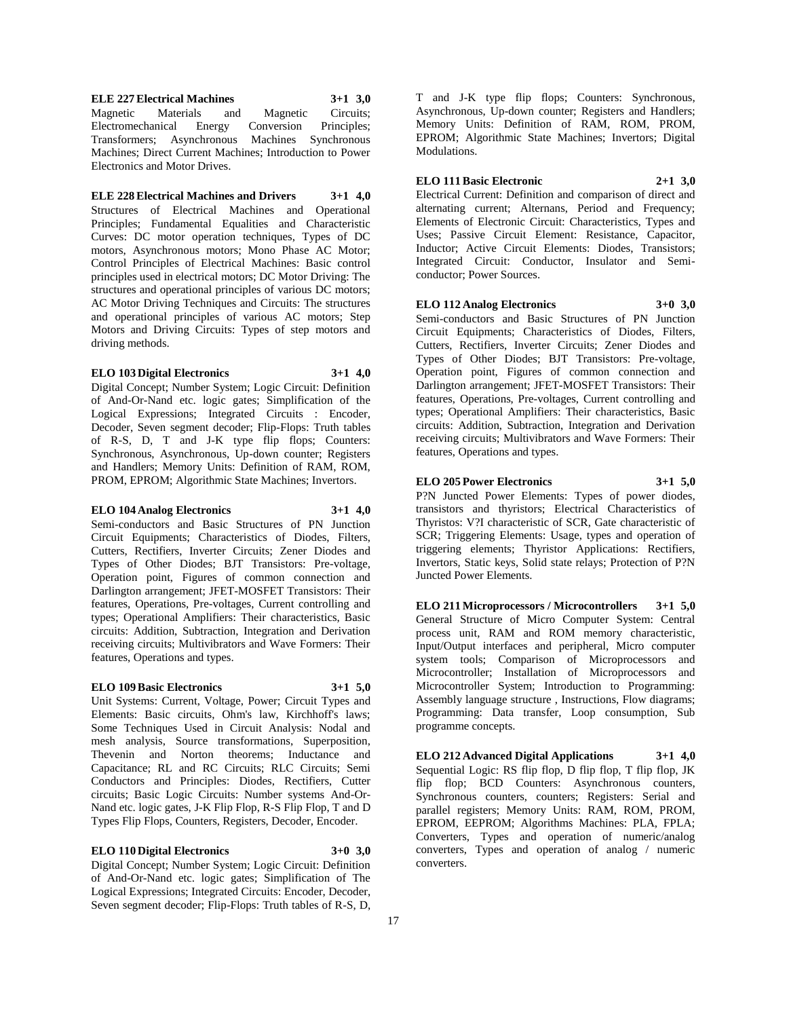**ELE 227 Electrical Machines 3+1 3,0** Magnetic Materials and Magnetic Circuits; Electromechanical Energy Conversion Principles; Transformers; Asynchronous Machines Synchronous Machines; Direct Current Machines; Introduction to Power Electronics and Motor Drives.

**ELE 228 Electrical Machines and Drivers 3+1 4,0** Structures of Electrical Machines and Operational Principles; Fundamental Equalities and Characteristic Curves: DC motor operation techniques, Types of DC motors, Asynchronous motors; Mono Phase AC Motor; Control Principles of Electrical Machines: Basic control principles used in electrical motors; DC Motor Driving: The structures and operational principles of various DC motors; AC Motor Driving Techniques and Circuits: The structures and operational principles of various AC motors; Step Motors and Driving Circuits: Types of step motors and

#### **ELO 103 Digital Electronics 3+1 4,0**

driving methods.

Digital Concept; Number System; Logic Circuit: Definition of And-Or-Nand etc. logic gates; Simplification of the Logical Expressions; Integrated Circuits : Encoder, Decoder, Seven segment decoder; Flip-Flops: Truth tables of R-S, D, T and J-K type flip flops; Counters: Synchronous, Asynchronous, Up-down counter; Registers and Handlers; Memory Units: Definition of RAM, ROM, PROM, EPROM; Algorithmic State Machines; Invertors.

#### **ELO 104 Analog Electronics 3+1 4,0**

Semi-conductors and Basic Structures of PN Junction Circuit Equipments; Characteristics of Diodes, Filters, Cutters, Rectifiers, Inverter Circuits; Zener Diodes and Types of Other Diodes; BJT Transistors: Pre-voltage, Operation point, Figures of common connection and Darlington arrangement; JFET-MOSFET Transistors: Their features, Operations, Pre-voltages, Current controlling and types; Operational Amplifiers: Their characteristics, Basic circuits: Addition, Subtraction, Integration and Derivation receiving circuits; Multivibrators and Wave Formers: Their features, Operations and types.

#### **ELO 109 Basic Electronics 3+1 5,0**

Unit Systems: Current, Voltage, Power; Circuit Types and Elements: Basic circuits, Ohm's law, Kirchhoff's laws; Some Techniques Used in Circuit Analysis: Nodal and mesh analysis, Source transformations, Superposition, Thevenin and Norton theorems; Inductance and Capacitance; RL and RC Circuits; RLC Circuits; Semi Conductors and Principles: Diodes, Rectifiers, Cutter circuits; Basic Logic Circuits: Number systems And-Or-Nand etc. logic gates, J-K Flip Flop, R-S Flip Flop, T and D Types Flip Flops, Counters, Registers, Decoder, Encoder.

#### **ELO 110 Digital Electronics 3+0 3,0**

Digital Concept; Number System; Logic Circuit: Definition of And-Or-Nand etc. logic gates; Simplification of The Logical Expressions; Integrated Circuits: Encoder, Decoder, Seven segment decoder; Flip-Flops: Truth tables of R-S, D,

T and J-K type flip flops; Counters: Synchronous, Asynchronous, Up-down counter; Registers and Handlers; Memory Units: Definition of RAM, ROM, PROM, EPROM; Algorithmic State Machines; Invertors; Digital Modulations.

**ELO 111 Basic Electronic 2+1 3,0** Electrical Current: Definition and comparison of direct and alternating current; Alternans, Period and Frequency; Elements of Electronic Circuit: Characteristics, Types and Uses; Passive Circuit Element: Resistance, Capacitor, Inductor; Active Circuit Elements: Diodes, Transistors; Integrated Circuit: Conductor, Insulator and Semiconductor; Power Sources.

**ELO 112 Analog Electronics 3+0 3,0** Semi-conductors and Basic Structures of PN Junction Circuit Equipments; Characteristics of Diodes, Filters, Cutters, Rectifiers, Inverter Circuits; Zener Diodes and Types of Other Diodes; BJT Transistors: Pre-voltage, Operation point, Figures of common connection and Darlington arrangement; JFET-MOSFET Transistors: Their features, Operations, Pre-voltages, Current controlling and types; Operational Amplifiers: Their characteristics, Basic circuits: Addition, Subtraction, Integration and Derivation receiving circuits; Multivibrators and Wave Formers: Their features, Operations and types.

**ELO 205 Power Electronics 3+1 5,0** P?N Juncted Power Elements: Types of power diodes, transistors and thyristors; Electrical Characteristics of Thyristos: V?I characteristic of SCR, Gate characteristic of SCR; Triggering Elements: Usage, types and operation of triggering elements; Thyristor Applications: Rectifiers, Invertors, Static keys, Solid state relays; Protection of P?N Juncted Power Elements.

**ELO 211 Microprocessors / Microcontrollers 3+1 5,0** General Structure of Micro Computer System: Central process unit, RAM and ROM memory characteristic, Input/Output interfaces and peripheral, Micro computer system tools; Comparison of Microprocessors and Microcontroller; Installation of Microprocessors and Microcontroller System; Introduction to Programming: Assembly language structure , Instructions, Flow diagrams; Programming: Data transfer, Loop consumption, Sub programme concepts.

**ELO 212 Advanced Digital Applications 3+1 4,0** Sequential Logic: RS flip flop, D flip flop, T flip flop, JK flip flop; BCD Counters: Asynchronous counters, Synchronous counters, counters; Registers: Serial and parallel registers; Memory Units: RAM, ROM, PROM, EPROM, EEPROM; Algorithms Machines: PLA, FPLA; Converters, Types and operation of numeric/analog converters, Types and operation of analog / numeric converters.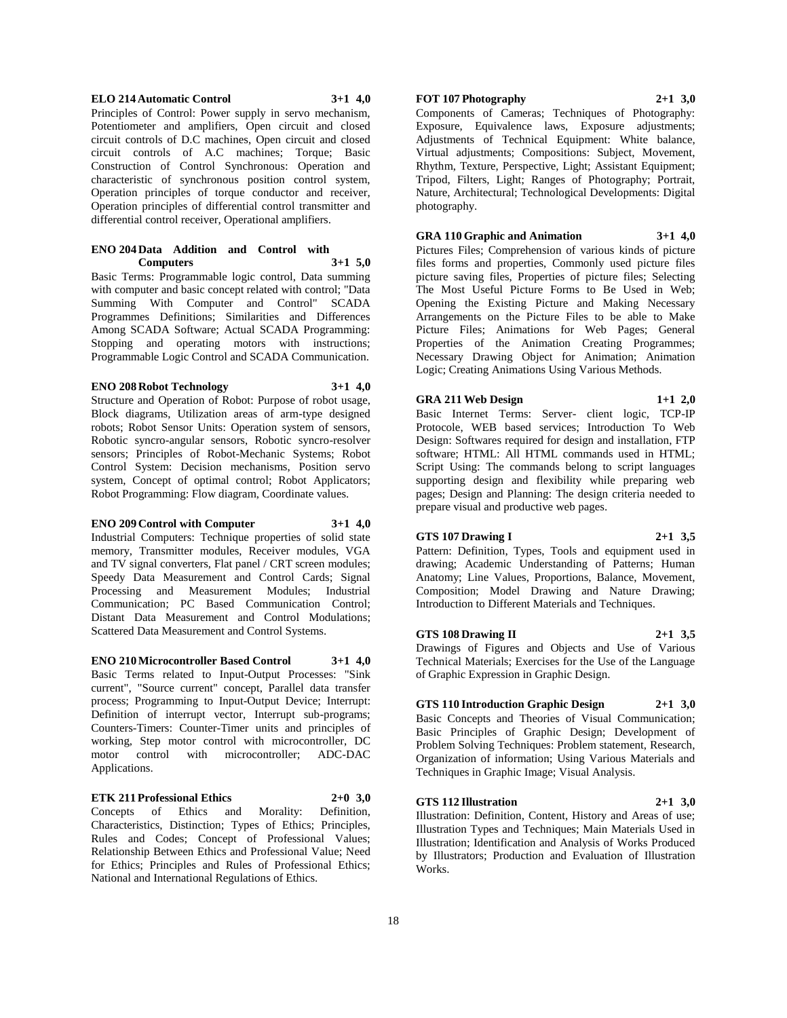#### **ELO 214 Automatic Control 3+1 4,0**

Principles of Control: Power supply in servo mechanism, Potentiometer and amplifiers, Open circuit and closed circuit controls of D.C machines, Open circuit and closed circuit controls of A.C machines; Torque; Basic Construction of Control Synchronous: Operation and characteristic of synchronous position control system, Operation principles of torque conductor and receiver, Operation principles of differential control transmitter and differential control receiver, Operational amplifiers.

#### **ENO 204 Data Addition and Control with Computers 3+1 5,0**

Basic Terms: Programmable logic control, Data summing with computer and basic concept related with control; "Data Summing With Computer and Control" SCADA Programmes Definitions; Similarities and Differences Among SCADA Software; Actual SCADA Programming: Stopping and operating motors with instructions; Programmable Logic Control and SCADA Communication.

#### **ENO 208 Robot Technology 3+1 4,0**

Structure and Operation of Robot: Purpose of robot usage, Block diagrams, Utilization areas of arm-type designed robots; Robot Sensor Units: Operation system of sensors, Robotic syncro-angular sensors, Robotic syncro-resolver sensors; Principles of Robot-Mechanic Systems; Robot Control System: Decision mechanisms, Position servo system, Concept of optimal control; Robot Applicators; Robot Programming: Flow diagram, Coordinate values.

#### **ENO 209 Control with Computer 3+1 4,0**

Industrial Computers: Technique properties of solid state memory, Transmitter modules, Receiver modules, VGA and TV signal converters, Flat panel / CRT screen modules; Speedy Data Measurement and Control Cards; Signal Processing and Measurement Modules; Industrial Communication; PC Based Communication Control; Distant Data Measurement and Control Modulations; Scattered Data Measurement and Control Systems.

**ENO 210 Microcontroller Based Control 3+1 4,0** Basic Terms related to Input-Output Processes: "Sink current", "Source current" concept, Parallel data transfer process; Programming to Input-Output Device; Interrupt: Definition of interrupt vector, Interrupt sub-programs; Counters-Timers: Counter-Timer units and principles of working, Step motor control with microcontroller, DC motor control with microcontroller; ADC-DAC Applications.

#### **ETK 211 Professional Ethics 2+0 3,0**

Concepts of Ethics and Morality: Definition, Characteristics, Distinction; Types of Ethics; Principles, Rules and Codes; Concept of Professional Values; Relationship Between Ethics and Professional Value; Need for Ethics; Principles and Rules of Professional Ethics; National and International Regulations of Ethics.

# **FOT 107 Photography 2+1 3,0**

Components of Cameras; Techniques of Photography: Exposure, Equivalence laws, Exposure adjustments; Adjustments of Technical Equipment: White balance, Virtual adjustments; Compositions: Subject, Movement, Rhythm, Texture, Perspective, Light; Assistant Equipment; Tripod, Filters, Light; Ranges of Photography; Portrait, Nature, Architectural; Technological Developments: Digital photography.

**GRA 110 Graphic and Animation 3+1 4,0**

Pictures Files; Comprehension of various kinds of picture files forms and properties, Commonly used picture files picture saving files, Properties of picture files; Selecting The Most Useful Picture Forms to Be Used in Web; Opening the Existing Picture and Making Necessary Arrangements on the Picture Files to be able to Make Picture Files; Animations for Web Pages; General Properties of the Animation Creating Programmes; Necessary Drawing Object for Animation; Animation Logic; Creating Animations Using Various Methods.

**GRA 211 Web Design 1+1 2,0** Basic Internet Terms: Server- client logic, TCP-IP Protocole, WEB based services; Introduction To Web Design: Softwares required for design and installation, FTP software; HTML: All HTML commands used in HTML; Script Using: The commands belong to script languages supporting design and flexibility while preparing web pages; Design and Planning: The design criteria needed to prepare visual and productive web pages.

### **GTS 107 Drawing I 2+1 3,5**

Pattern: Definition, Types, Tools and equipment used in drawing; Academic Understanding of Patterns; Human Anatomy; Line Values, Proportions, Balance, Movement, Composition; Model Drawing and Nature Drawing; Introduction to Different Materials and Techniques.

**GTS 108 Drawing II 2+1 3,5** Drawings of Figures and Objects and Use of Various Technical Materials; Exercises for the Use of the Language of Graphic Expression in Graphic Design.

#### **GTS 110 Introduction Graphic Design 2+1 3,0**

Basic Concepts and Theories of Visual Communication; Basic Principles of Graphic Design; Development of Problem Solving Techniques: Problem statement, Research, Organization of information; Using Various Materials and Techniques in Graphic Image; Visual Analysis.

#### **GTS 112 Illustration 2+1 3,0**

Illustration: Definition, Content, History and Areas of use; Illustration Types and Techniques; Main Materials Used in Illustration; Identification and Analysis of Works Produced by Illustrators; Production and Evaluation of Illustration Works.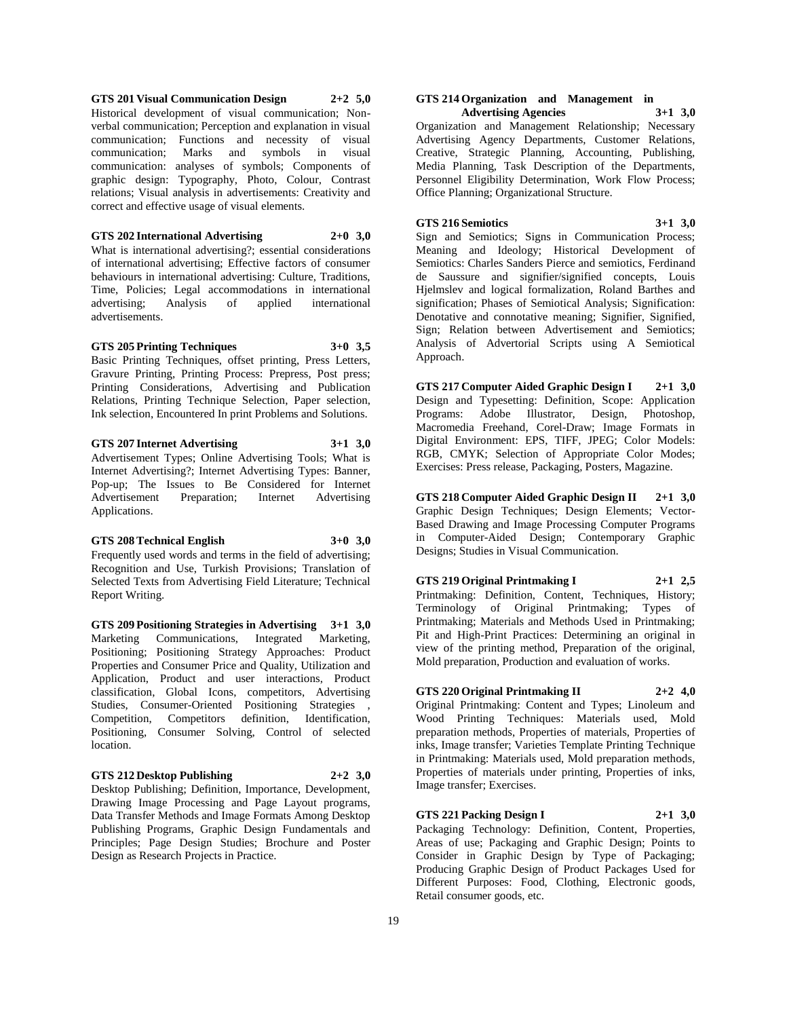**GTS 201 Visual Communication Design 2+2 5,0** Historical development of visual communication; Nonverbal communication; Perception and explanation in visual communication; Functions and necessity of visual communication; Marks and symbols in visual communication: analyses of symbols; Components of graphic design: Typography, Photo, Colour, Contrast relations; Visual analysis in advertisements: Creativity and correct and effective usage of visual elements.

### **GTS 202 International Advertising 2+0 3,0**

What is international advertising?; essential considerations of international advertising; Effective factors of consumer behaviours in international advertising: Culture, Traditions, Time, Policies; Legal accommodations in international advertising; Analysis of applied international advertising; Analysis of applied international advertisements.

#### **GTS 205 Printing Techniques 3+0 3,5**

Basic Printing Techniques, offset printing, Press Letters, Gravure Printing, Printing Process: Prepress, Post press; Printing Considerations, Advertising and Publication Relations, Printing Technique Selection, Paper selection, Ink selection, Encountered In print Problems and Solutions.

# **GTS 207 Internet Advertising 3+1 3,0**

Advertisement Types; Online Advertising Tools; What is Internet Advertising?; Internet Advertising Types: Banner, Pop-up; The Issues to Be Considered for Internet Advertisement Preparation; Internet Advertising Applications.

#### **GTS 208 Technical English 3+0 3,0**

Frequently used words and terms in the field of advertising; Recognition and Use, Turkish Provisions; Translation of Selected Texts from Advertising Field Literature; Technical Report Writing.

**GTS 209 Positioning Strategies in Advertising 3+1 3,0** Marketing Communications, Integrated Marketing, Positioning; Positioning Strategy Approaches: Product Properties and Consumer Price and Quality, Utilization and Application, Product and user interactions, Product classification, Global Icons, competitors, Advertising Studies, Consumer-Oriented Positioning Strategies , Competition, Competitors definition, Identification, Positioning, Consumer Solving, Control of selected location.

#### **GTS 212 Desktop Publishing 2+2 3,0**

Desktop Publishing; Definition, Importance, Development, Drawing Image Processing and Page Layout programs, Data Transfer Methods and Image Formats Among Desktop Publishing Programs, Graphic Design Fundamentals and Principles; Page Design Studies; Brochure and Poster Design as Research Projects in Practice.

#### **GTS 214 Organization and Management in Advertising Agencies 3+1 3,0**

Organization and Management Relationship; Necessary Advertising Agency Departments, Customer Relations, Creative, Strategic Planning, Accounting, Publishing, Media Planning, Task Description of the Departments, Personnel Eligibility Determination, Work Flow Process; Office Planning; Organizational Structure.

# **GTS 216 Semiotics 3+1 3,0**

Sign and Semiotics; Signs in Communication Process; Meaning and Ideology; Historical Development of Semiotics: Charles Sanders Pierce and semiotics, Ferdinand de Saussure and signifier/signified concepts, Louis Hjelmslev and logical formalization, Roland Barthes and signification; Phases of Semiotical Analysis; Signification: Denotative and connotative meaning; Signifier, Signified, Sign; Relation between Advertisement and Semiotics; Analysis of Advertorial Scripts using A Semiotical Approach.

**GTS 217 Computer Aided Graphic Design I 2+1 3,0** Design and Typesetting: Definition, Scope: Application Programs: Adobe Illustrator, Design, Photoshop, Macromedia Freehand, Corel-Draw; Image Formats in Digital Environment: EPS, TIFF, JPEG; Color Models: RGB, CMYK; Selection of Appropriate Color Modes; Exercises: Press release, Packaging, Posters, Magazine.

**GTS 218 Computer Aided Graphic Design II 2+1 3,0** Graphic Design Techniques; Design Elements; Vector-Based Drawing and Image Processing Computer Programs in Computer-Aided Design; Contemporary Graphic Designs; Studies in Visual Communication.

# **GTS 219 Original Printmaking I 2+1 2,5** Printmaking: Definition, Content, Techniques, History;

Terminology of Original Printmaking; Types of Printmaking; Materials and Methods Used in Printmaking; Pit and High-Print Practices: Determining an original in view of the printing method, Preparation of the original, Mold preparation, Production and evaluation of works.

# **GTS 220 Original Printmaking II 2+2 4,0**

Original Printmaking: Content and Types; Linoleum and Wood Printing Techniques: Materials used, Mold preparation methods, Properties of materials, Properties of inks, Image transfer; Varieties Template Printing Technique in Printmaking: Materials used, Mold preparation methods, Properties of materials under printing, Properties of inks, Image transfer; Exercises.

#### **GTS 221 Packing Design I 2+1 3,0**

Packaging Technology: Definition, Content, Properties, Areas of use; Packaging and Graphic Design; Points to Consider in Graphic Design by Type of Packaging; Producing Graphic Design of Product Packages Used for Different Purposes: Food, Clothing, Electronic goods, Retail consumer goods, etc.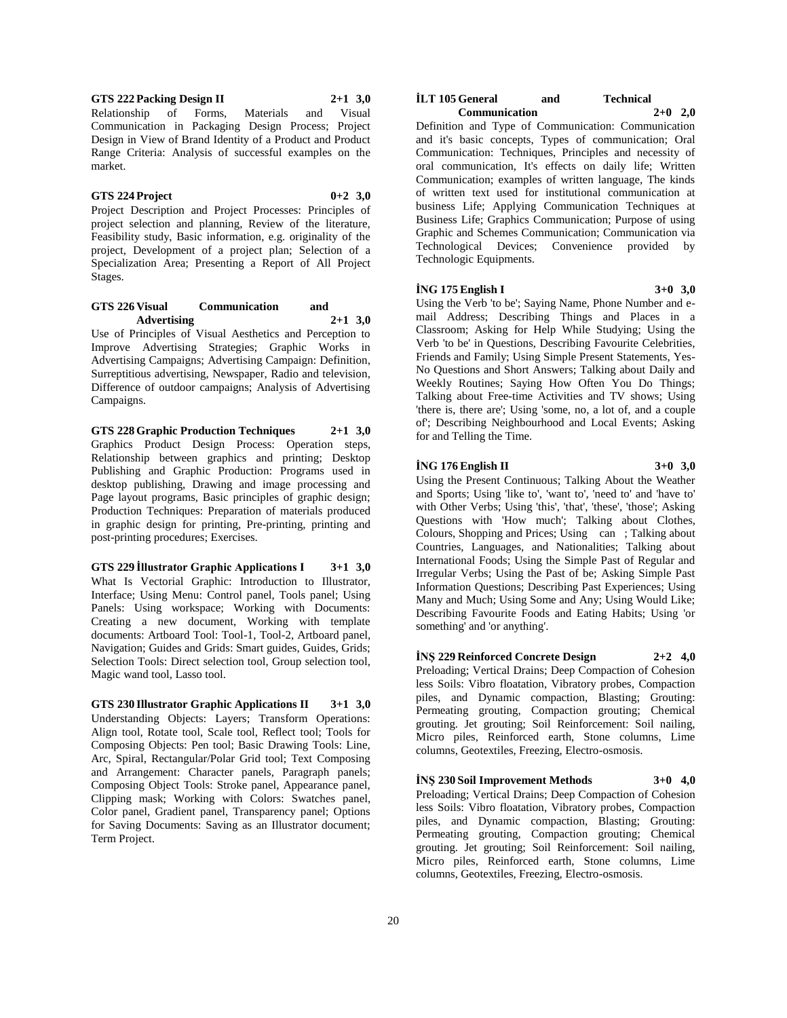**GTS 222 Packing Design II 2+1 3,0** Relationship of Forms, Materials and Visual Communication in Packaging Design Process; Project Design in View of Brand Identity of a Product and Product Range Criteria: Analysis of successful examples on the market.

#### **GTS 224 Project 0+2 3,0**

Project Description and Project Processes: Principles of project selection and planning, Review of the literature, Feasibility study, Basic information, e.g. originality of the project, Development of a project plan; Selection of a Specialization Area; Presenting a Report of All Project Stages.

#### **GTS 226 Visual Communication and Advertising 2+1 3,0**

Use of Principles of Visual Aesthetics and Perception to Improve Advertising Strategies; Graphic Works in Advertising Campaigns; Advertising Campaign: Definition, Surreptitious advertising, Newspaper, Radio and television, Difference of outdoor campaigns; Analysis of Advertising Campaigns.

**GTS 228 Graphic Production Techniques 2+1 3,0** Graphics Product Design Process: Operation steps, Relationship between graphics and printing; Desktop Publishing and Graphic Production: Programs used in desktop publishing, Drawing and image processing and Page layout programs, Basic principles of graphic design; Production Techniques: Preparation of materials produced in graphic design for printing, Pre-printing, printing and post-printing procedures; Exercises.

**GTS 229 İllustrator Graphic Applications I 3+1 3,0** What Is Vectorial Graphic: Introduction to Illustrator, Interface; Using Menu: Control panel, Tools panel; Using Panels: Using workspace; Working with Documents: Creating a new document, Working with template documents: Artboard Tool: Tool-1, Tool-2, Artboard panel, Navigation; Guides and Grids: Smart guides, Guides, Grids; Selection Tools: Direct selection tool, Group selection tool, Magic wand tool, Lasso tool.

**GTS 230 Illustrator Graphic Applications II 3+1 3,0** Understanding Objects: Layers; Transform Operations: Align tool, Rotate tool, Scale tool, Reflect tool; Tools for Composing Objects: Pen tool; Basic Drawing Tools: Line, Arc, Spiral, Rectangular/Polar Grid tool; Text Composing and Arrangement: Character panels, Paragraph panels; Composing Object Tools: Stroke panel, Appearance panel, Clipping mask; Working with Colors: Swatches panel, Color panel, Gradient panel, Transparency panel; Options for Saving Documents: Saving as an Illustrator document; Term Project.

#### **İLT 105 General and Technical Communication 2+0 2,0**

Definition and Type of Communication: Communication and it's basic concepts, Types of communication; Oral Communication: Techniques, Principles and necessity of oral communication, It's effects on daily life; Written Communication; examples of written language, The kinds of written text used for institutional communication at business Life; Applying Communication Techniques at Business Life; Graphics Communication; Purpose of using Graphic and Schemes Communication; Communication via Technological Devices; Convenience provided by Technologic Equipments.

#### **İNG 175 English I 3+0 3,0**

Using the Verb 'to be'; Saying Name, Phone Number and email Address; Describing Things and Places in a Classroom; Asking for Help While Studying; Using the Verb 'to be' in Questions, Describing Favourite Celebrities, Friends and Family; Using Simple Present Statements, Yes-No Questions and Short Answers; Talking about Daily and Weekly Routines; Saying How Often You Do Things; Talking about Free-time Activities and TV shows; Using 'there is, there are'; Using 'some, no, a lot of, and a couple of'; Describing Neighbourhood and Local Events; Asking for and Telling the Time.

#### **İNG 176 English II 3+0 3,0**

Using the Present Continuous; Talking About the Weather and Sports; Using 'like to', 'want to', 'need to' and 'have to' with Other Verbs; Using 'this', 'that', 'these', 'those'; Asking Questions with 'How much'; Talking about Clothes, Colours, Shopping and Prices; Using can; Talking about Countries, Languages, and Nationalities; Talking about International Foods; Using the Simple Past of Regular and Irregular Verbs; Using the Past of be; Asking Simple Past Information Questions; Describing Past Experiences; Using Many and Much; Using Some and Any; Using Would Like; Describing Favourite Foods and Eating Habits; Using 'or something' and 'or anything'.

**İNŞ 229 Reinforced Concrete Design 2+2 4,0** Preloading; Vertical Drains; Deep Compaction of Cohesion less Soils: Vibro floatation, Vibratory probes, Compaction piles, and Dynamic compaction, Blasting; Grouting: Permeating grouting, Compaction grouting; Chemical grouting. Jet grouting; Soil Reinforcement: Soil nailing, Micro piles, Reinforced earth, Stone columns, Lime columns, Geotextiles, Freezing, Electro-osmosis.

**İNŞ 230 Soil Improvement Methods 3+0 4,0** Preloading; Vertical Drains; Deep Compaction of Cohesion less Soils: Vibro floatation, Vibratory probes, Compaction piles, and Dynamic compaction, Blasting; Grouting: Permeating grouting, Compaction grouting; Chemical grouting. Jet grouting; Soil Reinforcement: Soil nailing, Micro piles, Reinforced earth, Stone columns, Lime columns, Geotextiles, Freezing, Electro-osmosis.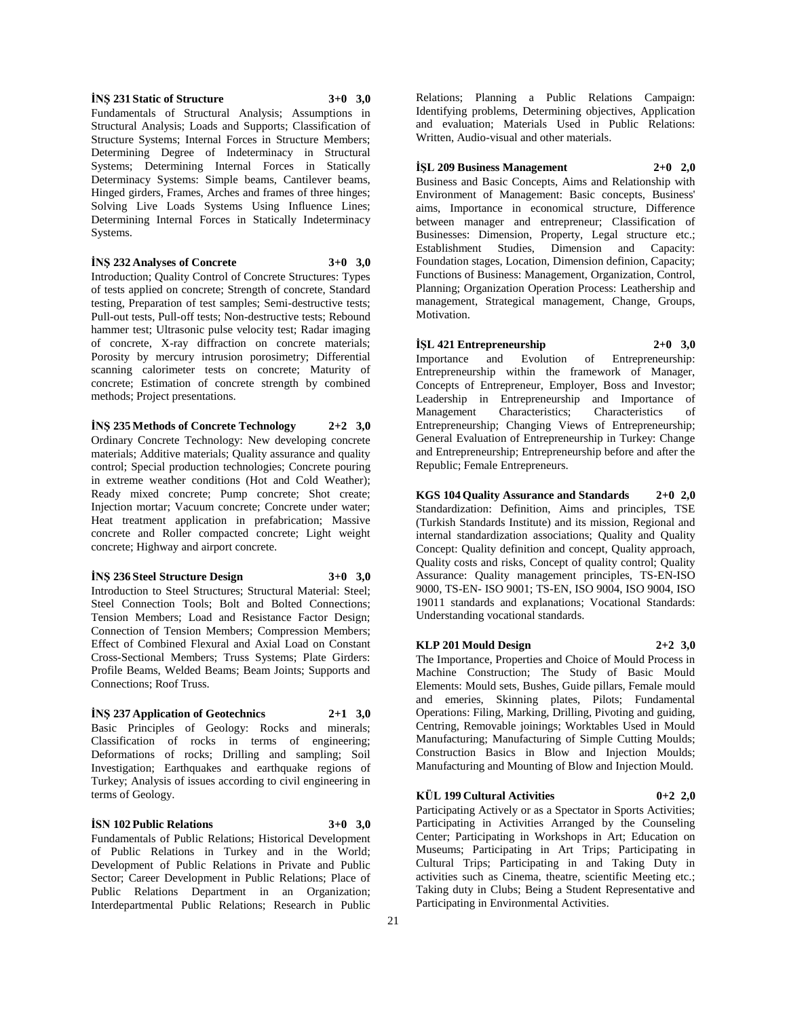### **İNŞ 231 Static of Structure 3+0 3,0**

Fundamentals of Structural Analysis; Assumptions in Structural Analysis; Loads and Supports; Classification of Structure Systems; Internal Forces in Structure Members; Determining Degree of Indeterminacy in Structural Systems; Determining Internal Forces in Statically Determinacy Systems: Simple beams, Cantilever beams, Hinged girders, Frames, Arches and frames of three hinges; Solving Live Loads Systems Using Influence Lines; Determining Internal Forces in Statically Indeterminacy Systems.

**İNŞ 232 Analyses of Concrete 3+0 3,0**

Introduction; Quality Control of Concrete Structures: Types of tests applied on concrete; Strength of concrete, Standard testing, Preparation of test samples; Semi-destructive tests; Pull-out tests, Pull-off tests; Non-destructive tests; Rebound hammer test; Ultrasonic pulse velocity test; Radar imaging of concrete, X-ray diffraction on concrete materials; Porosity by mercury intrusion porosimetry; Differential scanning calorimeter tests on concrete; Maturity of concrete; Estimation of concrete strength by combined methods; Project presentations.

**İNŞ 235 Methods of Concrete Technology 2+2 3,0** Ordinary Concrete Technology: New developing concrete materials; Additive materials; Quality assurance and quality control; Special production technologies; Concrete pouring in extreme weather conditions (Hot and Cold Weather); Ready mixed concrete; Pump concrete; Shot create; Injection mortar; Vacuum concrete; Concrete under water; Heat treatment application in prefabrication; Massive concrete and Roller compacted concrete; Light weight concrete; Highway and airport concrete.

#### **İNŞ 236 Steel Structure Design 3+0 3,0**

Introduction to Steel Structures; Structural Material: Steel; Steel Connection Tools; Bolt and Bolted Connections; Tension Members; Load and Resistance Factor Design; Connection of Tension Members; Compression Members; Effect of Combined Flexural and Axial Load on Constant Cross-Sectional Members; Truss Systems; Plate Girders: Profile Beams, Welded Beams; Beam Joints; Supports and Connections; Roof Truss.

### **İNŞ 237 Application of Geotechnics 2+1 3,0**

Basic Principles of Geology: Rocks and minerals; Classification of rocks in terms of engineering; Deformations of rocks; Drilling and sampling; Soil Investigation; Earthquakes and earthquake regions of Turkey; Analysis of issues according to civil engineering in terms of Geology.

#### **İSN 102 Public Relations 3+0 3,0**

Fundamentals of Public Relations; Historical Development of Public Relations in Turkey and in the World; Development of Public Relations in Private and Public Sector; Career Development in Public Relations; Place of Public Relations Department in an Organization; Interdepartmental Public Relations; Research in Public

Relations; Planning a Public Relations Campaign: Identifying problems, Determining objectives, Application and evaluation; Materials Used in Public Relations: Written, Audio-visual and other materials.

#### **İŞL 209 Business Management 2+0 2,0**

Business and Basic Concepts, Aims and Relationship with Environment of Management: Basic concepts, Business' aims, Importance in economical structure, Difference between manager and entrepreneur; Classification of Businesses: Dimension, Property, Legal structure etc.; Establishment Studies, Dimension and Capacity: Foundation stages, Location, Dimension definion, Capacity; Functions of Business: Management, Organization, Control, Planning; Organization Operation Process: Leathership and management, Strategical management, Change, Groups, Motivation.

### **İŞL 421 Entrepreneurship 2+0 3,0**

Importance and Evolution of Entrepreneurship: Entrepreneurship within the framework of Manager, Concepts of Entrepreneur, Employer, Boss and Investor; Leadership in Entrepreneurship and Importance of Management Characteristics; Characteristics of Entrepreneurship; Changing Views of Entrepreneurship; General Evaluation of Entrepreneurship in Turkey: Change and Entrepreneurship; Entrepreneurship before and after the Republic; Female Entrepreneurs.

**KGS 104 Quality Assurance and Standards 2+0 2,0** Standardization: Definition, Aims and principles, TSE (Turkish Standards Institute) and its mission, Regional and internal standardization associations; Quality and Quality Concept: Quality definition and concept, Quality approach, Quality costs and risks, Concept of quality control; Quality Assurance: Quality management principles, TS-EN-ISO 9000, TS-EN- ISO 9001; TS-EN, ISO 9004, ISO 9004, ISO 19011 standards and explanations; Vocational Standards: Understanding vocational standards.

#### **KLP 201 Mould Design 2+2 3,0**

The Importance, Properties and Choice of Mould Process in Machine Construction; The Study of Basic Mould Elements: Mould sets, Bushes, Guide pillars, Female mould and emeries, Skinning plates, Pilots; Fundamental Operations: Filing, Marking, Drilling, Pivoting and guiding, Centring, Removable joinings; Worktables Used in Mould Manufacturing; Manufacturing of Simple Cutting Moulds; Construction Basics in Blow and Injection Moulds; Manufacturing and Mounting of Blow and Injection Mould.

### **KÜL 199 Cultural Activities 0+2 2,0**

Participating Actively or as a Spectator in Sports Activities; Participating in Activities Arranged by the Counseling Center; Participating in Workshops in Art; Education on Museums; Participating in Art Trips; Participating in Cultural Trips; Participating in and Taking Duty in activities such as Cinema, theatre, scientific Meeting etc.; Taking duty in Clubs; Being a Student Representative and Participating in Environmental Activities.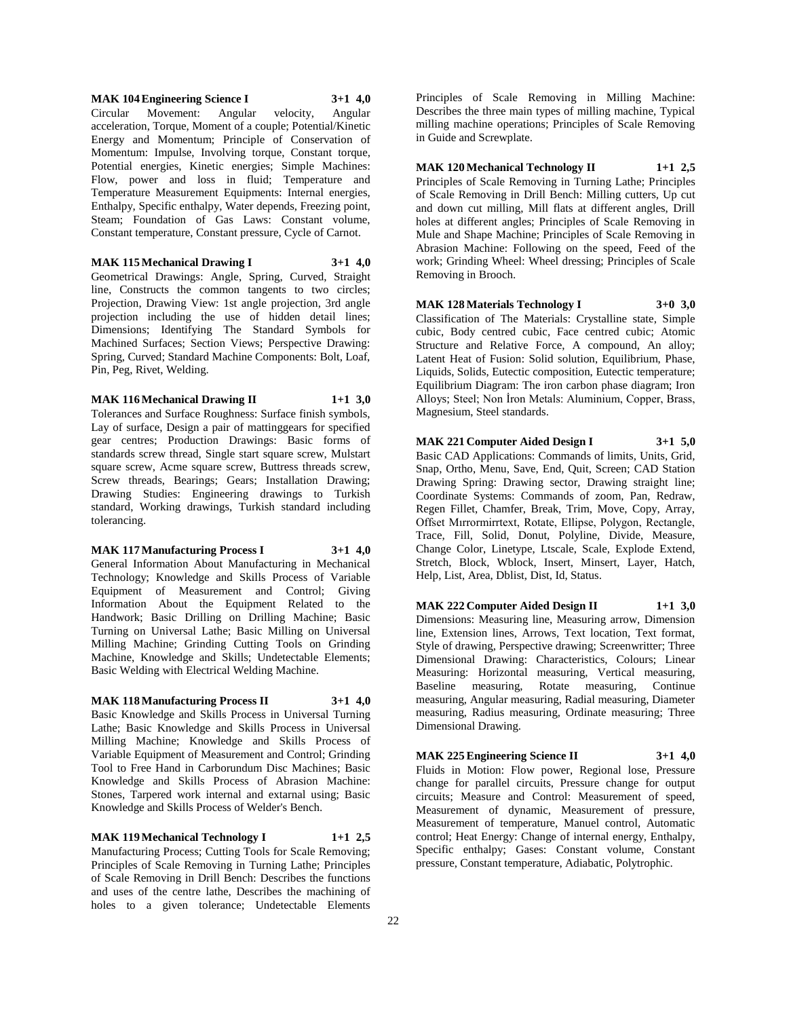**MAK 104 Engineering Science I 3+1 4,0** Circular Movement: Angular velocity, Angular acceleration, Torque, Moment of a couple; Potential/Kinetic Energy and Momentum; Principle of Conservation of Momentum: Impulse, Involving torque, Constant torque, Potential energies, Kinetic energies; Simple Machines: Flow, power and loss in fluid; Temperature and Temperature Measurement Equipments: Internal energies, Enthalpy, Specific enthalpy, Water depends, Freezing point, Steam; Foundation of Gas Laws: Constant volume, Constant temperature, Constant pressure, Cycle of Carnot.

**MAK 115 Mechanical Drawing I 3+1 4,0** Geometrical Drawings: Angle, Spring, Curved, Straight line, Constructs the common tangents to two circles; Projection, Drawing View: 1st angle projection, 3rd angle projection including the use of hidden detail lines; Dimensions; Identifying The Standard Symbols for Machined Surfaces; Section Views; Perspective Drawing: Spring, Curved; Standard Machine Components: Bolt, Loaf, Pin, Peg, Rivet, Welding.

**MAK 116 Mechanical Drawing II 1+1 3,0** Tolerances and Surface Roughness: Surface finish symbols, Lay of surface, Design a pair of mattinggears for specified gear centres; Production Drawings: Basic forms of standards screw thread, Single start square screw, Mulstart square screw, Acme square screw, Buttress threads screw, Screw threads, Bearings; Gears; Installation Drawing; Drawing Studies: Engineering drawings to Turkish standard, Working drawings, Turkish standard including tolerancing.

**MAK 117 Manufacturing Process I 3+1 4,0** General Information About Manufacturing in Mechanical

Technology; Knowledge and Skills Process of Variable Equipment of Measurement and Control; Giving Information About the Equipment Related to the Handwork; Basic Drilling on Drilling Machine; Basic Turning on Universal Lathe; Basic Milling on Universal Milling Machine; Grinding Cutting Tools on Grinding Machine, Knowledge and Skills; Undetectable Elements; Basic Welding with Electrical Welding Machine.

**MAK 118 Manufacturing Process II 3+1 4,0** Basic Knowledge and Skills Process in Universal Turning Lathe; Basic Knowledge and Skills Process in Universal Milling Machine; Knowledge and Skills Process of Variable Equipment of Measurement and Control; Grinding Tool to Free Hand in Carborundum Disc Machines; Basic Knowledge and Skills Process of Abrasion Machine: Stones, Tarpered work internal and extarnal using; Basic Knowledge and Skills Process of Welder's Bench.

**MAK 119 Mechanical Technology I 1+1 2,5** Manufacturing Process; Cutting Tools for Scale Removing; Principles of Scale Removing in Turning Lathe; Principles of Scale Removing in Drill Bench: Describes the functions and uses of the centre lathe, Describes the machining of holes to a given tolerance; Undetectable Elements

Principles of Scale Removing in Milling Machine: Describes the three main types of milling machine, Typical milling machine operations; Principles of Scale Removing in Guide and Screwplate.

**MAK 120 Mechanical Technology II 1+1 2,5** Principles of Scale Removing in Turning Lathe; Principles of Scale Removing in Drill Bench: Milling cutters, Up cut and down cut milling, Mill flats at different angles, Drill holes at different angles; Principles of Scale Removing in Mule and Shape Machine; Principles of Scale Removing in Abrasion Machine: Following on the speed, Feed of the work; Grinding Wheel: Wheel dressing; Principles of Scale Removing in Brooch.

**MAK 128 Materials Technology I 3+0 3,0** Classification of The Materials: Crystalline state, Simple cubic, Body centred cubic, Face centred cubic; Atomic Structure and Relative Force, A compound, An alloy; Latent Heat of Fusion: Solid solution, Equilibrium, Phase, Liquids, Solids, Eutectic composition, Eutectic temperature; Equilibrium Diagram: The iron carbon phase diagram; Iron Alloys; Steel; Non İron Metals: Aluminium, Copper, Brass, Magnesium, Steel standards.

**MAK 221 Computer Aided Design I 3+1 5,0** Basic CAD Applications: Commands of limits, Units, Grid, Snap, Ortho, Menu, Save, End, Quit, Screen; CAD Station Drawing Spring: Drawing sector, Drawing straight line; Coordinate Systems: Commands of zoom, Pan, Redraw, Regen Fillet, Chamfer, Break, Trim, Move, Copy, Array, Offset Mırrormirrtext, Rotate, Ellipse, Polygon, Rectangle, Trace, Fill, Solid, Donut, Polyline, Divide, Measure, Change Color, Linetype, Ltscale, Scale, Explode Extend, Stretch, Block, Wblock, Insert, Minsert, Layer, Hatch, Help, List, Area, Dblist, Dist, Id, Status.

**MAK 222 Computer Aided Design II 1+1 3,0** Dimensions: Measuring line, Measuring arrow, Dimension line, Extension lines, Arrows, Text location, Text format, Style of drawing, Perspective drawing; Screenwritter; Three Dimensional Drawing: Characteristics, Colours; Linear Measuring: Horizontal measuring, Vertical measuring, Baseline measuring, Rotate measuring, Continue measuring, Angular measuring, Radial measuring, Diameter measuring, Radius measuring, Ordinate measuring; Three Dimensional Drawing.

**MAK 225 Engineering Science II 3+1 4,0** Fluids in Motion: Flow power, Regional lose, Pressure change for parallel circuits, Pressure change for output circuits; Measure and Control: Measurement of speed, Measurement of dynamic, Measurement of pressure, Measurement of temperature, Manuel control, Automatic control; Heat Energy: Change of internal energy, Enthalpy, Specific enthalpy; Gases: Constant volume, Constant pressure, Constant temperature, Adiabatic, Polytrophic.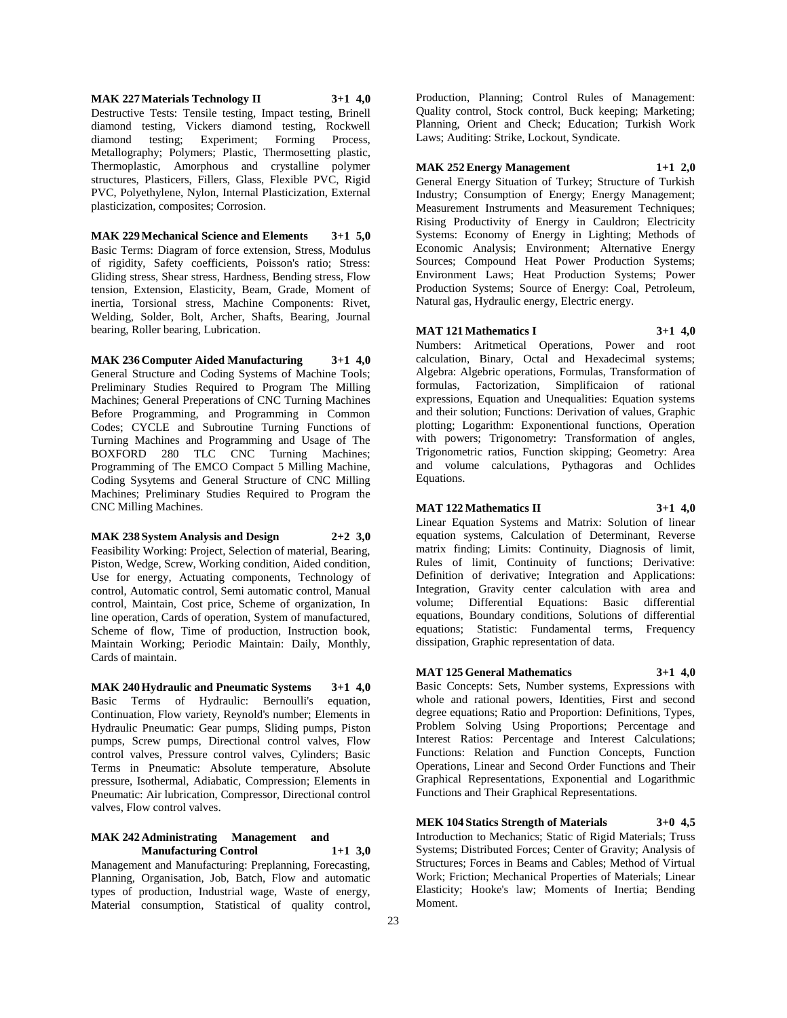**MAK 227 Materials Technology II 3+1 4,0** Destructive Tests: Tensile testing, Impact testing, Brinell diamond testing, Vickers diamond testing, Rockwell diamond testing; Experiment; Forming Process, Metallography; Polymers; Plastic, Thermosetting plastic, Thermoplastic, Amorphous and crystalline polymer structures, Plasticers, Fillers, Glass, Flexible PVC, Rigid PVC, Polyethylene, Nylon, Internal Plasticization, External plasticization, composites; Corrosion.

**MAK 229 Mechanical Science and Elements 3+1 5,0** Basic Terms: Diagram of force extension, Stress, Modulus of rigidity, Safety coefficients, Poisson's ratio; Stress: Gliding stress, Shear stress, Hardness, Bending stress, Flow tension, Extension, Elasticity, Beam, Grade, Moment of inertia, Torsional stress, Machine Components: Rivet, Welding, Solder, Bolt, Archer, Shafts, Bearing, Journal bearing, Roller bearing, Lubrication.

**MAK 236 Computer Aided Manufacturing 3+1 4,0** General Structure and Coding Systems of Machine Tools; Preliminary Studies Required to Program The Milling Machines; General Preperations of CNC Turning Machines Before Programming, and Programming in Common Codes; CYCLE and Subroutine Turning Functions of Turning Machines and Programming and Usage of The BOXFORD 280 TLC CNC Turning Machines; Programming of The EMCO Compact 5 Milling Machine, Coding Sysytems and General Structure of CNC Milling Machines; Preliminary Studies Required to Program the CNC Milling Machines.

# **MAK 238 System Analysis and Design 2+2 3,0**

Feasibility Working: Project, Selection of material, Bearing, Piston, Wedge, Screw, Working condition, Aided condition, Use for energy, Actuating components, Technology of control, Automatic control, Semi automatic control, Manual control, Maintain, Cost price, Scheme of organization, In line operation, Cards of operation, System of manufactured, Scheme of flow, Time of production, Instruction book, Maintain Working; Periodic Maintain: Daily, Monthly, Cards of maintain.

**MAK 240 Hydraulic and Pneumatic Systems 3+1 4,0** Basic Terms of Hydraulic: Bernoulli's equation, Continuation, Flow variety, Reynold's number; Elements in Hydraulic Pneumatic: Gear pumps, Sliding pumps, Piston pumps, Screw pumps, Directional control valves, Flow control valves, Pressure control valves, Cylinders; Basic Terms in Pneumatic: Absolute temperature, Absolute pressure, Isothermal, Adiabatic, Compression; Elements in Pneumatic: Air lubrication, Compressor, Directional control valves, Flow control valves.

#### **MAK 242 Administrating Management and Manufacturing Control 1+1 3,0**

Management and Manufacturing: Preplanning, Forecasting, Planning, Organisation, Job, Batch, Flow and automatic types of production, Industrial wage, Waste of energy, Material consumption, Statistical of quality control,

Production, Planning; Control Rules of Management: Quality control, Stock control, Buck keeping; Marketing; Planning, Orient and Check; Education; Turkish Work Laws; Auditing: Strike, Lockout, Syndicate.

# **MAK 252 Energy Management 1+1 2,0**

General Energy Situation of Turkey; Structure of Turkish Industry; Consumption of Energy; Energy Management; Measurement Instruments and Measurement Techniques; Rising Productivity of Energy in Cauldron; Electricity Systems: Economy of Energy in Lighting; Methods of Economic Analysis; Environment; Alternative Energy Sources; Compound Heat Power Production Systems; Environment Laws; Heat Production Systems; Power Production Systems; Source of Energy: Coal, Petroleum, Natural gas, Hydraulic energy, Electric energy.

#### **MAT 121 Mathematics I 3+1 4,0**

Numbers: Aritmetical Operations, Power and root calculation, Binary, Octal and Hexadecimal systems; Algebra: Algebric operations, Formulas, Transformation of formulas, Factorization, Simplificaion of rational expressions, Equation and Unequalities: Equation systems and their solution; Functions: Derivation of values, Graphic plotting; Logarithm: Exponentional functions, Operation with powers; Trigonometry: Transformation of angles, Trigonometric ratios, Function skipping; Geometry: Area and volume calculations, Pythagoras and Ochlides Equations.

#### **MAT 122 Mathematics II 3+1 4,0**

Linear Equation Systems and Matrix: Solution of linear equation systems, Calculation of Determinant, Reverse matrix finding; Limits: Continuity, Diagnosis of limit, Rules of limit, Continuity of functions; Derivative: Definition of derivative; Integration and Applications: Integration, Gravity center calculation with area and volume; Differential Equations: Basic differential equations, Boundary conditions, Solutions of differential equations; Statistic: Fundamental terms, Frequency dissipation, Graphic representation of data.

#### **MAT 125 General Mathematics 3+1 4,0**

Basic Concepts: Sets, Number systems, Expressions with whole and rational powers, Identities, First and second degree equations; Ratio and Proportion: Definitions, Types, Problem Solving Using Proportions; Percentage and Interest Ratios: Percentage and Interest Calculations; Functions: Relation and Function Concepts, Function Operations, Linear and Second Order Functions and Their Graphical Representations, Exponential and Logarithmic Functions and Their Graphical Representations.

**MEK 104 Statics Strength of Materials 3+0 4,5**

Introduction to Mechanics; Static of Rigid Materials; Truss Systems; Distributed Forces; Center of Gravity; Analysis of Structures; Forces in Beams and Cables; Method of Virtual Work; Friction; Mechanical Properties of Materials; Linear Elasticity; Hooke's law; Moments of Inertia; Bending Moment.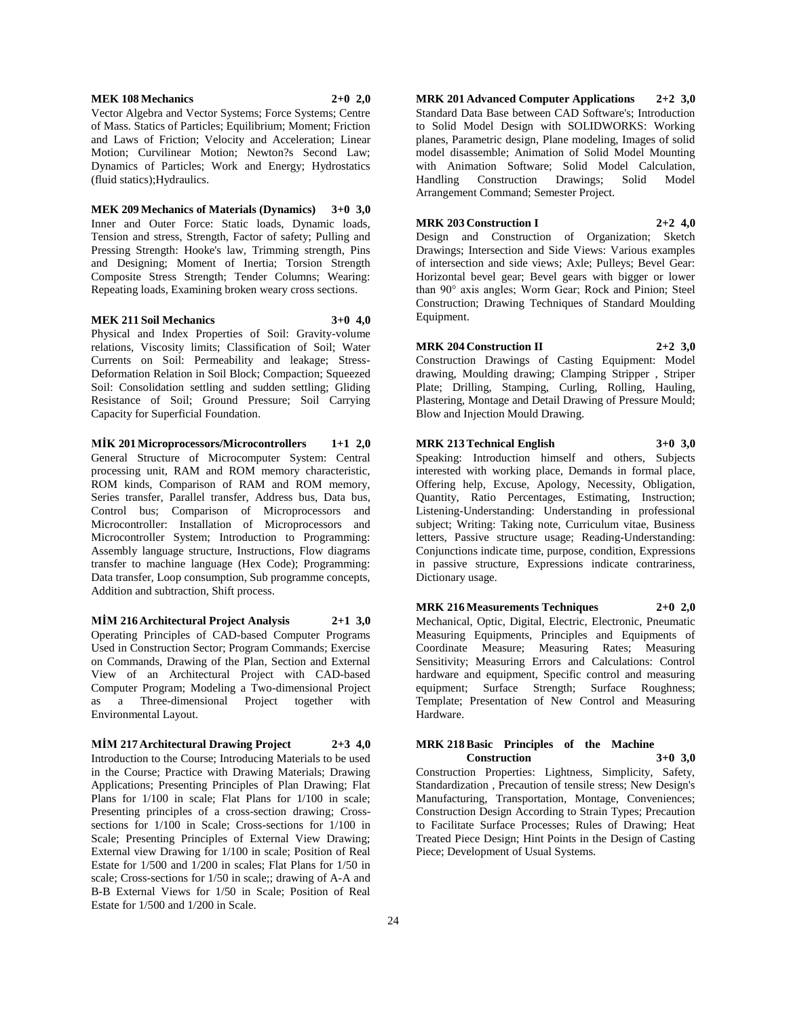#### **MEK 108 Mechanics 2+0 2,0**

Vector Algebra and Vector Systems; Force Systems; Centre of Mass. Statics of Particles; Equilibrium; Moment; Friction and Laws of Friction; Velocity and Acceleration; Linear Motion; Curvilinear Motion; Newton?s Second Law; Dynamics of Particles; Work and Energy; Hydrostatics (fluid statics);Hydraulics.

# **MEK 209 Mechanics of Materials (Dynamics) 3+0 3,0**

Inner and Outer Force: Static loads, Dynamic loads, Tension and stress, Strength, Factor of safety; Pulling and Pressing Strength: Hooke's law, Trimming strength, Pins and Designing; Moment of Inertia; Torsion Strength Composite Stress Strength; Tender Columns; Wearing: Repeating loads, Examining broken weary cross sections.

**MEK 211 Soil Mechanics 3+0 4,0**

Physical and Index Properties of Soil: Gravity-volume relations, Viscosity limits; Classification of Soil; Water Currents on Soil: Permeability and leakage; Stress-Deformation Relation in Soil Block; Compaction; Squeezed Soil: Consolidation settling and sudden settling; Gliding Resistance of Soil; Ground Pressure; Soil Carrying Capacity for Superficial Foundation.

**MİK 201 Microprocessors/Microcontrollers 1+1 2,0** General Structure of Microcomputer System: Central processing unit, RAM and ROM memory characteristic, ROM kinds, Comparison of RAM and ROM memory, Series transfer, Parallel transfer, Address bus, Data bus, Control bus; Comparison of Microprocessors and Microcontroller: Installation of Microprocessors and

Microcontroller System; Introduction to Programming: Assembly language structure, Instructions, Flow diagrams transfer to machine language (Hex Code); Programming: Data transfer, Loop consumption, Sub programme concepts, Addition and subtraction, Shift process.

**MİM 216 Architectural Project Analysis 2+1 3,0** Operating Principles of CAD-based Computer Programs Used in Construction Sector; Program Commands; Exercise on Commands, Drawing of the Plan, Section and External View of an Architectural Project with CAD-based Computer Program; Modeling a Two-dimensional Project as a Three-dimensional Project together with Environmental Layout.

**MİM 217 Architectural Drawing Project 2+3 4,0**

Introduction to the Course; Introducing Materials to be used in the Course; Practice with Drawing Materials; Drawing Applications; Presenting Principles of Plan Drawing; Flat Plans for 1/100 in scale; Flat Plans for 1/100 in scale; Presenting principles of a cross-section drawing; Crosssections for 1/100 in Scale; Cross-sections for 1/100 in Scale; Presenting Principles of External View Drawing; External view Drawing for 1/100 in scale; Position of Real Estate for 1/500 and 1/200 in scales; Flat Plans for 1/50 in scale; Cross-sections for 1/50 in scale;; drawing of A-A and B-B External Views for 1/50 in Scale; Position of Real Estate for 1/500 and 1/200 in Scale.

**MRK 201 Advanced Computer Applications 2+2 3,0** Standard Data Base between CAD Software's; Introduction to Solid Model Design with SOLIDWORKS: Working planes, Parametric design, Plane modeling, Images of solid model disassemble; Animation of Solid Model Mounting with Animation Software; Solid Model Calculation, Handling Construction Drawings; Solid Model Arrangement Command; Semester Project.

#### **MRK 203 Construction I 2+2 4,0**

Design and Construction of Organization; Sketch Drawings; Intersection and Side Views: Various examples of intersection and side views; Axle; Pulleys; Bevel Gear: Horizontal bevel gear; Bevel gears with bigger or lower than 90° axis angles; Worm Gear; Rock and Pinion; Steel Construction; Drawing Techniques of Standard Moulding Equipment.

**MRK 204 Construction II 2+2 3,0** Construction Drawings of Casting Equipment: Model drawing, Moulding drawing; Clamping Stripper , Striper Plate; Drilling, Stamping, Curling, Rolling, Hauling, Plastering, Montage and Detail Drawing of Pressure Mould; Blow and Injection Mould Drawing.

**MRK 213 Technical English 3+0 3,0** Speaking: Introduction himself and others, Subjects interested with working place, Demands in formal place, Offering help, Excuse, Apology, Necessity, Obligation, Quantity, Ratio Percentages, Estimating, Instruction; Listening-Understanding: Understanding in professional subject; Writing: Taking note, Curriculum vitae, Business letters, Passive structure usage; Reading-Understanding: Conjunctions indicate time, purpose, condition, Expressions in passive structure, Expressions indicate contrariness, Dictionary usage.

**MRK 216 Measurements Techniques 2+0 2,0** Mechanical, Optic, Digital, Electric, Electronic, Pneumatic Measuring Equipments, Principles and Equipments of Coordinate Measure; Measuring Rates; Measuring Sensitivity; Measuring Errors and Calculations: Control hardware and equipment, Specific control and measuring equipment; Surface Strength; Surface Roughness; Template; Presentation of New Control and Measuring Hardware.

#### **MRK 218 Basic Principles of the Machine Construction 3+0 3,0**

Construction Properties: Lightness, Simplicity, Safety, Standardization , Precaution of tensile stress; New Design's Manufacturing, Transportation, Montage, Conveniences; Construction Design According to Strain Types; Precaution to Facilitate Surface Processes; Rules of Drawing; Heat Treated Piece Design; Hint Points in the Design of Casting Piece; Development of Usual Systems.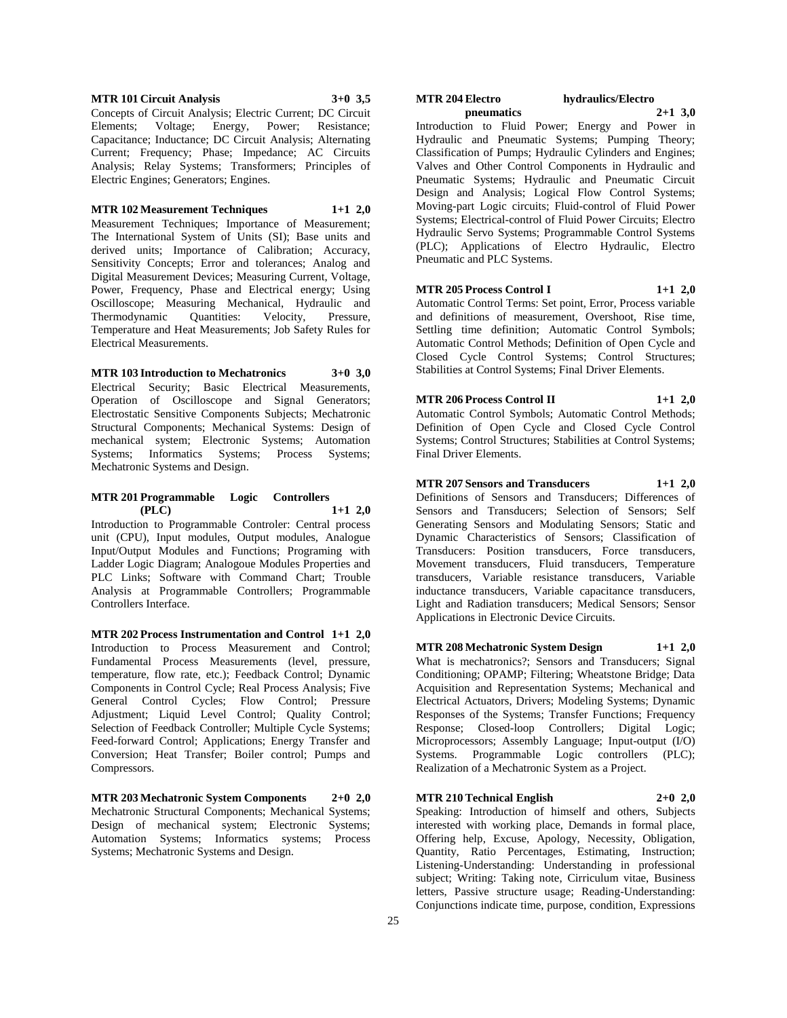**MTR 101 Circuit Analysis 3+0 3,5** Concepts of Circuit Analysis; Electric Current; DC Circuit Elements; Voltage; Energy, Power; Resistance; Capacitance; Inductance; DC Circuit Analysis; Alternating Current; Frequency; Phase; Impedance; AC Circuits Analysis; Relay Systems; Transformers; Principles of Electric Engines; Generators; Engines.

#### **MTR 102 Measurement Techniques 1+1 2,0**

Measurement Techniques; Importance of Measurement; The International System of Units (SI); Base units and derived units; Importance of Calibration; Accuracy, Sensitivity Concepts; Error and tolerances; Analog and Digital Measurement Devices; Measuring Current, Voltage, Power, Frequency, Phase and Electrical energy; Using Oscilloscope; Measuring Mechanical, Hydraulic and Thermodynamic Quantities: Velocity, Pressure, Temperature and Heat Measurements; Job Safety Rules for Electrical Measurements.

#### **MTR 103 Introduction to Mechatronics 3+0 3,0**

Electrical Security; Basic Electrical Measurements, Operation of Oscilloscope and Signal Generators; Electrostatic Sensitive Components Subjects; Mechatronic Structural Components; Mechanical Systems: Design of mechanical system; Electronic Systems; Automation Systems; Informatics Systems; Process Systems; Mechatronic Systems and Design.

#### **MTR 201 Programmable Logic Controllers (PLC) 1+1 2,0**

Introduction to Programmable Controler: Central process unit (CPU), Input modules, Output modules, Analogue Input/Output Modules and Functions; Programing with Ladder Logic Diagram; Analogoue Modules Properties and PLC Links; Software with Command Chart; Trouble Analysis at Programmable Controllers; Programmable Controllers Interface.

**MTR 202 Process Instrumentation and Control 1+1 2,0** Introduction to Process Measurement and Control; Fundamental Process Measurements (level, pressure, temperature, flow rate, etc.); Feedback Control; Dynamic Components in Control Cycle; Real Process Analysis; Five General Control Cycles; Flow Control; Pressure Adjustment; Liquid Level Control; Quality Control; Selection of Feedback Controller; Multiple Cycle Systems; Feed-forward Control; Applications; Energy Transfer and Conversion; Heat Transfer; Boiler control; Pumps and Compressors.

**MTR 203 Mechatronic System Components 2+0 2,0** Mechatronic Structural Components; Mechanical Systems; Design of mechanical system; Electronic Systems; Automation Systems; Informatics systems; Process Systems; Mechatronic Systems and Design.

#### **MTR 204 Electro hydraulics/Electro pneumatics 2+1 3,0**

Introduction to Fluid Power; Energy and Power in Hydraulic and Pneumatic Systems; Pumping Theory; Classification of Pumps; Hydraulic Cylinders and Engines; Valves and Other Control Components in Hydraulic and Pneumatic Systems; Hydraulic and Pneumatic Circuit Design and Analysis; Logical Flow Control Systems; Moving-part Logic circuits; Fluid-control of Fluid Power Systems; Electrical-control of Fluid Power Circuits; Electro Hydraulic Servo Systems; Programmable Control Systems (PLC); Applications of Electro Hydraulic, Electro Pneumatic and PLC Systems.

#### **MTR 205 Process Control I 1+1 2,0**

Automatic Control Terms: Set point, Error, Process variable and definitions of measurement, Overshoot, Rise time, Settling time definition; Automatic Control Symbols; Automatic Control Methods; Definition of Open Cycle and Closed Cycle Control Systems; Control Structures; Stabilities at Control Systems; Final Driver Elements.

**MTR 206 Process Control II 1+1 2,0** Automatic Control Symbols; Automatic Control Methods; Definition of Open Cycle and Closed Cycle Control Systems; Control Structures; Stabilities at Control Systems; Final Driver Elements.

**MTR 207 Sensors and Transducers 1+1 2,0** Definitions of Sensors and Transducers; Differences of Sensors and Transducers; Selection of Sensors; Self Generating Sensors and Modulating Sensors; Static and Dynamic Characteristics of Sensors; Classification of Transducers: Position transducers, Force transducers, Movement transducers, Fluid transducers, Temperature transducers, Variable resistance transducers, Variable inductance transducers, Variable capacitance transducers, Light and Radiation transducers; Medical Sensors; Sensor Applications in Electronic Device Circuits.

**MTR 208 Mechatronic System Design 1+1 2,0** What is mechatronics?; Sensors and Transducers; Signal Conditioning; OPAMP; Filtering; Wheatstone Bridge; Data Acquisition and Representation Systems; Mechanical and Electrical Actuators, Drivers; Modeling Systems; Dynamic Responses of the Systems; Transfer Functions; Frequency Response; Closed-loop Controllers; Digital Logic; Microprocessors; Assembly Language; Input-output (I/O) Systems. Programmable Logic controllers (PLC); Realization of a Mechatronic System as a Project.

#### **MTR 210 Technical English 2+0 2,0**

Speaking: Introduction of himself and others, Subjects interested with working place, Demands in formal place, Offering help, Excuse, Apology, Necessity, Obligation, Quantity, Ratio Percentages, Estimating, Instruction; Listening-Understanding: Understanding in professional subject; Writing: Taking note, Cirriculum vitae, Business letters, Passive structure usage; Reading-Understanding: Conjunctions indicate time, purpose, condition, Expressions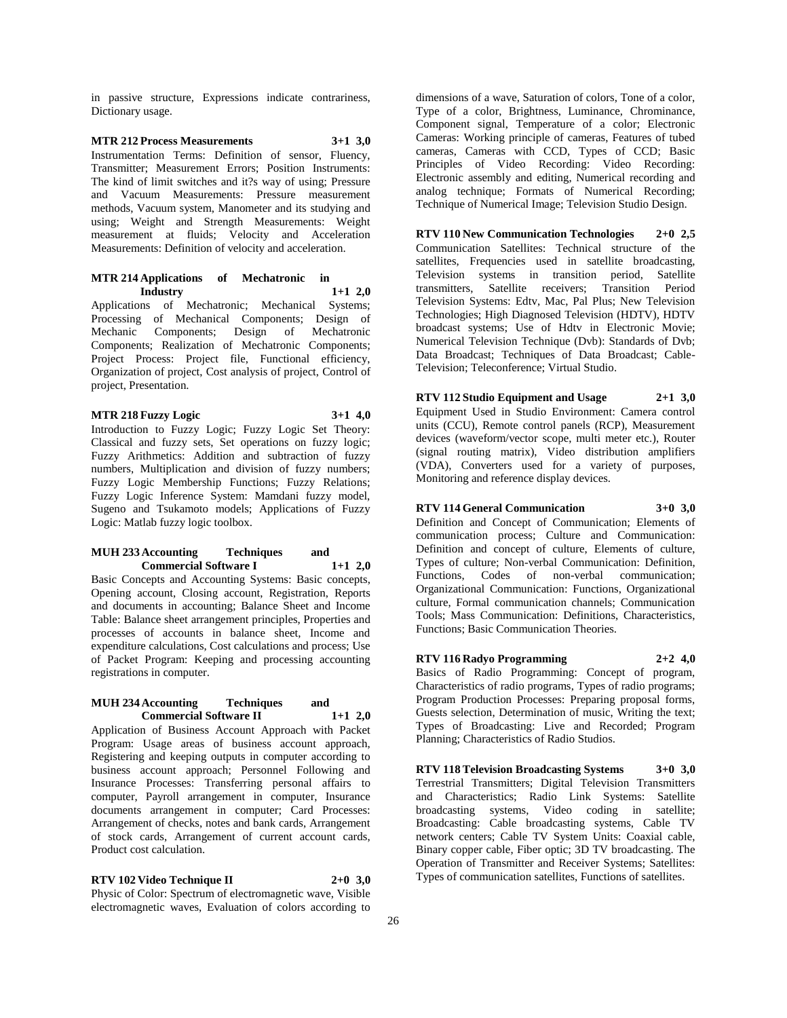in passive structure, Expressions indicate contrariness, Dictionary usage.

**MTR 212 Process Measurements 3+1 3,0** Instrumentation Terms: Definition of sensor, Fluency, Transmitter; Measurement Errors; Position Instruments: The kind of limit switches and it?s way of using; Pressure and Vacuum Measurements: Pressure measurement methods, Vacuum system, Manometer and its studying and using; Weight and Strength Measurements: Weight measurement at fluids; Velocity and Acceleration Measurements: Definition of velocity and acceleration.

#### **MTR 214 Applications of Mechatronic in Industry 1+1 2,0**

Applications of Mechatronic; Mechanical Systems; Processing of Mechanical Components; Design of Mechanic Components; Design of Mechatronic Components; Realization of Mechatronic Components; Project Process: Project file, Functional efficiency, Organization of project, Cost analysis of project, Control of project, Presentation.

#### **MTR 218 Fuzzy Logic 3+1 4,0**

Introduction to Fuzzy Logic; Fuzzy Logic Set Theory: Classical and fuzzy sets, Set operations on fuzzy logic; Fuzzy Arithmetics: Addition and subtraction of fuzzy numbers, Multiplication and division of fuzzy numbers; Fuzzy Logic Membership Functions; Fuzzy Relations; Fuzzy Logic Inference System: Mamdani fuzzy model, Sugeno and Tsukamoto models; Applications of Fuzzy Logic: Matlab fuzzy logic toolbox.

#### **MUH 233 Accounting Techniques and Commercial Software I 1+1 2,0**

Basic Concepts and Accounting Systems: Basic concepts, Opening account, Closing account, Registration, Reports and documents in accounting; Balance Sheet and Income Table: Balance sheet arrangement principles, Properties and processes of accounts in balance sheet, Income and expenditure calculations, Cost calculations and process; Use of Packet Program: Keeping and processing accounting registrations in computer.

#### **MUH 234 Accounting Techniques and Commercial Software II 1+1 2,0**

Application of Business Account Approach with Packet Program: Usage areas of business account approach, Registering and keeping outputs in computer according to business account approach; Personnel Following and Insurance Processes: Transferring personal affairs to computer, Payroll arrangement in computer, Insurance documents arrangement in computer; Card Processes: Arrangement of checks, notes and bank cards, Arrangement of stock cards, Arrangement of current account cards, Product cost calculation.

**RTV 102 Video Technique II 2+0 3,0** Physic of Color: Spectrum of electromagnetic wave, Visible electromagnetic waves, Evaluation of colors according to dimensions of a wave, Saturation of colors, Tone of a color, Type of a color, Brightness, Luminance, Chrominance, Component signal, Temperature of a color; Electronic Cameras: Working principle of cameras, Features of tubed cameras, Cameras with CCD, Types of CCD; Basic Principles of Video Recording: Video Recording: Electronic assembly and editing, Numerical recording and analog technique; Formats of Numerical Recording; Technique of Numerical Image; Television Studio Design.

**RTV 110 New Communication Technologies 2+0 2,5** Communication Satellites: Technical structure of the satellites, Frequencies used in satellite broadcasting, Television systems in transition period, Satellite transmitters, Satellite receivers; Transition Period Television Systems: Edtv, Mac, Pal Plus; New Television Technologies; High Diagnosed Television (HDTV), HDTV broadcast systems; Use of Hdtv in Electronic Movie; Numerical Television Technique (Dvb): Standards of Dvb; Data Broadcast; Techniques of Data Broadcast; Cable-Television; Teleconference; Virtual Studio.

**RTV 112 Studio Equipment and Usage 2+1 3,0** Equipment Used in Studio Environment: Camera control units (CCU), Remote control panels (RCP), Measurement devices (waveform/vector scope, multi meter etc.), Router (signal routing matrix), Video distribution amplifiers (VDA), Converters used for a variety of purposes, Monitoring and reference display devices.

#### **RTV 114 General Communication 3+0 3,0**

Definition and Concept of Communication; Elements of communication process; Culture and Communication: Definition and concept of culture, Elements of culture, Types of culture; Non-verbal Communication: Definition, Functions, Codes of non-verbal communication; Organizational Communication: Functions, Organizational culture, Formal communication channels; Communication Tools; Mass Communication: Definitions, Characteristics, Functions; Basic Communication Theories.

#### **RTV 116 Radyo Programming 2+2 4,0**

Basics of Radio Programming: Concept of program, Characteristics of radio programs, Types of radio programs; Program Production Processes: Preparing proposal forms, Guests selection, Determination of music, Writing the text; Types of Broadcasting: Live and Recorded; Program Planning; Characteristics of Radio Studios.

**RTV 118 Television Broadcasting Systems 3+0 3,0** Terrestrial Transmitters; Digital Television Transmitters and Characteristics; Radio Link Systems: Satellite broadcasting systems, Video coding in satellite; Broadcasting: Cable broadcasting systems, Cable TV network centers; Cable TV System Units: Coaxial cable, Binary copper cable, Fiber optic; 3D TV broadcasting. The Operation of Transmitter and Receiver Systems; Satellites: Types of communication satellites, Functions of satellites.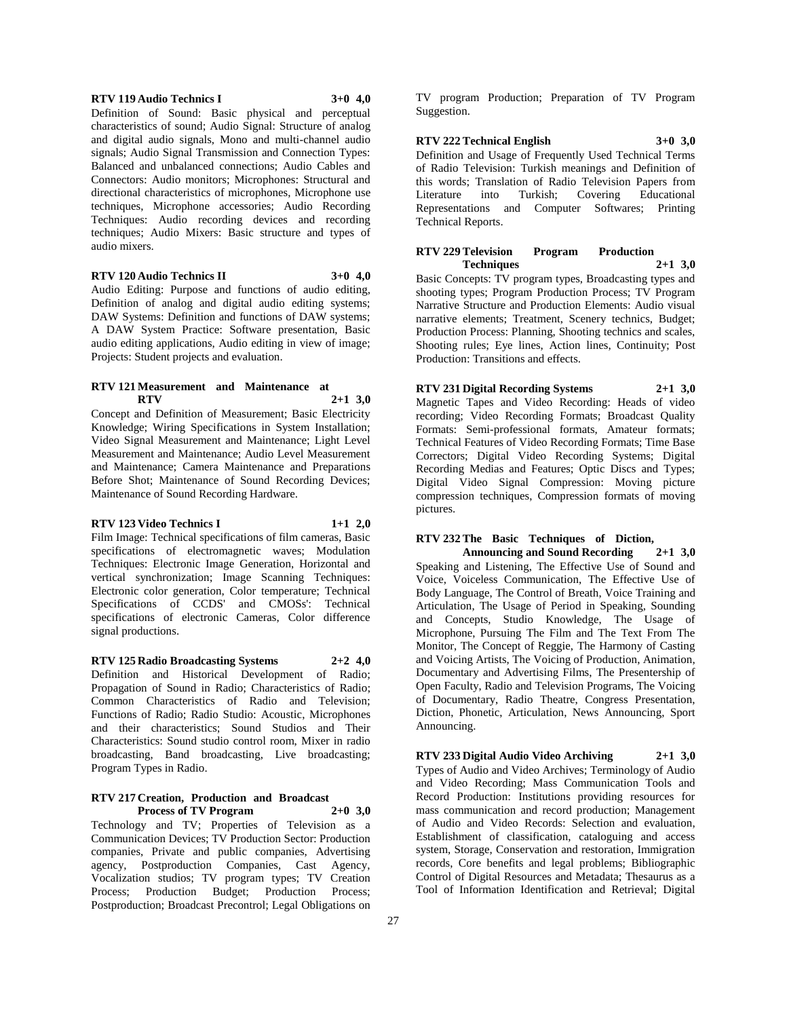#### **RTV 119 Audio Technics I 3+0 4,0**

Definition of Sound: Basic physical and perceptual characteristics of sound; Audio Signal: Structure of analog and digital audio signals, Mono and multi-channel audio signals; Audio Signal Transmission and Connection Types: Balanced and unbalanced connections; Audio Cables and Connectors: Audio monitors; Microphones: Structural and directional characteristics of microphones, Microphone use techniques, Microphone accessories; Audio Recording Techniques: Audio recording devices and recording techniques; Audio Mixers: Basic structure and types of audio mixers.

### **RTV 120 Audio Technics II 3+0 4,0**

Audio Editing: Purpose and functions of audio editing, Definition of analog and digital audio editing systems; DAW Systems: Definition and functions of DAW systems; A DAW System Practice: Software presentation, Basic audio editing applications, Audio editing in view of image; Projects: Student projects and evaluation.

#### **RTV 121 Measurement and Maintenance at RTV 2+1 3,0**

Concept and Definition of Measurement; Basic Electricity Knowledge; Wiring Specifications in System Installation; Video Signal Measurement and Maintenance; Light Level Measurement and Maintenance; Audio Level Measurement and Maintenance; Camera Maintenance and Preparations Before Shot; Maintenance of Sound Recording Devices; Maintenance of Sound Recording Hardware.

#### **RTV 123 Video Technics I 1+1 2,0**

Film Image: Technical specifications of film cameras, Basic specifications of electromagnetic waves; Modulation Techniques: Electronic Image Generation, Horizontal and vertical synchronization; Image Scanning Techniques: Electronic color generation, Color temperature; Technical Specifications of CCDS' and CMOSs': Technical specifications of electronic Cameras, Color difference signal productions.

#### **RTV 125 Radio Broadcasting Systems 2+2 4,0**

Definition and Historical Development of Radio; Propagation of Sound in Radio; Characteristics of Radio; Common Characteristics of Radio and Television; Functions of Radio; Radio Studio: Acoustic, Microphones and their characteristics; Sound Studios and Their Characteristics: Sound studio control room, Mixer in radio broadcasting, Band broadcasting, Live broadcasting; Program Types in Radio.

#### **RTV 217 Creation, Production and Broadcast Process of TV Program 2+0 3,0**

Technology and TV; Properties of Television as a Communication Devices; TV Production Sector: Production companies, Private and public companies, Advertising agency, Postproduction Companies, Cast Agency, Vocalization studios; TV program types; TV Creation Process; Production Budget; Production Process; Postproduction; Broadcast Precontrol; Legal Obligations on

TV program Production; Preparation of TV Program Suggestion.

#### **RTV 222 Technical English 3+0 3,0**

Definition and Usage of Frequently Used Technical Terms of Radio Television: Turkish meanings and Definition of this words; Translation of Radio Television Papers from Literature into Turkish; Covering Educational Representations and Computer Softwares; Printing Technical Reports.

#### **RTV 229 Television Program Production Techniques 2+1 3,0**

Basic Concepts: TV program types, Broadcasting types and shooting types; Program Production Process; TV Program Narrative Structure and Production Elements: Audio visual narrative elements; Treatment, Scenery technics, Budget; Production Process: Planning, Shooting technics and scales, Shooting rules; Eye lines, Action lines, Continuity; Post Production: Transitions and effects.

**RTV 231 Digital Recording Systems 2+1 3,0** Magnetic Tapes and Video Recording: Heads of video recording; Video Recording Formats; Broadcast Quality Formats: Semi-professional formats, Amateur formats; Technical Features of Video Recording Formats; Time Base Correctors; Digital Video Recording Systems; Digital Recording Medias and Features; Optic Discs and Types; Digital Video Signal Compression: Moving picture compression techniques, Compression formats of moving pictures.

# **RTV 232 The Basic Techniques of Diction,**

**Announcing and Sound Recording 2+1 3,0** Speaking and Listening, The Effective Use of Sound and Voice, Voiceless Communication, The Effective Use of Body Language, The Control of Breath, Voice Training and Articulation, The Usage of Period in Speaking, Sounding and Concepts, Studio Knowledge, The Usage of Microphone, Pursuing The Film and The Text From The Monitor, The Concept of Reggie, The Harmony of Casting and Voicing Artists, The Voicing of Production, Animation, Documentary and Advertising Films, The Presentership of Open Faculty, Radio and Television Programs, The Voicing of Documentary, Radio Theatre, Congress Presentation, Diction, Phonetic, Articulation, News Announcing, Sport Announcing.

**RTV 233 Digital Audio Video Archiving 2+1 3,0** Types of Audio and Video Archives; Terminology of Audio and Video Recording; Mass Communication Tools and Record Production: Institutions providing resources for mass communication and record production; Management of Audio and Video Records: Selection and evaluation, Establishment of classification, cataloguing and access system, Storage, Conservation and restoration, Immigration records, Core benefits and legal problems; Bibliographic Control of Digital Resources and Metadata; Thesaurus as a Tool of Information Identification and Retrieval; Digital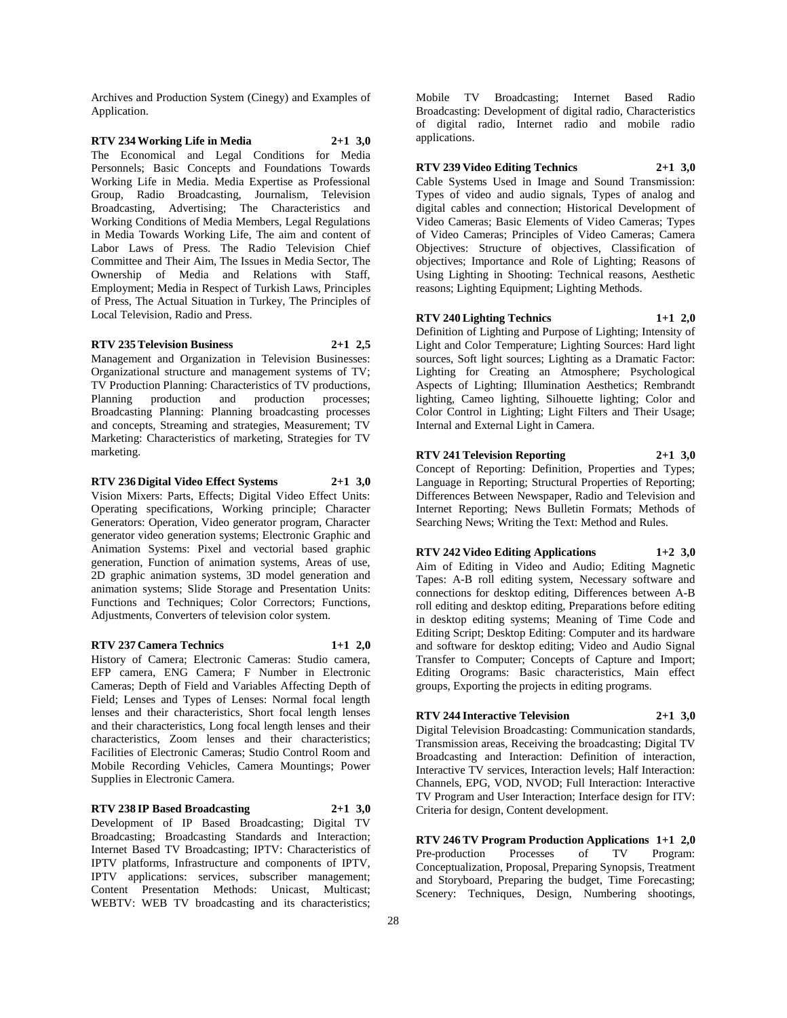Archives and Production System (Cinegy) and Examples of Application.

# **RTV 234 Working Life in Media 2+1 3,0**

The Economical and Legal Conditions for Media Personnels; Basic Concepts and Foundations Towards Working Life in Media. Media Expertise as Professional Group, Radio Broadcasting, Journalism, Television Broadcasting, Advertising; The Characteristics and Working Conditions of Media Members, Legal Regulations in Media Towards Working Life, The aim and content of Labor Laws of Press. The Radio Television Chief Committee and Their Aim, The Issues in Media Sector, The Ownership of Media and Relations with Staff, Employment; Media in Respect of Turkish Laws, Principles of Press, The Actual Situation in Turkey, The Principles of Local Television, Radio and Press.

#### **RTV 235 Television Business 2+1 2,5**

Management and Organization in Television Businesses: Organizational structure and management systems of TV; TV Production Planning: Characteristics of TV productions, Planning production and production processes; Broadcasting Planning: Planning broadcasting processes and concepts, Streaming and strategies, Measurement; TV Marketing: Characteristics of marketing, Strategies for TV marketing.

#### **RTV 236 Digital Video Effect Systems 2+1 3,0**

Vision Mixers: Parts, Effects; Digital Video Effect Units: Operating specifications, Working principle; Character Generators: Operation, Video generator program, Character generator video generation systems; Electronic Graphic and Animation Systems: Pixel and vectorial based graphic generation, Function of animation systems, Areas of use, 2D graphic animation systems, 3D model generation and animation systems; Slide Storage and Presentation Units: Functions and Techniques; Color Correctors; Functions, Adjustments, Converters of television color system.

#### **RTV 237 Camera Technics 1+1 2,0**

History of Camera; Electronic Cameras: Studio camera, EFP camera, ENG Camera; F Number in Electronic Cameras; Depth of Field and Variables Affecting Depth of Field; Lenses and Types of Lenses: Normal focal length lenses and their characteristics, Short focal length lenses and their characteristics, Long focal length lenses and their characteristics, Zoom lenses and their characteristics; Facilities of Electronic Cameras; Studio Control Room and Mobile Recording Vehicles, Camera Mountings; Power Supplies in Electronic Camera.

#### **RTV 238 IP Based Broadcasting 2+1 3,0**

Development of IP Based Broadcasting; Digital TV Broadcasting; Broadcasting Standards and Interaction; Internet Based TV Broadcasting; IPTV: Characteristics of IPTV platforms, Infrastructure and components of IPTV, IPTV applications: services, subscriber management; Content Presentation Methods: Unicast, Multicast; WEBTV: WEB TV broadcasting and its characteristics;

Mobile TV Broadcasting; Internet Based Radio Broadcasting: Development of digital radio, Characteristics of digital radio, Internet radio and mobile radio applications.

#### **RTV 239 Video Editing Technics 2+1 3,0**

Cable Systems Used in Image and Sound Transmission: Types of video and audio signals, Types of analog and digital cables and connection; Historical Development of Video Cameras; Basic Elements of Video Cameras; Types of Video Cameras; Principles of Video Cameras; Camera Objectives: Structure of objectives, Classification of objectives; Importance and Role of Lighting; Reasons of Using Lighting in Shooting: Technical reasons, Aesthetic reasons; Lighting Equipment; Lighting Methods.

# **RTV 240 Lighting Technics 1+1 2,0**

Definition of Lighting and Purpose of Lighting; Intensity of Light and Color Temperature; Lighting Sources: Hard light sources, Soft light sources; Lighting as a Dramatic Factor: Lighting for Creating an Atmosphere; Psychological Aspects of Lighting; Illumination Aesthetics; Rembrandt lighting, Cameo lighting, Silhouette lighting; Color and Color Control in Lighting; Light Filters and Their Usage; Internal and External Light in Camera.

#### **RTV 241 Television Reporting 2+1 3,0**

Concept of Reporting: Definition, Properties and Types; Language in Reporting; Structural Properties of Reporting; Differences Between Newspaper, Radio and Television and Internet Reporting; News Bulletin Formats; Methods of Searching News; Writing the Text: Method and Rules.

**RTV 242 Video Editing Applications 1+2 3,0** Aim of Editing in Video and Audio; Editing Magnetic Tapes: A-B roll editing system, Necessary software and connections for desktop editing, Differences between A-B roll editing and desktop editing, Preparations before editing in desktop editing systems; Meaning of Time Code and Editing Script; Desktop Editing: Computer and its hardware and software for desktop editing; Video and Audio Signal Transfer to Computer; Concepts of Capture and Import; Editing Orograms: Basic characteristics, Main effect groups, Exporting the projects in editing programs.

#### **RTV 244 Interactive Television 2+1 3,0**

Digital Television Broadcasting: Communication standards, Transmission areas, Receiving the broadcasting; Digital TV Broadcasting and Interaction: Definition of interaction, Interactive TV services, Interaction levels; Half Interaction: Channels, EPG, VOD, NVOD; Full Interaction: Interactive TV Program and User Interaction; Interface design for ITV: Criteria for design, Content development.

**RTV 246 TV Program Production Applications 1+1 2,0** Pre-production Processes of TV Program: Conceptualization, Proposal, Preparing Synopsis, Treatment and Storyboard, Preparing the budget, Time Forecasting; Scenery: Techniques, Design, Numbering shootings,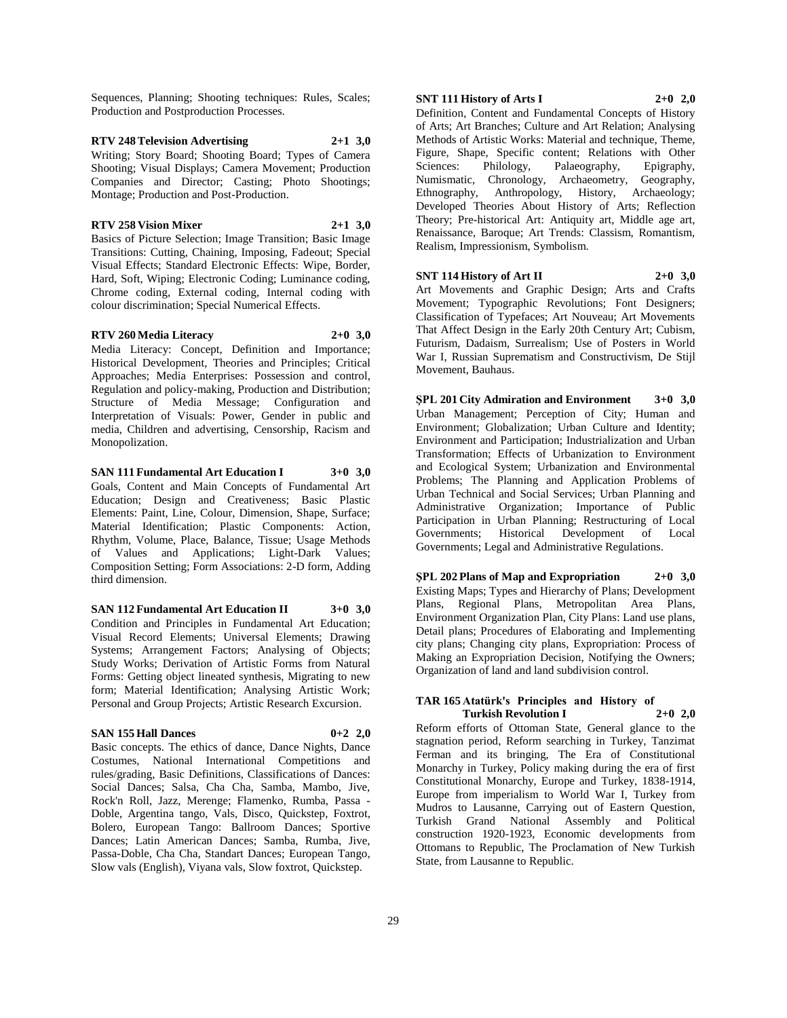Sequences, Planning; Shooting techniques: Rules, Scales; Production and Postproduction Processes.

# **RTV 248 Television Advertising 2+1 3,0** Writing; Story Board; Shooting Board; Types of Camera

Shooting; Visual Displays; Camera Movement; Production Companies and Director; Casting; Photo Shootings; Montage; Production and Post-Production.

#### **RTV 258 Vision Mixer 2+1 3,0**

Basics of Picture Selection; Image Transition; Basic Image Transitions: Cutting, Chaining, Imposing, Fadeout; Special Visual Effects; Standard Electronic Effects: Wipe, Border, Hard, Soft, Wiping; Electronic Coding; Luminance coding, Chrome coding, External coding, Internal coding with colour discrimination; Special Numerical Effects.

#### **RTV 260 Media Literacy 2+0 3,0**

Media Literacy: Concept, Definition and Importance; Historical Development, Theories and Principles; Critical Approaches; Media Enterprises: Possession and control, Regulation and policy-making, Production and Distribution; Structure of Media Message; Configuration and Interpretation of Visuals: Power, Gender in public and media, Children and advertising, Censorship, Racism and Monopolization.

### **SAN 111 Fundamental Art Education I 3+0 3,0**

Goals, Content and Main Concepts of Fundamental Art Education; Design and Creativeness; Basic Plastic Elements: Paint, Line, Colour, Dimension, Shape, Surface; Material Identification; Plastic Components: Action, Rhythm, Volume, Place, Balance, Tissue; Usage Methods of Values and Applications; Light-Dark Values; Composition Setting; Form Associations: 2-D form, Adding third dimension.

# **SAN 112 Fundamental Art Education II 3+0 3,0**

Condition and Principles in Fundamental Art Education; Visual Record Elements; Universal Elements; Drawing Systems; Arrangement Factors; Analysing of Objects; Study Works; Derivation of Artistic Forms from Natural Forms: Getting object lineated synthesis, Migrating to new form; Material Identification; Analysing Artistic Work; Personal and Group Projects; Artistic Research Excursion.

#### **SAN 155 Hall Dances 0+2 2,0**

Basic concepts. The ethics of dance, Dance Nights, Dance Costumes, National International Competitions and rules/grading, Basic Definitions, Classifications of Dances: Social Dances; Salsa, Cha Cha, Samba, Mambo, Jive, Rock'n Roll, Jazz, Merenge; Flamenko, Rumba, Passa - Doble, Argentina tango, Vals, Disco, Quickstep, Foxtrot, Bolero, European Tango: Ballroom Dances; Sportive Dances; Latin American Dances; Samba, Rumba, Jive, Passa-Doble, Cha Cha, Standart Dances; European Tango, Slow vals (English), Viyana vals, Slow foxtrot, Quickstep.

# **SNT 111 History of Arts I 2+0 2,0**

Definition, Content and Fundamental Concepts of History of Arts; Art Branches; Culture and Art Relation; Analysing Methods of Artistic Works: Material and technique, Theme, Figure, Shape, Specific content; Relations with Other Sciences: Philology, Palaeography, Epigraphy, Numismatic, Chronology, Archaeometry, Geography, Ethnography, Anthropology, History, Archaeology; Developed Theories About History of Arts; Reflection Theory; Pre-historical Art: Antiquity art, Middle age art, Renaissance, Baroque; Art Trends: Classism, Romantism, Realism, Impressionism, Symbolism.

#### **SNT 114 History of Art II 2+0 3,0**

Art Movements and Graphic Design; Arts and Crafts Movement; Typographic Revolutions; Font Designers; Classification of Typefaces; Art Nouveau; Art Movements That Affect Design in the Early 20th Century Art; Cubism, Futurism, Dadaism, Surrealism; Use of Posters in World War I, Russian Suprematism and Constructivism, De Stijl Movement, Bauhaus.

**ŞPL 201 City Admiration and Environment 3+0 3,0** Urban Management; Perception of City; Human and Environment; Globalization; Urban Culture and Identity; Environment and Participation; Industrialization and Urban Transformation; Effects of Urbanization to Environment and Ecological System; Urbanization and Environmental Problems; The Planning and Application Problems of Urban Technical and Social Services; Urban Planning and Administrative Organization; Importance of Public Participation in Urban Planning; Restructuring of Local Governments; Historical Development of Local Governments; Legal and Administrative Regulations.

**ŞPL 202 Plans of Map and Expropriation 2+0 3,0** Existing Maps; Types and Hierarchy of Plans; Development Plans, Regional Plans, Metropolitan Area Plans, Environment Organization Plan, City Plans: Land use plans, Detail plans; Procedures of Elaborating and Implementing city plans; Changing city plans, Expropriation: Process of Making an Expropriation Decision, Notifying the Owners; Organization of land and land subdivision control.

#### **TAR 165 Atatürk's Principles and History of Turkish Revolution I 2+0 2,0**

Reform efforts of Ottoman State, General glance to the stagnation period, Reform searching in Turkey, Tanzimat Ferman and its bringing, The Era of Constitutional Monarchy in Turkey, Policy making during the era of first Constitutional Monarchy, Europe and Turkey, 1838-1914, Europe from imperialism to World War I, Turkey from Mudros to Lausanne, Carrying out of Eastern Question, Turkish Grand National Assembly and Political construction 1920-1923, Economic developments from Ottomans to Republic, The Proclamation of New Turkish State, from Lausanne to Republic.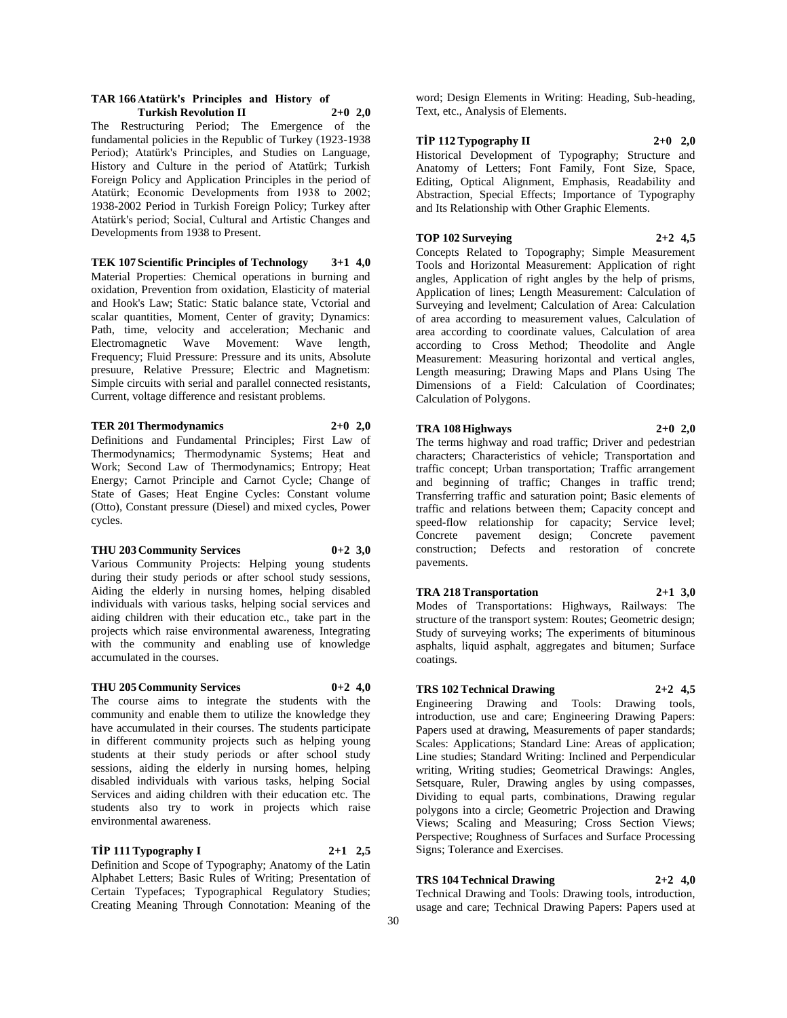#### **TAR 166 Atatürk's Principles and History of Turkish Revolution II 2+0 2,0**

The Restructuring Period; The Emergence of the fundamental policies in the Republic of Turkey (1923-1938 Period); Atatürk's Principles, and Studies on Language, History and Culture in the period of Atatürk; Turkish Foreign Policy and Application Principles in the period of Atatürk; Economic Developments from 1938 to 2002; 1938-2002 Period in Turkish Foreign Policy; Turkey after Atatürk's period; Social, Cultural and Artistic Changes and Developments from 1938 to Present.

**TEK 107 Scientific Principles of Technology 3+1 4,0** Material Properties: Chemical operations in burning and oxidation, Prevention from oxidation, Elasticity of material and Hook's Law; Static: Static balance state, Vctorial and scalar quantities, Moment, Center of gravity; Dynamics: Path, time, velocity and acceleration; Mechanic and Electromagnetic Wave Movement: Wave length, Frequency; Fluid Pressure: Pressure and its units, Absolute presuure, Relative Pressure; Electric and Magnetism: Simple circuits with serial and parallel connected resistants, Current, voltage difference and resistant problems.

#### **TER 201 Thermodynamics 2+0 2,0**

Definitions and Fundamental Principles; First Law of Thermodynamics; Thermodynamic Systems; Heat and Work; Second Law of Thermodynamics; Entropy; Heat Energy; Carnot Principle and Carnot Cycle; Change of State of Gases; Heat Engine Cycles: Constant volume (Otto), Constant pressure (Diesel) and mixed cycles, Power cycles.

#### **THU 203 Community Services 0+2 3,0**

Various Community Projects: Helping young students during their study periods or after school study sessions, Aiding the elderly in nursing homes, helping disabled individuals with various tasks, helping social services and aiding children with their education etc., take part in the projects which raise environmental awareness, Integrating with the community and enabling use of knowledge accumulated in the courses.

#### **THU 205 Community Services 0+2 4,0**

The course aims to integrate the students with the community and enable them to utilize the knowledge they have accumulated in their courses. The students participate in different community projects such as helping young students at their study periods or after school study sessions, aiding the elderly in nursing homes, helping disabled individuals with various tasks, helping Social Services and aiding children with their education etc. The students also try to work in projects which raise environmental awareness.

Certain Typefaces; Typographical Regulatory Studies; Creating Meaning Through Connotation: Meaning of the

#### **TİP 111 Typography I 2+1 2,5**

Definition and Scope of Typography; Anatomy of the Latin Alphabet Letters; Basic Rules of Writing; Presentation of

word; Design Elements in Writing: Heading, Sub-heading, Text, etc., Analysis of Elements.

### **TİP 112 Typography II 2+0 2,0**

Historical Development of Typography; Structure and Anatomy of Letters; Font Family, Font Size, Space, Editing, Optical Alignment, Emphasis, Readability and Abstraction, Special Effects; Importance of Typography and Its Relationship with Other Graphic Elements.

#### **TOP 102 Surveying 2+2 4,5**

Concepts Related to Topography; Simple Measurement Tools and Horizontal Measurement: Application of right angles, Application of right angles by the help of prisms, Application of lines; Length Measurement: Calculation of Surveying and levelment; Calculation of Area: Calculation of area according to measurement values, Calculation of area according to coordinate values, Calculation of area according to Cross Method; Theodolite and Angle Measurement: Measuring horizontal and vertical angles, Length measuring; Drawing Maps and Plans Using The Dimensions of a Field: Calculation of Coordinates; Calculation of Polygons.

#### **TRA 108 Highways 2+0 2,0**

The terms highway and road traffic; Driver and pedestrian characters; Characteristics of vehicle; Transportation and traffic concept; Urban transportation; Traffic arrangement and beginning of traffic; Changes in traffic trend; Transferring traffic and saturation point; Basic elements of traffic and relations between them; Capacity concept and speed-flow relationship for capacity; Service level; Concrete pavement design; Concrete pavement construction; Defects and restoration of concrete pavements.

#### **TRA 218 Transportation 2+1 3,0**

Modes of Transportations: Highways, Railways: The structure of the transport system: Routes; Geometric design; Study of surveying works; The experiments of bituminous asphalts, liquid asphalt, aggregates and bitumen; Surface coatings.

#### **TRS 102 Technical Drawing 2+2 4,5**

Engineering Drawing and Tools: Drawing tools, introduction, use and care; Engineering Drawing Papers: Papers used at drawing, Measurements of paper standards; Scales: Applications; Standard Line: Areas of application; Line studies; Standard Writing: Inclined and Perpendicular writing, Writing studies; Geometrical Drawings: Angles, Setsquare, Ruler, Drawing angles by using compasses, Dividing to equal parts, combinations, Drawing regular polygons into a circle; Geometric Projection and Drawing Views; Scaling and Measuring; Cross Section Views; Perspective; Roughness of Surfaces and Surface Processing Signs; Tolerance and Exercises.

# **TRS 104 Technical Drawing 2+2 4,0**

Technical Drawing and Tools: Drawing tools, introduction, usage and care; Technical Drawing Papers: Papers used at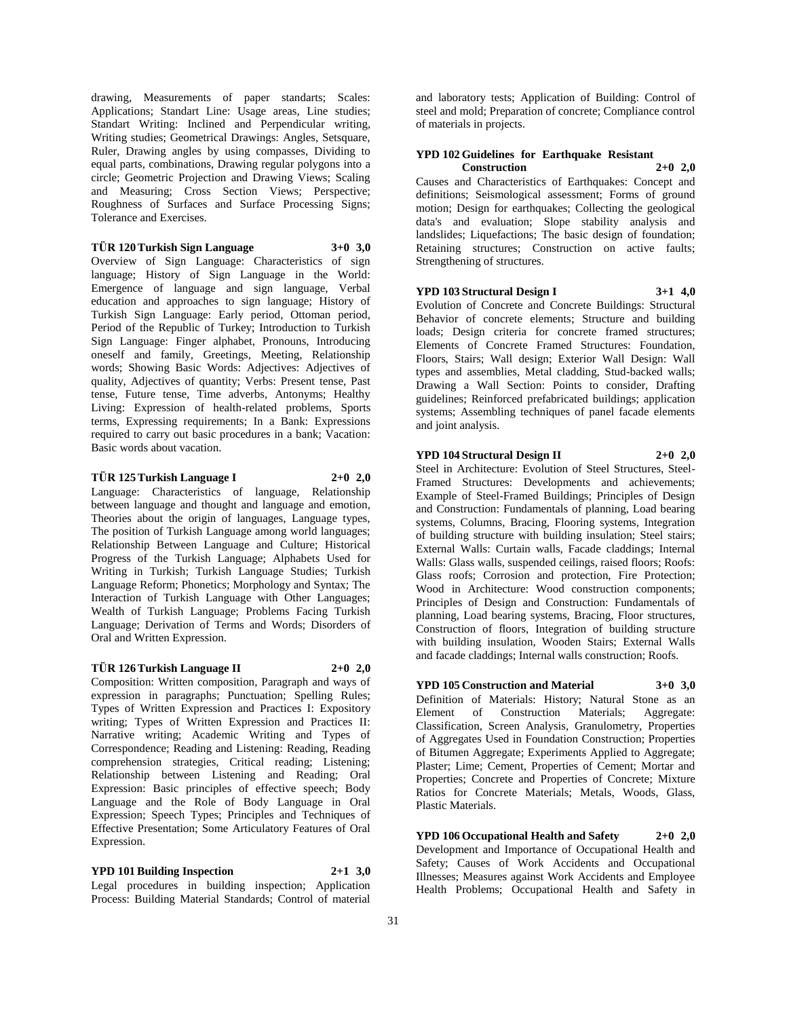drawing, Measurements of paper standarts; Scales: Applications; Standart Line: Usage areas, Line studies; Standart Writing: Inclined and Perpendicular writing, Writing studies; Geometrical Drawings: Angles, Setsquare, Ruler, Drawing angles by using compasses, Dividing to equal parts, combinations, Drawing regular polygons into a circle; Geometric Projection and Drawing Views; Scaling and Measuring; Cross Section Views; Perspective; Roughness of Surfaces and Surface Processing Signs; Tolerance and Exercises.

**TÜR 120 Turkish Sign Language 3+0 3,0**

Overview of Sign Language: Characteristics of sign language; History of Sign Language in the World: Emergence of language and sign language, Verbal education and approaches to sign language; History of Turkish Sign Language: Early period, Ottoman period, Period of the Republic of Turkey; Introduction to Turkish Sign Language: Finger alphabet, Pronouns, Introducing oneself and family, Greetings, Meeting, Relationship words; Showing Basic Words: Adjectives: Adjectives of quality, Adjectives of quantity; Verbs: Present tense, Past tense, Future tense, Time adverbs, Antonyms; Healthy Living: Expression of health-related problems, Sports terms, Expressing requirements; In a Bank: Expressions required to carry out basic procedures in a bank; Vacation: Basic words about vacation.

#### **TÜR 125 Turkish Language I 2+0 2,0**

Language: Characteristics of language, Relationship between language and thought and language and emotion, Theories about the origin of languages, Language types, The position of Turkish Language among world languages; Relationship Between Language and Culture; Historical Progress of the Turkish Language; Alphabets Used for Writing in Turkish; Turkish Language Studies; Turkish Language Reform; Phonetics; Morphology and Syntax; The Interaction of Turkish Language with Other Languages; Wealth of Turkish Language; Problems Facing Turkish Language; Derivation of Terms and Words; Disorders of Oral and Written Expression.

#### **TÜR 126 Turkish Language II 2+0 2,0**

Composition: Written composition, Paragraph and ways of expression in paragraphs; Punctuation; Spelling Rules; Types of Written Expression and Practices I: Expository writing; Types of Written Expression and Practices II: Narrative writing; Academic Writing and Types of Correspondence; Reading and Listening: Reading, Reading comprehension strategies, Critical reading; Listening; Relationship between Listening and Reading; Oral Expression: Basic principles of effective speech; Body Language and the Role of Body Language in Oral Expression; Speech Types; Principles and Techniques of Effective Presentation; Some Articulatory Features of Oral Expression.

# **YPD 101 Building Inspection 2+1 3,0**

Legal procedures in building inspection; Application Process: Building Material Standards; Control of material

and laboratory tests; Application of Building: Control of steel and mold; Preparation of concrete; Compliance control of materials in projects.

### **YPD 102 Guidelines for Earthquake Resistant Construction 2+0 2,0**

Causes and Characteristics of Earthquakes: Concept and definitions; Seismological assessment; Forms of ground motion; Design for earthquakes; Collecting the geological data's and evaluation; Slope stability analysis and landslides; Liquefactions; The basic design of foundation; Retaining structures; Construction on active faults; Strengthening of structures.

#### **YPD 103 Structural Design I 3+1 4,0**

Evolution of Concrete and Concrete Buildings: Structural Behavior of concrete elements; Structure and building loads; Design criteria for concrete framed structures; Elements of Concrete Framed Structures: Foundation, Floors, Stairs; Wall design; Exterior Wall Design: Wall types and assemblies, Metal cladding, Stud-backed walls; Drawing a Wall Section: Points to consider, Drafting guidelines; Reinforced prefabricated buildings; application systems; Assembling techniques of panel facade elements and joint analysis.

### **YPD 104 Structural Design II 2+0 2,0**

Steel in Architecture: Evolution of Steel Structures, Steel-Framed Structures: Developments and achievements; Example of Steel-Framed Buildings; Principles of Design and Construction: Fundamentals of planning, Load bearing systems, Columns, Bracing, Flooring systems, Integration of building structure with building insulation; Steel stairs; External Walls: Curtain walls, Facade claddings; Internal Walls: Glass walls, suspended ceilings, raised floors; Roofs: Glass roofs; Corrosion and protection, Fire Protection; Wood in Architecture: Wood construction components; Principles of Design and Construction: Fundamentals of planning, Load bearing systems, Bracing, Floor structures, Construction of floors, Integration of building structure with building insulation, Wooden Stairs; External Walls and facade claddings; Internal walls construction; Roofs.

#### **YPD 105 Construction and Material 3+0 3,0**

Definition of Materials: History; Natural Stone as an Element of Construction Materials; Aggregate: Classification, Screen Analysis, Granulometry, Properties of Aggregates Used in Foundation Construction; Properties of Bitumen Aggregate; Experiments Applied to Aggregate; Plaster; Lime; Cement, Properties of Cement; Mortar and Properties; Concrete and Properties of Concrete; Mixture Ratios for Concrete Materials; Metals, Woods, Glass, Plastic Materials.

**YPD 106 Occupational Health and Safety 2+0 2,0** Development and Importance of Occupational Health and Safety; Causes of Work Accidents and Occupational Illnesses; Measures against Work Accidents and Employee Health Problems; Occupational Health and Safety in